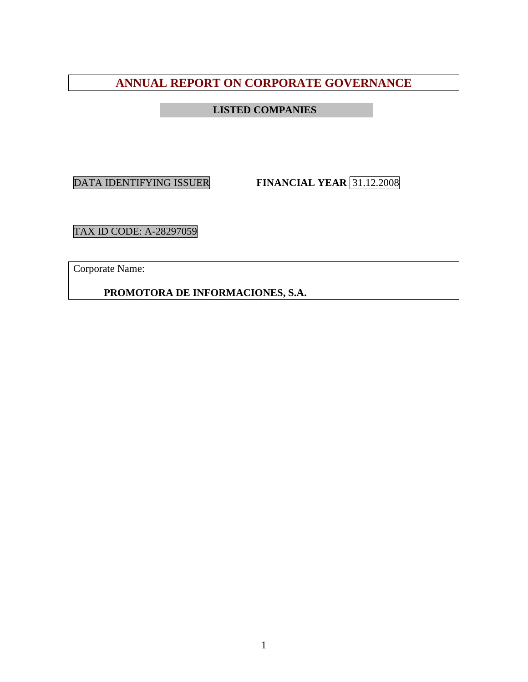# **ANNUAL REPORT ON CORPORATE GOVERNANCE**

# **LISTED COMPANIES**

DATA IDENTIFYING ISSUER **FINANCIAL YEAR** 31.12.2008

TAX ID CODE: A-28297059

Corporate Name:

**PROMOTORA DE INFORMACIONES, S.A.**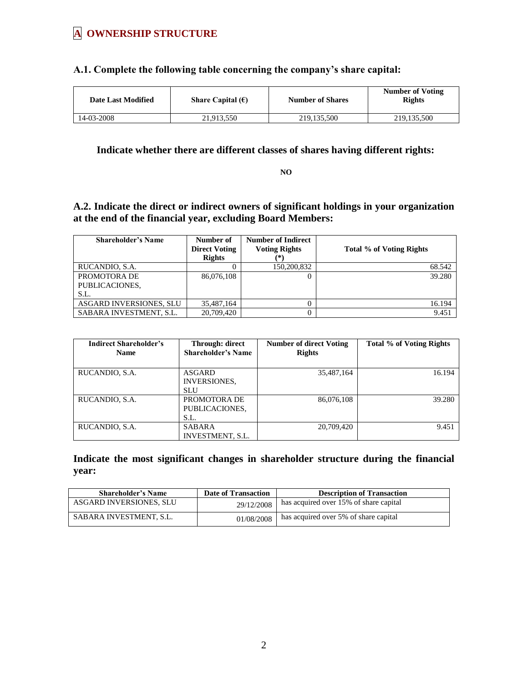# **A OWNERSHIP STRUCTURE**

## **A.1. Complete the following table concerning the company's share capital:**

| <b>Date Last Modified</b> | Share Capital $(\epsilon)$ | <b>Number of Shares</b> | <b>Number of Voting</b><br><b>Rights</b> |
|---------------------------|----------------------------|-------------------------|------------------------------------------|
| 14-03-2008                | 21.913.550                 | 219, 135, 500           | 219, 135, 500                            |

## **Indicate whether there are different classes of shares having different rights:**

**NO**

# **A.2. Indicate the direct or indirect owners of significant holdings in your organization at the end of the financial year, excluding Board Members:**

| <b>Shareholder's Name</b> | Number of<br><b>Direct Voting</b> | <b>Number of Indirect</b><br><b>Voting Rights</b> | Total % of Voting Rights |
|---------------------------|-----------------------------------|---------------------------------------------------|--------------------------|
|                           | <b>Rights</b>                     | (*)                                               |                          |
| RUCANDIO, S.A.            |                                   | 150,200,832                                       | 68.542                   |
| PROMOTORA DE              | 86,076,108                        | 0                                                 | 39.280                   |
| PUBLICACIONES,            |                                   |                                                   |                          |
| S.I.                      |                                   |                                                   |                          |
| ASGARD INVERSIONES, SLU   | 35,487,164                        | $\Omega$                                          | 16.194                   |
| SABARA INVESTMENT, S.L.   | 20,709,420                        | $\Omega$                                          | 9.451                    |

| <b>Indirect Shareholder's</b><br><b>Name</b> | Through: direct<br><b>Shareholder's Name</b>       | <b>Number of direct Voting</b><br><b>Rights</b> | <b>Total % of Voting Rights</b> |
|----------------------------------------------|----------------------------------------------------|-------------------------------------------------|---------------------------------|
| RUCANDIO, S.A.                               | <b>ASGARD</b><br><b>INVERSIONES.</b><br><b>SLU</b> | 35,487,164                                      | 16.194                          |
| RUCANDIO, S.A.                               | PROMOTORA DE<br>PUBLICACIONES,<br>S.L.             | 86,076,108                                      | 39.280                          |
| RUCANDIO, S.A.                               | <b>SABARA</b><br><b>INVESTMENT, S.L.</b>           | 20,709,420                                      | 9.451                           |

**Indicate the most significant changes in shareholder structure during the financial year:** 

| <b>Shareholder's Name</b> | <b>Date of Transaction</b> | <b>Description of Transaction</b>      |
|---------------------------|----------------------------|----------------------------------------|
| ASGARD INVERSIONES, SLU   | 29/12/2008                 | has acquired over 15% of share capital |
| SABARA INVESTMENT, S.L.   | 01/08/2008                 | has acquired over 5% of share capital  |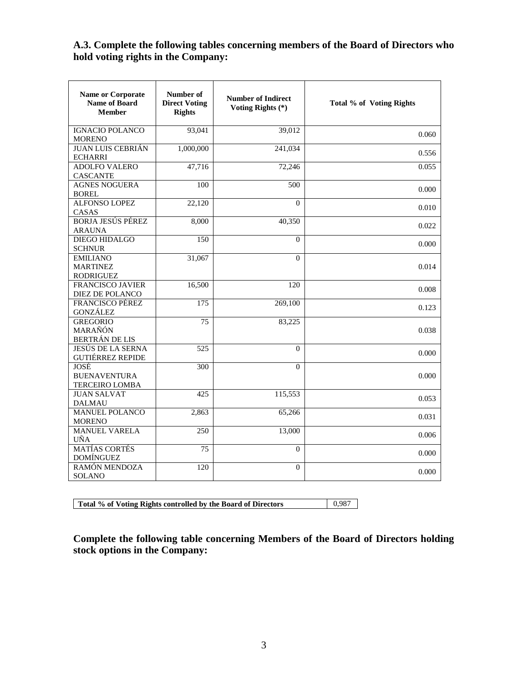# **A.3. Complete the following tables concerning members of the Board of Directors who hold voting rights in the Company:**

| <b>Name or Corporate</b><br><b>Name of Board</b><br><b>Member</b> | Number of<br><b>Direct Voting</b><br><b>Rights</b> | <b>Number of Indirect</b><br>Voting Rights (*) | Total % of Voting Rights |
|-------------------------------------------------------------------|----------------------------------------------------|------------------------------------------------|--------------------------|
| <b>IGNACIO POLANCO</b><br><b>MORENO</b>                           | 93,041                                             | 39,012                                         | 0.060                    |
| <b>JUAN LUIS CEBRIÁN</b><br><b>ECHARRI</b>                        | 1,000,000                                          | 241,034                                        | 0.556                    |
| <b>ADOLFO VALERO</b><br><b>CASCANTE</b>                           | 47,716                                             | 72,246                                         | 0.055                    |
| <b>AGNES NOGUERA</b><br><b>BOREL</b>                              | 100                                                | 500                                            | 0.000                    |
| <b>ALFONSO LOPEZ</b><br>CASAS                                     | 22,120                                             | $\Omega$                                       | 0.010                    |
| <b>BORJA JESÚS PÉREZ</b><br><b>ARAUNA</b>                         | 8,000                                              | 40,350                                         | 0.022                    |
| <b>DIEGO HIDALGO</b><br><b>SCHNUR</b>                             | 150                                                | $\Omega$                                       | 0.000                    |
| <b>EMILIANO</b><br><b>MARTINEZ</b><br><b>RODRIGUEZ</b>            | 31,067                                             | $\theta$                                       | 0.014                    |
| <b>FRANCISCO JAVIER</b><br>DIEZ DE POLANCO                        | 16,500                                             | 120                                            | 0.008                    |
| <b>FRANCISCO PÉREZ</b><br><b>GONZÁLEZ</b>                         | 175                                                | 269,100                                        | 0.123                    |
| <b>GREGORIO</b><br>MARAÑÓN<br><b>BERTRÁN DE LIS</b>               | 75                                                 | 83,225                                         | 0.038                    |
| <b>JESÚS DE LA SERNA</b><br><b>GUTIÉRREZ REPIDE</b>               | 525                                                | $\Omega$                                       | 0.000                    |
| JOSÉ<br><b>BUENAVENTURA</b><br><b>TERCEIRO LOMBA</b>              | 300                                                | $\Omega$                                       | 0.000                    |
| <b>JUAN SALVAT</b><br><b>DALMAU</b>                               | 425                                                | 115,553                                        | 0.053                    |
| <b>MANUEL POLANCO</b><br><b>MORENO</b>                            | 2,863                                              | 65,266                                         | 0.031                    |
| <b>MANUEL VARELA</b><br>UÑA                                       | 250                                                | 13,000                                         | 0.006                    |
| <b>MATÍAS CORTÉS</b><br><b>DOMÍNGUEZ</b>                          | 75                                                 | $\Omega$                                       | 0.000                    |
| RAMÓN MENDOZA<br>SOLANO                                           | 120                                                | $\Omega$                                       | 0.000                    |

**Total % of Voting Rights controlled by the Board of Directors** 0,987

**Complete the following table concerning Members of the Board of Directors holding stock options in the Company:**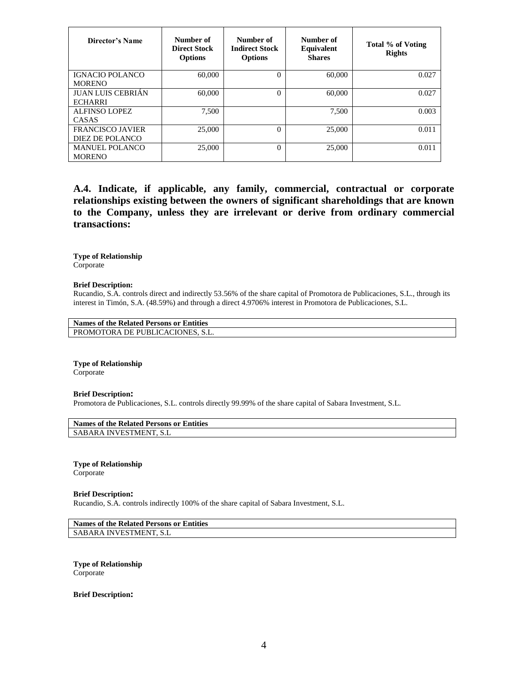| Director's Name                            | Number of<br><b>Direct Stock</b><br><b>Options</b> | Number of<br><b>Indirect Stock</b><br><b>Options</b> | Number of<br>Equivalent<br><b>Shares</b> | Total % of Voting<br><b>Rights</b> |
|--------------------------------------------|----------------------------------------------------|------------------------------------------------------|------------------------------------------|------------------------------------|
| <b>IGNACIO POLANCO</b><br><b>MORENO</b>    | 60,000                                             | 0                                                    | 60,000                                   | 0.027                              |
| <b>JUAN LUIS CEBRIÁN</b><br><b>ECHARRI</b> | 60,000                                             | $\Omega$                                             | 60,000                                   | 0.027                              |
| ALFINSO LOPEZ<br>CASAS                     | 7.500                                              |                                                      | 7.500                                    | 0.003                              |
| <b>FRANCISCO JAVIER</b><br>DIEZ DE POLANCO | 25,000                                             | $\theta$                                             | 25,000                                   | 0.011                              |
| <b>MANUEL POLANCO</b><br><b>MORENO</b>     | 25,000                                             | $\overline{0}$                                       | 25,000                                   | 0.011                              |

**A.4. Indicate, if applicable, any family, commercial, contractual or corporate relationships existing between the owners of significant shareholdings that are known to the Company, unless they are irrelevant or derive from ordinary commercial transactions:**

**Type of Relationship** Corporate

**Brief Description:**

Rucandio, S.A. controls direct and indirectly 53.56% of the share capital of Promotora de Publicaciones, S.L., through its interest in Timón, S.A. (48.59%) and through a direct 4.9706% interest in Promotora de Publicaciones, S.L.

**Names of the Related Persons or Entities** PROMOTORA DE PUBLICACIONES, S.L.

**Type of Relationship** Corporate

#### **Brief Description:**

Promotora de Publicaciones, S.L. controls directly 99.99% of the share capital of Sabara Investment, S.L.

|                        | Names of the Related Persons or Entities |  |
|------------------------|------------------------------------------|--|
| SABARA INVESTMENT, S.L |                                          |  |

**Type of Relationship**

Corporate

**Brief Description:**

Rucandio, S.A. controls indirectly 100% of the share capital of Sabara Investment, S.L.

**Names of the Related Persons or Entities** SABARA INVESTMENT, S.L

**Type of Relationship** Corporate

**Brief Description:**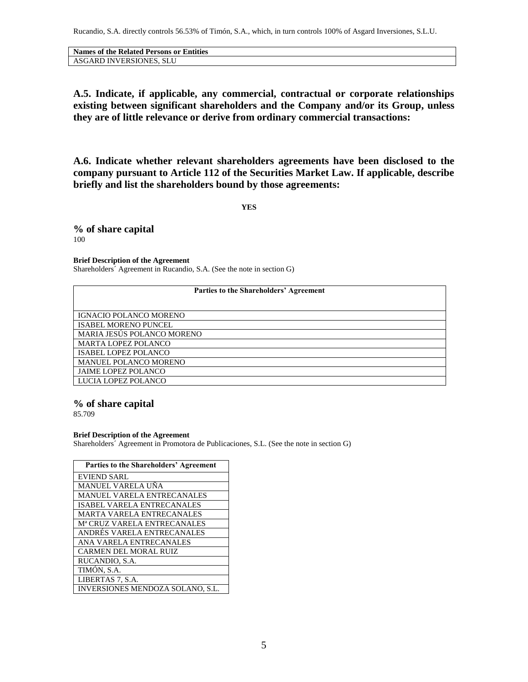Rucandio, S.A. directly controls 56.53% of Timón, S.A., which, in turn controls 100% of Asgard Inversiones, S.L.U.

| <b>Names of the Related Persons or Entities</b> |
|-------------------------------------------------|
| ASGARD INVERSIONES, SLU                         |

**A.5. Indicate, if applicable, any commercial, contractual or corporate relationships existing between significant shareholders and the Company and/or its Group, unless they are of little relevance or derive from ordinary commercial transactions:**

**A.6. Indicate whether relevant shareholders agreements have been disclosed to the company pursuant to Article 112 of the Securities Market Law. If applicable, describe briefly and list the shareholders bound by those agreements:** 

**YES**

**% of share capital** 100

**Brief Description of the Agreement**

Shareholders´ Agreement in Rucandio, S.A. (See the note in section G)

| Parties to the Shareholders' Agreement |  |  |
|----------------------------------------|--|--|
|                                        |  |  |
| <b>IGNACIO POLANCO MORENO</b>          |  |  |
| <b>ISABEL MORENO PUNCEL</b>            |  |  |
| MARIA JESÚS POLANCO MORENO             |  |  |
| <b>MARTA LOPEZ POLANCO</b>             |  |  |
| <b>ISABEL LOPEZ POLANCO</b>            |  |  |
| <b>MANUEL POLANCO MORENO</b>           |  |  |
| <b>JAIME LOPEZ POLANCO</b>             |  |  |
| LUCIA LOPEZ POLANCO                    |  |  |

## **% of share capital**

85.709

#### **Brief Description of the Agreement**

Shareholders´ Agreement in Promotora de Publicaciones, S.L. (See the note in section G)

| Parties to the Shareholders' Agreement  |
|-----------------------------------------|
| <b>EVIEND SARL</b>                      |
| MANUEL VARELA UÑA                       |
| <b>MANUEL VARELA ENTRECANALES</b>       |
| <b>ISABEL VARELA ENTRECANALES</b>       |
| <b>MARTA VARELA ENTRECANALES</b>        |
| M <sup>a</sup> CRUZ VARELA ENTRECANALES |
| ANDRÉS VARELA ENTRECANALES              |
| ANA VARELA ENTRECANALES                 |
| <b>CARMEN DEL MORAL RUIZ</b>            |
| RUCANDIO, S.A.                          |
| TIMÓN, S.A.                             |
| LIBERTAS 7, S.A.                        |
| <b>INVERSIONES MENDOZA SOLANO, S.L.</b> |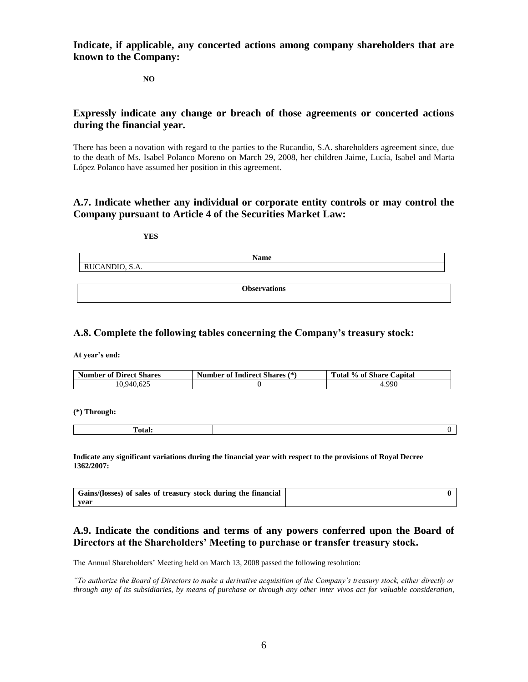**Indicate, if applicable, any concerted actions among company shareholders that are known to the Company:** 

**NO**

## **Expressly indicate any change or breach of those agreements or concerted actions during the financial year.**

There has been a novation with regard to the parties to the Rucandio, S.A. shareholders agreement since, due to the death of Ms. Isabel Polanco Moreno on March 29, 2008, her children Jaime, Lucía, Isabel and Marta López Polanco have assumed her position in this agreement.

## **A.7. Indicate whether any individual or corporate entity controls or may control the Company pursuant to Article 4 of the Securities Market Law:**

| ٦<br>.,<br>۰,<br>۰. |  |
|---------------------|--|
|                     |  |

| <b>Name</b>                          |  |
|--------------------------------------|--|
| $\cdots$<br>$\sim$<br>RUCANDIO, S.A. |  |
|                                      |  |

**Observations**

## **A.8. Complete the following tables concerning the Company's treasury stock:**

**At year's end:**

| <b>Number of Direct Shares</b> | <b>Number of Indirect Shares (*)</b> | Total % of Share Capital |
|--------------------------------|--------------------------------------|--------------------------|
| 10.940.625                     |                                      | .990                     |

**(\*) Through:** 

| . . |  |
|-----|--|
|     |  |

**Indicate any significant variations during the financial year with respect to the provisions of Royal Decree 1362/2007:** 

| Gains/(losses) of sales of treasury stock during the financial |  |
|----------------------------------------------------------------|--|
| vear                                                           |  |

## **A.9. Indicate the conditions and terms of any powers conferred upon the Board of Directors at the Shareholders' Meeting to purchase or transfer treasury stock.**

The Annual Shareholders' Meeting held on March 13, 2008 passed the following resolution:

*"To authorize the Board of Directors to make a derivative acquisition of the Company's treasury stock, either directly or through any of its subsidiaries, by means of purchase or through any other inter vivos act for valuable consideration,*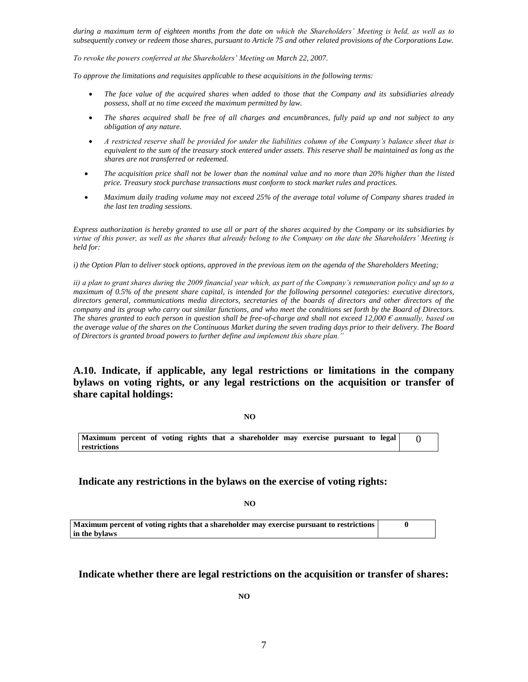*during a maximum term of eighteen months from the date on which the Shareholders' Meeting is held, as well as to subsequently convey or redeem those shares, pursuant to Article 75 and other related provisions of the Corporations Law.*

*To revoke the powers conferred at the Shareholders' Meeting on March 22, 2007.*

*To approve the limitations and requisites applicable to these acquisitions in the following terms:*

- *The face value of the acquired shares when added to those that the Company and its subsidiaries already possess, shall at no time exceed the maximum permitted by law.*
- *The shares acquired shall be free of all charges and encumbrances, fully paid up and not subject to any obligation of any nature.*
- *A restricted reserve shall be provided for under the liabilities column of the Company's balance sheet that is equivalent to the sum of the treasury stock entered under assets. This reserve shall be maintained as long as the shares are not transferred or redeemed.*
- *The acquisition price shall not be lower than the nominal value and no more than 20% higher than the listed price. Treasury stock purchase transactions must conform to stock market rules and practices.*
- *Maximum daily trading volume may not exceed 25% of the average total volume of Company shares traded in the last ten trading sessions.*

*Express authorization is hereby granted to use all or part of the shares acquired by the Company or its subsidiaries by virtue of this power, as well as the shares that already belong to the Company on the date the Shareholders' Meeting is held for:*

*i) the Option Plan to deliver stock options, approved in the previous item on the agenda of the Shareholders Meeting;* 

*ii) a plan to grant shares during the 2009 financial year which, as part of the Company's remuneration policy and up to a maximum of 0.5% of the present share capital, is intended for the following personnel categories: executive directors, directors general, communications media directors, secretaries of the boards of directors and other directors of the company and its group who carry out similar functions, and who meet the conditions set forth by the Board of Directors. The shares granted to each person in question shall be free-of-charge and shall not exceed 12,000 € annually, based on the average value of the shares on the Continuous Market during the seven trading days prior to their delivery. The Board of Directors is granted broad powers to further define and implement this share plan."*

**A.10. Indicate, if applicable, any legal restrictions or limitations in the company bylaws on voting rights, or any legal restrictions on the acquisition or transfer of share capital holdings:**

**NO** 

**Maximum percent of voting rights that a shareholder may exercise pursuant to legal restrictions**  $\Omega$ 

**Indicate any restrictions in the bylaws on the exercise of voting rights:**

 **NO**

**Maximum percent of voting rights that a shareholder may exercise pursuant to restrictions in the bylaws 0**

**Indicate whether there are legal restrictions on the acquisition or transfer of shares:**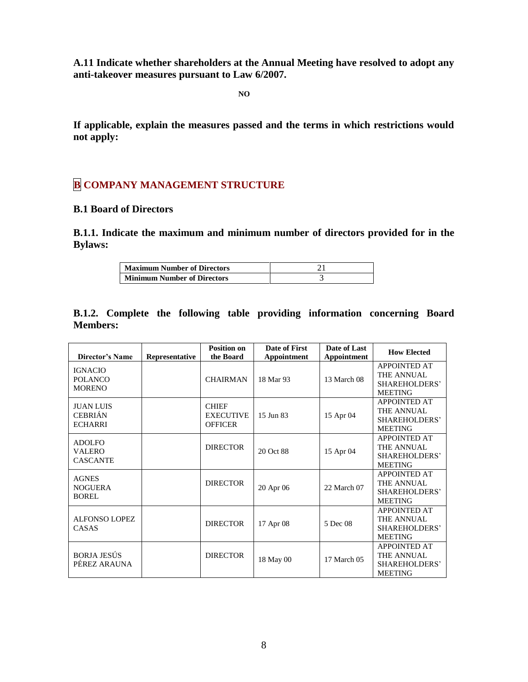**A.11 Indicate whether shareholders at the Annual Meeting have resolved to adopt any anti-takeover measures pursuant to Law 6/2007.**

**NO**

**If applicable, explain the measures passed and the terms in which restrictions would not apply:**

# **B COMPANY MANAGEMENT STRUCTURE**

## **B.1 Board of Directors**

**B.1.1. Indicate the maximum and minimum number of directors provided for in the Bylaws:** 

| <b>Maximum Number of Directors</b> |  |
|------------------------------------|--|
| <b>Minimum Number of Directors</b> |  |

|                 |  |  | B.1.2. Complete the following table providing information concerning Board |  |
|-----------------|--|--|----------------------------------------------------------------------------|--|
| <b>Members:</b> |  |  |                                                                            |  |

| <b>Director's Name</b>                               | Representative | <b>Position on</b><br>the Board                    | Date of First<br><b>Appointment</b> | Date of Last<br>Appointment | <b>How Elected</b>                                                   |
|------------------------------------------------------|----------------|----------------------------------------------------|-------------------------------------|-----------------------------|----------------------------------------------------------------------|
| <b>IGNACIO</b><br><b>POLANCO</b><br><b>MORENO</b>    |                | <b>CHAIRMAN</b>                                    | 18 Mar 93                           | 13 March 08                 | <b>APPOINTED AT</b><br>THE ANNUAL<br>SHAREHOLDERS'<br><b>MEETING</b> |
| <b>JUAN LUIS</b><br><b>CEBRIÁN</b><br><b>ECHARRI</b> |                | <b>CHIEF</b><br><b>EXECUTIVE</b><br><b>OFFICER</b> | 15 Jun 83                           | 15 Apr 04                   | <b>APPOINTED AT</b><br>THE ANNUAL<br>SHAREHOLDERS'<br><b>MEETING</b> |
| <b>ADOLFO</b><br>VALERO<br><b>CASCANTE</b>           |                | <b>DIRECTOR</b>                                    | 20 Oct 88                           | 15 Apr 04                   | <b>APPOINTED AT</b><br>THE ANNUAL<br>SHAREHOLDERS'<br><b>MEETING</b> |
| <b>AGNES</b><br>NOGUERA<br><b>BOREL</b>              |                | <b>DIRECTOR</b>                                    | 20 Apr 06                           | 22 March 07                 | <b>APPOINTED AT</b><br>THE ANNUAL<br>SHAREHOLDERS'<br><b>MEETING</b> |
| <b>ALFONSO LOPEZ</b><br>CASAS                        |                | <b>DIRECTOR</b>                                    | 17 Apr 08                           | 5 Dec 08                    | <b>APPOINTED AT</b><br>THE ANNUAL<br>SHAREHOLDERS'<br><b>MEETING</b> |
| <b>BORJA JESÚS</b><br>PÉREZ ARAUNA                   |                | <b>DIRECTOR</b>                                    | 18 May 00                           | 17 March 05                 | <b>APPOINTED AT</b><br>THE ANNUAL<br>SHAREHOLDERS'<br><b>MEETING</b> |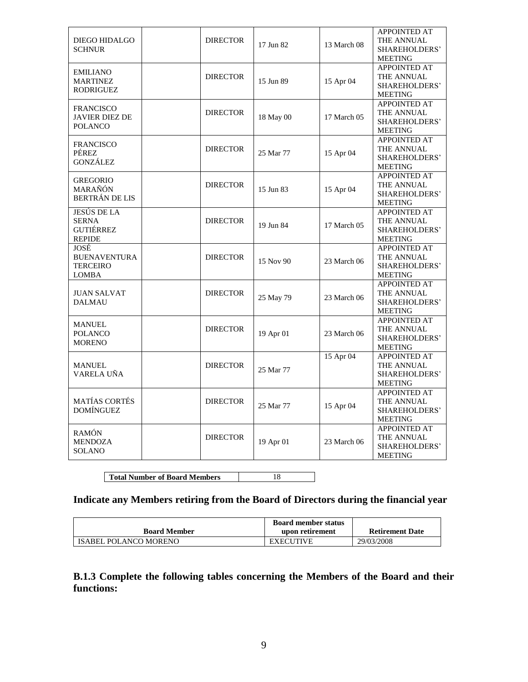| <b>DIEGO HIDALGO</b><br><b>SCHNUR</b>                            | <b>DIRECTOR</b> | 17 Jun 82<br>13 March 08 |             | <b>APPOINTED AT</b><br>THE ANNUAL<br>SHAREHOLDERS'<br><b>MEETING</b> |  |
|------------------------------------------------------------------|-----------------|--------------------------|-------------|----------------------------------------------------------------------|--|
| <b>EMILIANO</b><br><b>MARTINEZ</b><br>RODRIGUEZ                  | <b>DIRECTOR</b> | 15 Jun 89                | 15 Apr 04   | APPOINTED AT<br>THE ANNUAL<br>SHAREHOLDERS'<br><b>MEETING</b>        |  |
| <b>FRANCISCO</b><br><b>JAVIER DIEZ DE</b><br><b>POLANCO</b>      | <b>DIRECTOR</b> | 18 May 00                | 17 March 05 | <b>APPOINTED AT</b><br>THE ANNUAL<br>SHAREHOLDERS'<br><b>MEETING</b> |  |
| <b>FRANCISCO</b><br>PÉREZ<br><b>GONZÁLEZ</b>                     | <b>DIRECTOR</b> | 25 Mar 77                | 15 Apr 04   | APPOINTED AT<br>THE ANNUAL<br>SHAREHOLDERS'<br><b>MEETING</b>        |  |
| <b>GREGORIO</b><br>MARAÑÓN<br><b>BERTRÁN DE LIS</b>              | <b>DIRECTOR</b> | 15 Jun 83                | 15 Apr 04   | <b>APPOINTED AT</b><br>THE ANNUAL<br>SHAREHOLDERS'<br><b>MEETING</b> |  |
| <b>JESÚS DE LA</b><br><b>SERNA</b><br>GUTIÉRREZ<br><b>REPIDE</b> | <b>DIRECTOR</b> | 19 Jun 84                | 17 March 05 | <b>APPOINTED AT</b><br>THE ANNUAL<br>SHAREHOLDERS'<br><b>MEETING</b> |  |
| JOSÉ<br><b>BUENAVENTURA</b><br><b>TERCEIRO</b><br><b>LOMBA</b>   | <b>DIRECTOR</b> | 15 Nov 90                | 23 March 06 | <b>APPOINTED AT</b><br>THE ANNUAL<br>SHAREHOLDERS'<br><b>MEETING</b> |  |
| <b>JUAN SALVAT</b><br><b>DALMAU</b>                              | <b>DIRECTOR</b> | 25 May 79                | 23 March 06 | <b>APPOINTED AT</b><br>THE ANNUAL<br>SHAREHOLDERS'<br><b>MEETING</b> |  |
| <b>MANUEL</b><br><b>POLANCO</b><br><b>MORENO</b>                 | <b>DIRECTOR</b> | 19 Apr 01                | 23 March 06 | <b>APPOINTED AT</b><br>THE ANNUAL<br>SHAREHOLDERS'<br><b>MEETING</b> |  |
| <b>MANUEL</b><br>VARELA UÑA                                      | <b>DIRECTOR</b> | 25 Mar 77                | 15 Apr 04   | <b>APPOINTED AT</b><br>THE ANNUAL<br>SHAREHOLDERS'<br><b>MEETING</b> |  |
| <b>MATÍAS CORTÉS</b><br><b>DOMÍNGUEZ</b>                         | <b>DIRECTOR</b> | 25 Mar 77                | 15 Apr 04   | <b>APPOINTED AT</b><br>THE ANNUAL<br>SHAREHOLDERS'<br><b>MEETING</b> |  |
| <b>RAMÓN</b><br><b>MENDOZA</b><br><b>SOLANO</b>                  | <b>DIRECTOR</b> | 19 Apr 01                | 23 March 06 | <b>APPOINTED AT</b><br>THE ANNUAL<br>SHAREHOLDERS'<br><b>MEETING</b> |  |

**Total Number of Board Members** 18

# **Indicate any Members retiring from the Board of Directors during the financial year**

|                              | <b>Board member status</b> |                        |
|------------------------------|----------------------------|------------------------|
| <b>Board Member</b>          | upon retirement            | <b>Retirement Date</b> |
| <b>ISABEL POLANCO MORENO</b> | <b>EXECUTIVE</b>           | 29/03/2008             |

**B.1.3 Complete the following tables concerning the Members of the Board and their functions:**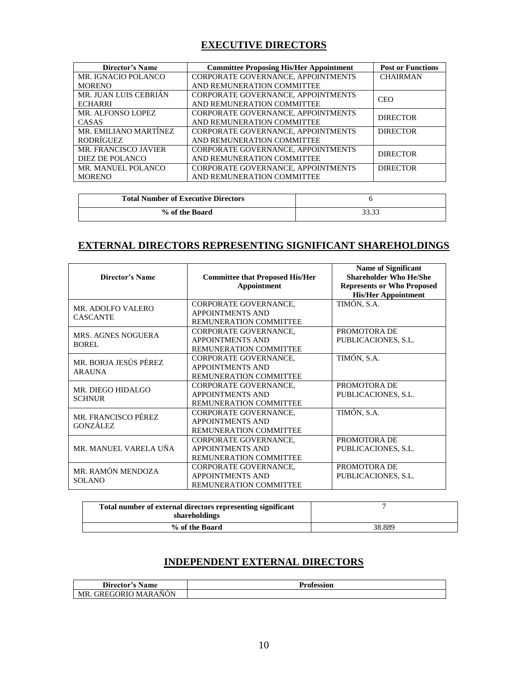# **EXECUTIVE DIRECTORS**

| <b>Director's Name</b>      | <b>Committee Proposing His/Her Appointment</b> | <b>Post or Functions</b> |
|-----------------------------|------------------------------------------------|--------------------------|
| MR. IGNACIO POLANCO         | CORPORATE GOVERNANCE, APPOINTMENTS             | <b>CHAIRMAN</b>          |
| <b>MORENO</b>               | AND REMUNERATION COMMITTEE                     |                          |
| MR. JUAN LUIS CEBRIÁN       | CORPORATE GOVERNANCE, APPOINTMENTS             | <b>CEO</b>               |
| <b>ECHARRI</b>              | AND REMUNERATION COMMITTEE                     |                          |
| MR. ALFONSO LOPEZ           | CORPORATE GOVERNANCE, APPOINTMENTS             | <b>DIRECTOR</b>          |
| CASAS                       | AND REMUNERATION COMMITTEE                     |                          |
| MR. EMILIANO MARTÍNEZ       | CORPORATE GOVERNANCE, APPOINTMENTS             | <b>DIRECTOR</b>          |
| RODRÍGUEZ                   | AND REMUNERATION COMMITTEE                     |                          |
| <b>MR. FRANCISCO JAVIER</b> | CORPORATE GOVERNANCE, APPOINTMENTS             | <b>DIRECTOR</b>          |
| DIEZ DE POLANCO             | AND REMUNERATION COMMITTEE                     |                          |
| MR. MANUEL POLANCO          | CORPORATE GOVERNANCE, APPOINTMENTS             | <b>DIRECTOR</b>          |
| <b>MORENO</b>               | AND REMUNERATION COMMITTEE                     |                          |

| <b>Total Number of Executive Directors</b> |       |
|--------------------------------------------|-------|
| % of the Board                             | າາ າາ |

# **EXTERNAL DIRECTORS REPRESENTING SIGNIFICANT SHAREHOLDINGS**

| Director's Name           | <b>Committee that Proposed His/Her</b><br>Appointment | <b>Name of Significant</b><br><b>Shareholder Who He/She</b><br><b>Represents or Who Proposed</b><br><b>His/Her Appointment</b> |
|---------------------------|-------------------------------------------------------|--------------------------------------------------------------------------------------------------------------------------------|
| <b>MR. ADOLFO VALERO</b>  | CORPORATE GOVERNANCE,                                 | TIMÓN, S.A.                                                                                                                    |
| <b>CASCANTE</b>           | <b>APPOINTMENTS AND</b>                               |                                                                                                                                |
|                           | REMUNERATION COMMITTEE                                |                                                                                                                                |
| <b>MRS. AGNES NOGUERA</b> | CORPORATE GOVERNANCE,                                 | PROMOTORA DE                                                                                                                   |
| BOREL                     | <b>APPOINTMENTS AND</b>                               | PUBLICACIONES, S.L.                                                                                                            |
|                           | <b>REMUNERATION COMMITTEE</b>                         |                                                                                                                                |
| MR. BORJA JESÚS PÉREZ     | CORPORATE GOVERNANCE,                                 | TIMÓN, S.A.                                                                                                                    |
| <b>ARAUNA</b>             | <b>APPOINTMENTS AND</b>                               |                                                                                                                                |
|                           | <b>REMUNERATION COMMITTEE</b>                         |                                                                                                                                |
| MR. DIEGO HIDALGO         | CORPORATE GOVERNANCE,                                 | PROMOTORA DE                                                                                                                   |
| <b>SCHNUR</b>             | <b>APPOINTMENTS AND</b>                               | PUBLICACIONES, S.L.                                                                                                            |
|                           | REMUNERATION COMMITTEE                                |                                                                                                                                |
| MR. FRANCISCO PÉREZ       | CORPORATE GOVERNANCE,                                 | TIMÓN, S.A.                                                                                                                    |
| <b>GONZÁLEZ</b>           | <b>APPOINTMENTS AND</b>                               |                                                                                                                                |
|                           | <b>REMUNERATION COMMITTEE</b>                         |                                                                                                                                |
|                           | CORPORATE GOVERNANCE,                                 | PROMOTORA DE                                                                                                                   |
| MR. MANUEL VARELA UÑA     | <b>APPOINTMENTS AND</b>                               | PUBLICACIONES, S.L.                                                                                                            |
|                           | <b>REMUNERATION COMMITTEE</b>                         |                                                                                                                                |
| MR. RAMÓN MENDOZA         | CORPORATE GOVERNANCE,                                 | PROMOTORA DE                                                                                                                   |
| <b>SOLANO</b>             | <b>APPOINTMENTS AND</b>                               | PUBLICACIONES, S.L.                                                                                                            |
|                           | REMUNERATION COMMITTEE                                |                                                                                                                                |

| Total number of external directors representing significant<br>shareholdings |        |
|------------------------------------------------------------------------------|--------|
| % of the Board                                                               | 38.889 |

## **INDEPENDENT EXTERNAL DIRECTORS**

| $\cdots$<br>Director's Name                 | Profession |
|---------------------------------------------|------------|
| $\sim$<br><b>MARANON</b><br>GREGORIO<br>MR. |            |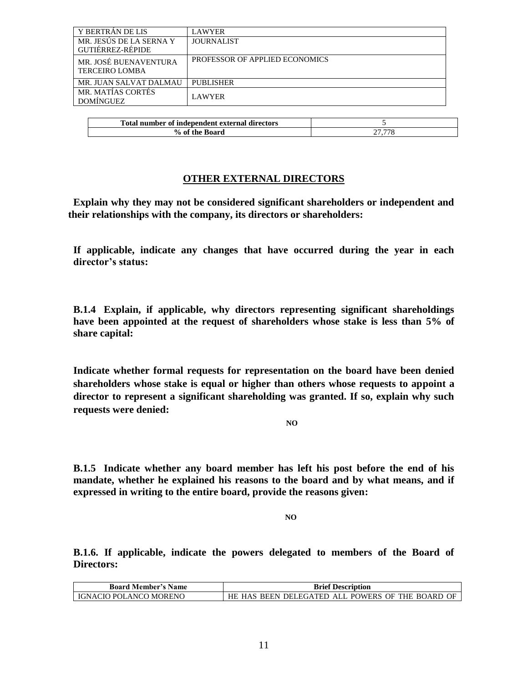| Y BERTRÁN DE LIS                               | <b>LAWYER</b>                  |
|------------------------------------------------|--------------------------------|
| MR. JESÚS DE LA SERNA Y<br>GUTIÉRREZ-RÉPIDE    | <b>JOURNALIST</b>              |
| MR. JOSÉ BUENAVENTURA<br><b>TERCEIRO LOMBA</b> | PROFESSOR OF APPLIED ECONOMICS |
| MR. JUAN SALVAT DALMAU                         | <b>PUBLISHER</b>               |
| MR. MATÍAS CORTÉS<br><b>DOMÍNGUEZ</b>          | <b>LAWYER</b>                  |

| Total number of independent external directors |        |
|------------------------------------------------|--------|
| % of the Board                                 | 77 779 |

## **OTHER EXTERNAL DIRECTORS**

**Explain why they may not be considered significant shareholders or independent and their relationships with the company, its directors or shareholders:** 

**If applicable, indicate any changes that have occurred during the year in each director's status:** 

**B.1.4 Explain, if applicable, why directors representing significant shareholdings have been appointed at the request of shareholders whose stake is less than 5% of share capital:**

**Indicate whether formal requests for representation on the board have been denied shareholders whose stake is equal or higher than others whose requests to appoint a director to represent a significant shareholding was granted. If so, explain why such requests were denied:**

**NO**

**B.1.5 Indicate whether any board member has left his post before the end of his mandate, whether he explained his reasons to the board and by what means, and if expressed in writing to the entire board, provide the reasons given:**

**NO**

**B.1.6. If applicable, indicate the powers delegated to members of the Board of Directors:**

| <b>Board Member's Name</b>    | <b>Brief Description</b>                         |
|-------------------------------|--------------------------------------------------|
| <b>IGNACIO POLANCO MORENO</b> | HE HAS BEEN DELEGATED ALL POWERS OF THE BOARD OF |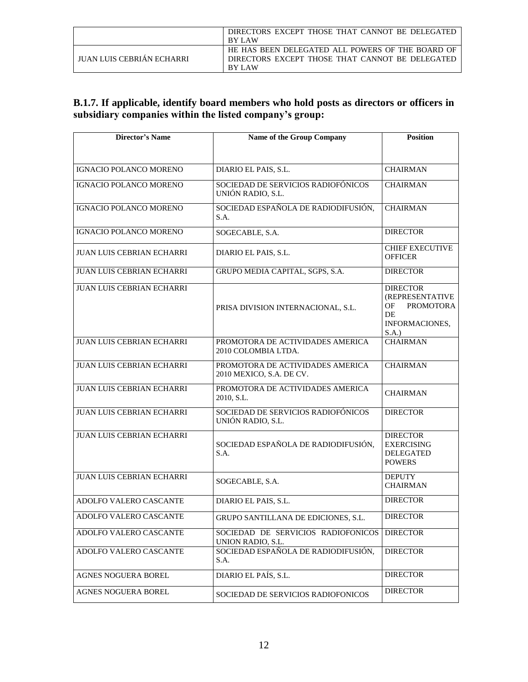|                           | DIRECTORS EXCEPT THOSE THAT CANNOT BE DELEGATED  |
|---------------------------|--------------------------------------------------|
|                           | <b>BY LAW</b>                                    |
|                           | HE HAS BEEN DELEGATED ALL POWERS OF THE BOARD OF |
| JUAN LUIS CEBRIÁN ECHARRI | DIRECTORS EXCEPT THOSE THAT CANNOT BE DELEGATED  |
|                           | <b>BY LAW</b>                                    |

# **B.1.7. If applicable, identify board members who hold posts as directors or officers in subsidiary companies within the listed company's group:**

| <b>Director's Name</b>           | Name of the Group Company                                    | <b>Position</b>                                                                              |
|----------------------------------|--------------------------------------------------------------|----------------------------------------------------------------------------------------------|
|                                  |                                                              |                                                                                              |
| <b>IGNACIO POLANCO MORENO</b>    | DIARIO EL PAIS, S.L.                                         | <b>CHAIRMAN</b>                                                                              |
| IGNACIO POLANCO MORENO           | SOCIEDAD DE SERVICIOS RADIOFÓNICOS<br>UNIÓN RADIO, S.L.      | <b>CHAIRMAN</b>                                                                              |
| IGNACIO POLANCO MORENO           | SOCIEDAD ESPAÑOLA DE RADIODIFUSIÓN,<br>S.A.                  | <b>CHAIRMAN</b>                                                                              |
| IGNACIO POLANCO MORENO           | SOGECABLE, S.A.                                              | <b>DIRECTOR</b>                                                                              |
| <b>JUAN LUIS CEBRIAN ECHARRI</b> | DIARIO EL PAIS, S.L.                                         | <b>CHIEF EXECUTIVE</b><br><b>OFFICER</b>                                                     |
| JUAN LUIS CEBRIAN ECHARRI        | GRUPO MEDIA CAPITAL, SGPS, S.A.                              | <b>DIRECTOR</b>                                                                              |
| JUAN LUIS CEBRIAN ECHARRI        | PRISA DIVISION INTERNACIONAL, S.L.                           | <b>DIRECTOR</b><br>(REPRESENTATIVE<br><b>PROMOTORA</b><br>OF<br>DE<br>INFORMACIONES,<br>S.A. |
| <b>JUAN LUIS CEBRIAN ECHARRI</b> | PROMOTORA DE ACTIVIDADES AMERICA<br>2010 COLOMBIA LTDA.      | <b>CHAIRMAN</b>                                                                              |
| JUAN LUIS CEBRIAN ECHARRI        | PROMOTORA DE ACTIVIDADES AMERICA<br>2010 MEXICO, S.A. DE CV. | <b>CHAIRMAN</b>                                                                              |
| JUAN LUIS CEBRIAN ECHARRI        | PROMOTORA DE ACTIVIDADES AMERICA<br>2010, S.L.               | <b>CHAIRMAN</b>                                                                              |
| JUAN LUIS CEBRIAN ECHARRI        | SOCIEDAD DE SERVICIOS RADIOFÓNICOS<br>UNIÓN RADIO, S.L.      | <b>DIRECTOR</b>                                                                              |
| <b>JUAN LUIS CEBRIAN ECHARRI</b> | SOCIEDAD ESPAÑOLA DE RADIODIFUSIÓN,<br>S.A.                  | <b>DIRECTOR</b><br><b>EXERCISING</b><br><b>DELEGATED</b><br><b>POWERS</b>                    |
| JUAN LUIS CEBRIAN ECHARRI        | SOGECABLE, S.A.                                              | <b>DEPUTY</b><br><b>CHAIRMAN</b>                                                             |
| ADOLFO VALERO CASCANTE           | DIARIO EL PAIS, S.L.                                         | <b>DIRECTOR</b>                                                                              |
| ADOLFO VALERO CASCANTE           | GRUPO SANTILLANA DE EDICIONES, S.L.                          | <b>DIRECTOR</b>                                                                              |
| ADOLFO VALERO CASCANTE           | SOCIEDAD DE SERVICIOS RADIOFONICOS<br>UNION RADIO, S.L.      | <b>DIRECTOR</b>                                                                              |
| ADOLFO VALERO CASCANTE           | SOCIEDAD ESPAÑOLA DE RADIODIFUSIÓN,<br>S.A.                  | <b>DIRECTOR</b>                                                                              |
| <b>AGNES NOGUERA BOREL</b>       | DIARIO EL PAÍS, S.L.                                         | <b>DIRECTOR</b>                                                                              |
| <b>AGNES NOGUERA BOREL</b>       | SOCIEDAD DE SERVICIOS RADIOFONICOS                           | <b>DIRECTOR</b>                                                                              |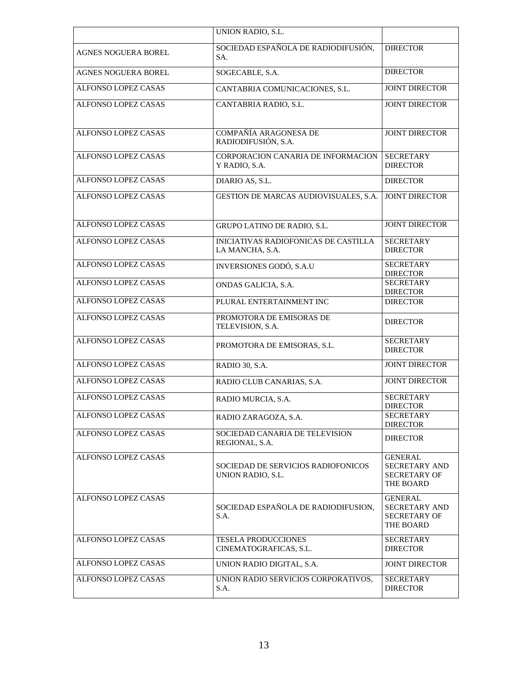|                            | UNION RADIO, S.L.                                              |                                                                            |
|----------------------------|----------------------------------------------------------------|----------------------------------------------------------------------------|
| <b>AGNES NOGUERA BOREL</b> | SOCIEDAD ESPAÑOLA DE RADIODIFUSIÓN,<br>SA.                     | <b>DIRECTOR</b>                                                            |
| <b>AGNES NOGUERA BOREL</b> | SOGECABLE, S.A.                                                | <b>DIRECTOR</b>                                                            |
| <b>ALFONSO LOPEZ CASAS</b> | CANTABRIA COMUNICACIONES, S.L.                                 | <b>JOINT DIRECTOR</b>                                                      |
| ALFONSO LOPEZ CASAS        | CANTABRIA RADIO, S.L.                                          | <b>JOINT DIRECTOR</b>                                                      |
| ALFONSO LOPEZ CASAS        | COMPAÑÍA ARAGONESA DE<br>RADIODIFUSIÓN, S.A.                   | <b>JOINT DIRECTOR</b>                                                      |
| ALFONSO LOPEZ CASAS        | CORPORACION CANARIA DE INFORMACION<br>Y RADIO, S.A.            | <b>SECRETARY</b><br><b>DIRECTOR</b>                                        |
| <b>ALFONSO LOPEZ CASAS</b> | DIARIO AS, S.L.                                                | <b>DIRECTOR</b>                                                            |
| ALFONSO LOPEZ CASAS        | GESTION DE MARCAS AUDIOVISUALES, S.A.                          | <b>JOINT DIRECTOR</b>                                                      |
| <b>ALFONSO LOPEZ CASAS</b> | GRUPO LATINO DE RADIO, S.L.                                    | <b>JOINT DIRECTOR</b>                                                      |
| <b>ALFONSO LOPEZ CASAS</b> | <b>INICIATIVAS RADIOFONICAS DE CASTILLA</b><br>LA MANCHA, S.A. | <b>SECRETARY</b><br><b>DIRECTOR</b>                                        |
| <b>ALFONSO LOPEZ CASAS</b> | INVERSIONES GODÓ, S.A.U                                        | <b>SECRETARY</b><br><b>DIRECTOR</b>                                        |
| <b>ALFONSO LOPEZ CASAS</b> | ONDAS GALICIA, S.A.                                            | <b>SECRETARY</b><br><b>DIRECTOR</b>                                        |
| <b>ALFONSO LOPEZ CASAS</b> | PLURAL ENTERTAINMENT INC                                       | <b>DIRECTOR</b>                                                            |
| <b>ALFONSO LOPEZ CASAS</b> | PROMOTORA DE EMISORAS DE<br>TELEVISION, S.A.                   | <b>DIRECTOR</b>                                                            |
| ALFONSO LOPEZ CASAS        | PROMOTORA DE EMISORAS, S.L.                                    | <b>SECRETARY</b><br><b>DIRECTOR</b>                                        |
| <b>ALFONSO LOPEZ CASAS</b> | RADIO 30, S.A.                                                 | <b>JOINT DIRECTOR</b>                                                      |
| <b>ALFONSO LOPEZ CASAS</b> | RADIO CLUB CANARIAS, S.A.                                      | <b>JOINT DIRECTOR</b>                                                      |
| ALFONSO LOPEZ CASAS        | RADIO MURCIA, S.A.                                             | <b>SECRETARY</b><br><b>DIRECTOR</b>                                        |
| <b>ALFONSO LOPEZ CASAS</b> | RADIO ZARAGOZA, S.A.                                           | <b>SECRETARY</b><br><b>DIRECTOR</b>                                        |
| ALFONSO LOPEZ CASAS        | SOCIEDAD CANARIA DE TELEVISION<br>REGIONAL, S.A.               | <b>DIRECTOR</b>                                                            |
| ALFONSO LOPEZ CASAS        | SOCIEDAD DE SERVICIOS RADIOFONICOS<br>UNION RADIO, S.L.        | <b>GENERAL</b><br><b>SECRETARY AND</b><br>SECRETARY OF<br>THE BOARD        |
| <b>ALFONSO LOPEZ CASAS</b> | SOCIEDAD ESPAÑOLA DE RADIODIFUSION,<br>S.A.                    | <b>GENERAL</b><br><b>SECRETARY AND</b><br><b>SECRETARY OF</b><br>THE BOARD |
| ALFONSO LOPEZ CASAS        | <b>TESELA PRODUCCIONES</b><br>CINEMATOGRAFICAS, S.L.           | <b>SECRETARY</b><br><b>DIRECTOR</b>                                        |
| ALFONSO LOPEZ CASAS        | UNION RADIO DIGITAL, S.A.                                      | <b>JOINT DIRECTOR</b>                                                      |
| ALFONSO LOPEZ CASAS        | UNION RADIO SERVICIOS CORPORATIVOS,<br>S.A.                    | <b>SECRETARY</b><br><b>DIRECTOR</b>                                        |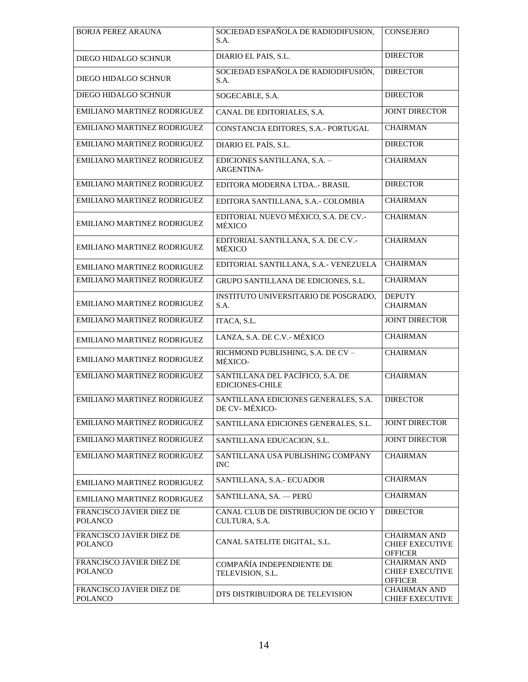| <b>BORJA PEREZ ARAUNA</b>                  | SOCIEDAD ESPAÑOLA DE RADIODIFUSION,<br>S.A.                | CONSEJERO                                                       |
|--------------------------------------------|------------------------------------------------------------|-----------------------------------------------------------------|
| DIEGO HIDALGO SCHNUR                       | DIARIO EL PAIS, S.L.                                       | <b>DIRECTOR</b>                                                 |
| DIEGO HIDALGO SCHNUR                       | SOCIEDAD ESPAÑOLA DE RADIODIFUSIÓN,<br>S.A.                | <b>DIRECTOR</b>                                                 |
| DIEGO HIDALGO SCHNUR                       | SOGECABLE, S.A.                                            | <b>DIRECTOR</b>                                                 |
| EMILIANO MARTINEZ RODRIGUEZ                | CANAL DE EDITORIALES, S.A.                                 | <b>JOINT DIRECTOR</b>                                           |
| EMILIANO MARTINEZ RODRIGUEZ                | CONSTANCIA EDITORES, S.A.- PORTUGAL                        | <b>CHAIRMAN</b>                                                 |
| EMILIANO MARTINEZ RODRIGUEZ                | DIARIO EL PAÍS, S.L.                                       | <b>DIRECTOR</b>                                                 |
| EMILIANO MARTINEZ RODRIGUEZ                | EDICIONES SANTILLANA, S.A. -<br><b>ARGENTINA-</b>          | <b>CHAIRMAN</b>                                                 |
| EMILIANO MARTINEZ RODRIGUEZ                | EDITORA MODERNA LTDA- BRASIL                               | <b>DIRECTOR</b>                                                 |
| EMILIANO MARTINEZ RODRIGUEZ                | EDITORA SANTILLANA, S.A.- COLOMBIA                         | <b>CHAIRMAN</b>                                                 |
| EMILIANO MARTINEZ RODRIGUEZ                | EDITORIAL NUEVO MÉXICO, S.A. DE CV.-<br>MÉXICO             | <b>CHAIRMAN</b>                                                 |
| EMILIANO MARTINEZ RODRIGUEZ                | EDITORIAL SANTILLANA, S.A. DE C.V.-<br>MÉXICO              | <b>CHAIRMAN</b>                                                 |
| EMILIANO MARTINEZ RODRIGUEZ                | EDITORIAL SANTILLANA, S.A.- VENEZUELA                      | <b>CHAIRMAN</b>                                                 |
| EMILIANO MARTINEZ RODRIGUEZ                | GRUPO SANTILLANA DE EDICIONES, S.L.                        | <b>CHAIRMAN</b>                                                 |
| EMILIANO MARTINEZ RODRIGUEZ                | INSTITUTO UNIVERSITARIO DE POSGRADO,<br>S.A.               | <b>DEPUTY</b><br><b>CHAIRMAN</b>                                |
| EMILIANO MARTINEZ RODRIGUEZ                | ITACA, S.L.                                                | <b>JOINT DIRECTOR</b>                                           |
| EMILIANO MARTINEZ RODRIGUEZ                | LANZA, S.A. DE C.V.- MÉXICO                                | <b>CHAIRMAN</b>                                                 |
| EMILIANO MARTINEZ RODRIGUEZ                | RICHMOND PUBLISHING, S.A. DE CV -<br>MÉXICO-               | <b>CHAIRMAN</b>                                                 |
| EMILIANO MARTINEZ RODRIGUEZ                | SANTILLANA DEL PACÍFICO, S.A. DE<br><b>EDICIONES-CHILE</b> | <b>CHAIRMAN</b>                                                 |
| EMILIANO MARTINEZ RODRIGUEZ                | SANTILLANA EDICIONES GENERALES, S.A.<br>DE CV-MÉXICO-      | <b>DIRECTOR</b>                                                 |
| EMILIANO MARTINEZ RODRIGUEZ                | SANTILLANA EDICIONES GENERALES, S.L.                       | <b>JOINT DIRECTOR</b>                                           |
| EMILIANO MARTINEZ RODRIGUEZ                | SANTILLANA EDUCACION, S.L.                                 | <b>JOINT DIRECTOR</b>                                           |
| EMILIANO MARTINEZ RODRIGUEZ                | SANTILLANA USA PUBLISHING COMPANY<br><b>INC</b>            | <b>CHAIRMAN</b>                                                 |
| EMILIANO MARTINEZ RODRIGUEZ                | SANTILLANA, S.A.- ECUADOR                                  | <b>CHAIRMAN</b>                                                 |
| EMILIANO MARTINEZ RODRIGUEZ                | SANTILLANA, SA. - PERÚ                                     | <b>CHAIRMAN</b>                                                 |
| FRANCISCO JAVIER DIEZ DE<br><b>POLANCO</b> | CANAL CLUB DE DISTRIBUCION DE OCIO Y<br>CULTURA, S.A.      | <b>DIRECTOR</b>                                                 |
| FRANCISCO JAVIER DIEZ DE<br><b>POLANCO</b> | CANAL SATELITE DIGITAL, S.L.                               | <b>CHAIRMAN AND</b><br><b>CHIEF EXECUTIVE</b><br><b>OFFICER</b> |
| FRANCISCO JAVIER DIEZ DE<br><b>POLANCO</b> | COMPAÑÍA INDEPENDIENTE DE<br>TELEVISION, S.L.              | <b>CHAIRMAN AND</b><br><b>CHIEF EXECUTIVE</b><br><b>OFFICER</b> |
| FRANCISCO JAVIER DIEZ DE<br>POLANCO        | DTS DISTRIBUIDORA DE TELEVISION                            | <b>CHAIRMAN AND</b><br><b>CHIEF EXECUTIVE</b>                   |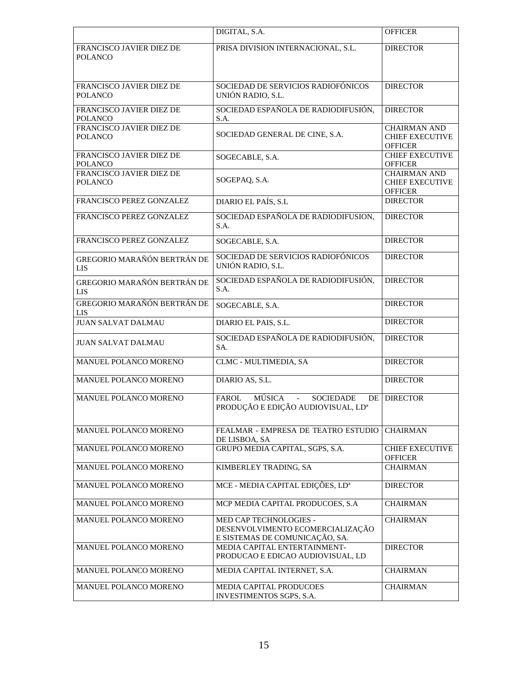|                                            | DIGITAL, S.A.                                                                                               | <b>OFFICER</b>                                                  |
|--------------------------------------------|-------------------------------------------------------------------------------------------------------------|-----------------------------------------------------------------|
| FRANCISCO JAVIER DIEZ DE<br><b>POLANCO</b> | PRISA DIVISION INTERNACIONAL, S.L.                                                                          | <b>DIRECTOR</b>                                                 |
| FRANCISCO JAVIER DIEZ DE<br><b>POLANCO</b> | SOCIEDAD DE SERVICIOS RADIOFÓNICOS<br>UNIÓN RADIO, S.L.                                                     | <b>DIRECTOR</b>                                                 |
| FRANCISCO JAVIER DIEZ DE<br><b>POLANCO</b> | SOCIEDAD ESPAÑOLA DE RADIODIFUSIÓN,<br>S.A.                                                                 | <b>DIRECTOR</b>                                                 |
| FRANCISCO JAVIER DIEZ DE<br><b>POLANCO</b> | SOCIEDAD GENERAL DE CINE, S.A.                                                                              | <b>CHAIRMAN AND</b><br><b>CHIEF EXECUTIVE</b><br>OFFICER        |
| FRANCISCO JAVIER DIEZ DE<br><b>POLANCO</b> | SOGECABLE, S.A.                                                                                             | <b>CHIEF EXECUTIVE</b><br><b>OFFICER</b>                        |
| FRANCISCO JAVIER DIEZ DE<br><b>POLANCO</b> | SOGEPAQ, S.A.                                                                                               | <b>CHAIRMAN AND</b><br><b>CHIEF EXECUTIVE</b><br><b>OFFICER</b> |
| FRANCISCO PEREZ GONZALEZ                   | DIARIO EL PAÍS, S.L                                                                                         | <b>DIRECTOR</b>                                                 |
| FRANCISCO PEREZ GONZALEZ                   | SOCIEDAD ESPAÑOLA DE RADIODIFUSION,<br>S.A.                                                                 | <b>DIRECTOR</b>                                                 |
| FRANCISCO PEREZ GONZALEZ                   | SOGECABLE, S.A.                                                                                             | <b>DIRECTOR</b>                                                 |
| GREGORIO MARAÑÓN BERTRÁN DE<br><b>LIS</b>  | SOCIEDAD DE SERVICIOS RADIOFÓNICOS<br>UNIÓN RADIO, S.L.                                                     | <b>DIRECTOR</b>                                                 |
| GREGORIO MARAÑÓN BERTRÁN DE<br><b>LIS</b>  | SOCIEDAD ESPAÑOLA DE RADIODIFUSIÓN,<br>S.A.                                                                 | <b>DIRECTOR</b>                                                 |
| GREGORIO MARAÑÓN BERTRÁN DE<br><b>LIS</b>  | SOGECABLE, S.A.                                                                                             | <b>DIRECTOR</b>                                                 |
| <b>JUAN SALVAT DALMAU</b>                  | DIARIO EL PAIS, S.L.                                                                                        | <b>DIRECTOR</b>                                                 |
| <b>JUAN SALVAT DALMAU</b>                  | SOCIEDAD ESPAÑOLA DE RADIODIFUSIÓN,<br>SA.                                                                  | <b>DIRECTOR</b>                                                 |
| MANUEL POLANCO MORENO                      | CLMC - MULTIMEDIA, SA                                                                                       | <b>DIRECTOR</b>                                                 |
| MANUEL POLANCO MORENO                      | DIARIO AS, S.L.                                                                                             | <b>DIRECTOR</b>                                                 |
| MANUEL POLANCO MORENO                      | MÚSICA<br><b>SOCIEDADE</b><br>FAROL<br>$\mathbb{L}$<br>DE<br>PRODUÇÃO E EDIÇÃO AUDIOVISUAL, LD <sup>a</sup> | <b>DIRECTOR</b>                                                 |
| MANUEL POLANCO MORENO                      | FEALMAR - EMPRESA DE TEATRO ESTUDIO<br>DE LISBOA, SA                                                        | <b>CHAIRMAN</b>                                                 |
| MANUEL POLANCO MORENO                      | GRUPO MEDIA CAPITAL, SGPS, S.A.                                                                             | <b>CHIEF EXECUTIVE</b><br><b>OFFICER</b>                        |
| MANUEL POLANCO MORENO                      | KIMBERLEY TRADING, SA                                                                                       | <b>CHAIRMAN</b>                                                 |
| MANUEL POLANCO MORENO                      | MCE - MEDIA CAPITAL EDIÇÕES, LD <sup>a</sup>                                                                | <b>DIRECTOR</b>                                                 |
| MANUEL POLANCO MORENO                      | MCP MEDIA CAPITAL PRODUCOES, S.A                                                                            | <b>CHAIRMAN</b>                                                 |
| MANUEL POLANCO MORENO                      | MED CAP TECHNOLOGIES -<br>DESENVOLVIMENTO ECOMERCIALIZAÇÃO<br>E SISTEMAS DE COMUNICAÇÃO, SA.                | <b>CHAIRMAN</b>                                                 |
| MANUEL POLANCO MORENO                      | MEDIA CAPITAL ENTERTAINMENT-<br>PRODUCAO E EDICAO AUDIOVISUAL, LD                                           | <b>DIRECTOR</b>                                                 |
| MANUEL POLANCO MORENO                      | MEDIA CAPITAL INTERNET, S.A.                                                                                | <b>CHAIRMAN</b>                                                 |
| MANUEL POLANCO MORENO                      | MEDIA CAPITAL PRODUCOES<br>INVESTIMENTOS SGPS, S.A.                                                         | <b>CHAIRMAN</b>                                                 |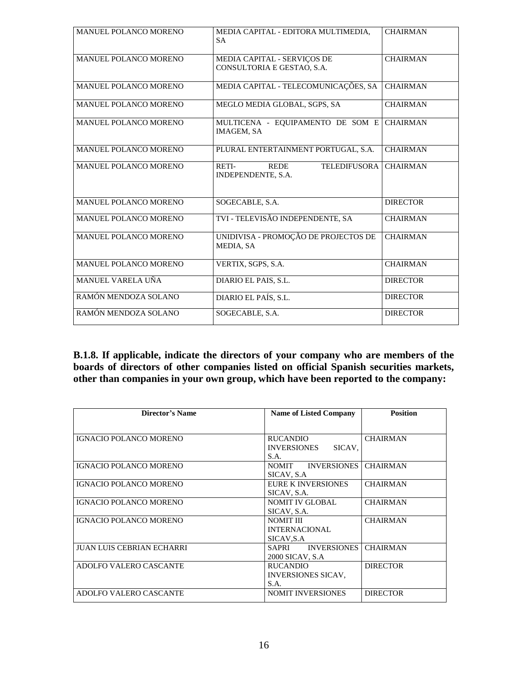| MANUEL POLANCO MORENO        | MEDIA CAPITAL - EDITORA MULTIMEDIA,<br><b>SA</b>                  | <b>CHAIRMAN</b> |
|------------------------------|-------------------------------------------------------------------|-----------------|
| MANUEL POLANCO MORENO        | MEDIA CAPITAL - SERVIÇOS DE<br>CONSULTORIA E GESTAO, S.A.         | <b>CHAIRMAN</b> |
| MANUEL POLANCO MORENO        | MEDIA CAPITAL - TELECOMUNICAÇÕES, SA                              | <b>CHAIRMAN</b> |
| MANUEL POLANCO MORENO        | MEGLO MEDIA GLOBAL, SGPS, SA                                      | <b>CHAIRMAN</b> |
| MANUEL POLANCO MORENO        | MULTICENA - EQUIPAMENTO DE SOM E<br><b>IMAGEM, SA</b>             | <b>CHAIRMAN</b> |
| <b>MANUEL POLANCO MORENO</b> | PLURAL ENTERTAINMENT PORTUGAL, S.A.                               | <b>CHAIRMAN</b> |
| <b>MANUEL POLANCO MORENO</b> | RETI-<br><b>TELEDIFUSORA</b><br><b>REDE</b><br>INDEPENDENTE, S.A. | <b>CHAIRMAN</b> |
| <b>MANUEL POLANCO MORENO</b> | SOGECABLE, S.A.                                                   | <b>DIRECTOR</b> |
| MANUEL POLANCO MORENO        | TVI - TELEVISÃO INDEPENDENTE, SA                                  | <b>CHAIRMAN</b> |
| MANUEL POLANCO MORENO        | UNIDIVISA - PROMOÇÃO DE PROJECTOS DE<br>MEDIA, SA                 | <b>CHAIRMAN</b> |
| MANUEL POLANCO MORENO        | VERTIX, SGPS, S.A.                                                | <b>CHAIRMAN</b> |
| MANUEL VARELA UÑA            | DIARIO EL PAIS, S.L.                                              | <b>DIRECTOR</b> |
| RAMÓN MENDOZA SOLANO         | DIARIO EL PAÍS, S.L.                                              | <b>DIRECTOR</b> |
| RAMÓN MENDOZA SOLANO         | SOGECABLE, S.A.                                                   | <b>DIRECTOR</b> |

**B.1.8. If applicable, indicate the directors of your company who are members of the boards of directors of other companies listed on official Spanish securities markets, other than companies in your own group, which have been reported to the company:** 

| Director's Name               | <b>Name of Listed Company</b>        | <b>Position</b> |
|-------------------------------|--------------------------------------|-----------------|
|                               |                                      |                 |
| <b>IGNACIO POLANCO MORENO</b> | <b>RUCANDIO</b>                      | <b>CHAIRMAN</b> |
|                               | <b>INVERSIONES</b><br>SICAV.<br>S.A. |                 |
| <b>IGNACIO POLANCO MORENO</b> | <b>INVERSIONES</b><br><b>NOMIT</b>   | <b>CHAIRMAN</b> |
|                               | SICAV, S.A.                          |                 |
| <b>IGNACIO POLANCO MORENO</b> | EURE K INVERSIONES                   | <b>CHAIRMAN</b> |
|                               | SICAV, S.A.                          |                 |
| <b>IGNACIO POLANCO MORENO</b> | <b>NOMIT IV GLOBAL</b>               | <b>CHAIRMAN</b> |
|                               | SICAV, S.A.                          |                 |
| <b>IGNACIO POLANCO MORENO</b> | <b>NOMIT III</b>                     | <b>CHAIRMAN</b> |
|                               | <b>INTERNACIONAL</b>                 |                 |
|                               | SICAV, S.A                           |                 |
| JUAN LUIS CEBRIAN ECHARRI     | <b>INVERSIONES</b><br>SAPRI          | <b>CHAIRMAN</b> |
|                               | 2000 SICAV, S.A.                     |                 |
| ADOLFO VALERO CASCANTE        | <b>RUCANDIO</b>                      | <b>DIRECTOR</b> |
|                               | <b>INVERSIONES SICAV,</b>            |                 |
|                               | S.A.                                 |                 |
| ADOLFO VALERO CASCANTE        | <b>NOMIT INVERSIONES</b>             | <b>DIRECTOR</b> |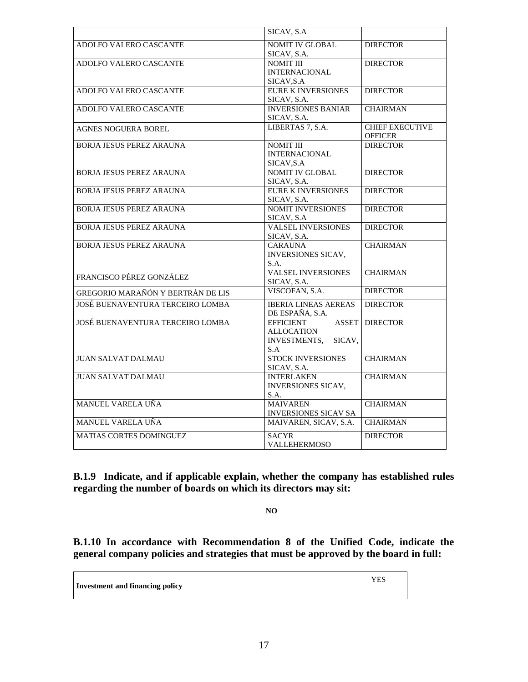|                                   | SICAV, S.A.                                                     |                                          |
|-----------------------------------|-----------------------------------------------------------------|------------------------------------------|
| ADOLFO VALERO CASCANTE            | <b>NOMIT IV GLOBAL</b><br>SICAV, S.A.                           | <b>DIRECTOR</b>                          |
| ADOLFO VALERO CASCANTE            | <b>NOMIT III</b><br><b>INTERNACIONAL</b><br>SICAV, S.A          | <b>DIRECTOR</b>                          |
| ADOLFO VALERO CASCANTE            | <b>EURE K INVERSIONES</b><br>SICAV, S.A.                        | <b>DIRECTOR</b>                          |
| ADOLFO VALERO CASCANTE            | <b>INVERSIONES BANIAR</b><br>SICAV, S.A.                        | <b>CHAIRMAN</b>                          |
| <b>AGNES NOGUERA BOREL</b>        | LIBERTAS 7, S.A.                                                | <b>CHIEF EXECUTIVE</b><br><b>OFFICER</b> |
| <b>BORJA JESUS PEREZ ARAUNA</b>   | <b>NOMIT III</b><br><b>INTERNACIONAL</b><br>SICAV, S.A          | <b>DIRECTOR</b>                          |
| <b>BORJA JESUS PEREZ ARAUNA</b>   | <b>NOMIT IV GLOBAL</b><br>SICAV, S.A.                           | <b>DIRECTOR</b>                          |
| <b>BORJA JESUS PEREZ ARAUNA</b>   | <b>EURE K INVERSIONES</b><br>SICAV, S.A.                        | <b>DIRECTOR</b>                          |
| <b>BORJA JESUS PEREZ ARAUNA</b>   | <b>NOMIT INVERSIONES</b><br>SICAV, S.A                          | <b>DIRECTOR</b>                          |
| <b>BORJA JESUS PEREZ ARAUNA</b>   | <b>VALSEL INVERSIONES</b><br>SICAV, S.A.                        | <b>DIRECTOR</b>                          |
| <b>BORJA JESUS PEREZ ARAUNA</b>   | <b>CARAUNA</b><br><b>INVERSIONES SICAV.</b><br>S.A.             | <b>CHAIRMAN</b>                          |
| FRANCISCO PÉREZ GONZÁLEZ          | <b>VALSEL INVERSIONES</b><br>SICAV, S.A.                        | <b>CHAIRMAN</b>                          |
| GREGORIO MARAÑÓN Y BERTRÁN DE LIS | VISCOFAN, S.A.                                                  | <b>DIRECTOR</b>                          |
| JOSÉ BUENAVENTURA TERCEIRO LOMBA  | <b>IBERIA LINEAS AEREAS</b><br>DE ESPAÑA, S.A.                  | <b>DIRECTOR</b>                          |
| JOSÉ BUENAVENTURA TERCEIRO LOMBA  | <b>EFFICIENT</b><br>ALLOCATION<br>INVESTMENTS,<br>SICAV.<br>S.A | <b>ASSET DIRECTOR</b>                    |
| <b>JUAN SALVAT DALMAU</b>         | <b>STOCK INVERSIONES</b><br>SICAV, S.A.                         | <b>CHAIRMAN</b>                          |
| <b>JUAN SALVAT DALMAU</b>         | <b>INTERLAKEN</b><br><b>INVERSIONES SICAV,</b><br>S.A.          | <b>CHAIRMAN</b>                          |
| MANUEL VARELA UÑA                 | <b>MAIVAREN</b><br><b>INVERSIONES SICAV SA</b>                  | <b>CHAIRMAN</b>                          |
| MANUEL VARELA UÑA                 | MAIVAREN, SICAV, S.A.                                           | <b>CHAIRMAN</b>                          |
| <b>MATIAS CORTES DOMINGUEZ</b>    | <b>SACYR</b><br><b>VALLEHERMOSO</b>                             | <b>DIRECTOR</b>                          |

**B.1.9 Indicate, and if applicable explain, whether the company has established rules regarding the number of boards on which its directors may sit:**

**NO**

YES

**B.1.10 In accordance with Recommendation 8 of the Unified Code, indicate the general company policies and strategies that must be approved by the board in full:** 

**Investment and financing policy**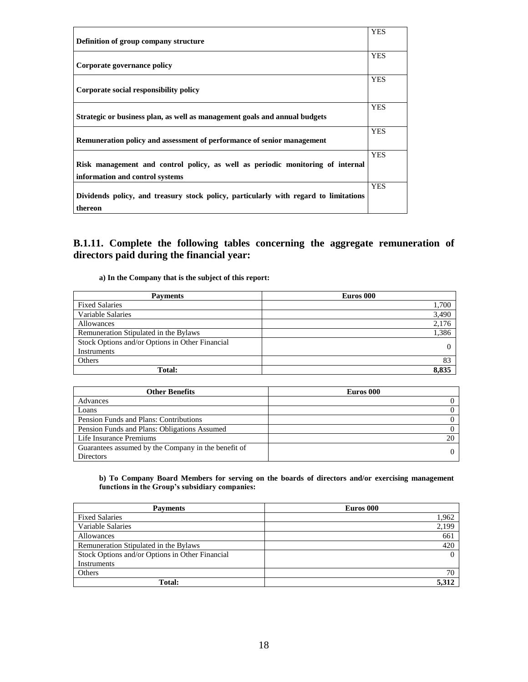| Definition of group company structure                                                                             | <b>YES</b> |
|-------------------------------------------------------------------------------------------------------------------|------------|
| Corporate governance policy                                                                                       | <b>YES</b> |
| Corporate social responsibility policy                                                                            | <b>YES</b> |
| Strategic or business plan, as well as management goals and annual budgets                                        | <b>YES</b> |
| Remuneration policy and assessment of performance of senior management                                            | <b>YES</b> |
| Risk management and control policy, as well as periodic monitoring of internal<br>information and control systems | <b>YES</b> |
| Dividends policy, and treasury stock policy, particularly with regard to limitations<br>thereon                   | <b>YES</b> |

**B.1.11. Complete the following tables concerning the aggregate remuneration of directors paid during the financial year:** 

**a) In the Company that is the subject of this report:**

| <b>Payments</b>                                 | Euros 000 |
|-------------------------------------------------|-----------|
| <b>Fixed Salaries</b>                           | 1,700     |
| Variable Salaries                               | 3,490     |
| Allowances                                      | 2,176     |
| Remuneration Stipulated in the Bylaws           | 1,386     |
| Stock Options and/or Options in Other Financial |           |
| Instruments                                     |           |
| Others                                          | 83        |
| Total:                                          | 8,835     |

| <b>Other Benefits</b>                               | Euros 000 |
|-----------------------------------------------------|-----------|
| Advances                                            |           |
| Loans                                               |           |
| Pension Funds and Plans: Contributions              |           |
| Pension Funds and Plans: Obligations Assumed        |           |
| Life Insurance Premiums                             | 20        |
| Guarantees assumed by the Company in the benefit of |           |
| <b>Directors</b>                                    |           |

#### **b) To Company Board Members for serving on the boards of directors and/or exercising management functions in the Group's subsidiary companies:**

| <b>Payments</b>                                 | Euros 000 |
|-------------------------------------------------|-----------|
| <b>Fixed Salaries</b>                           | 1,962     |
| Variable Salaries                               | 2,199     |
| Allowances                                      | 661       |
| Remuneration Stipulated in the Bylaws           | 420       |
| Stock Options and/or Options in Other Financial |           |
| Instruments                                     |           |
| Others                                          | 70        |
| Total:                                          | 5,312     |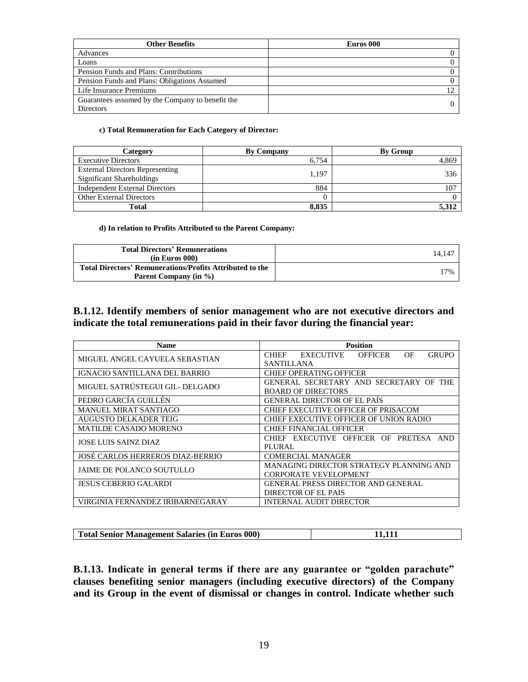| <b>Other Benefits</b>                            | Euros 000 |
|--------------------------------------------------|-----------|
| Advances                                         |           |
| Loans                                            |           |
| Pension Funds and Plans: Contributions           |           |
| Pension Funds and Plans: Obligations Assumed     |           |
| Life Insurance Premiums                          |           |
| Guarantees assumed by the Company to benefit the |           |
| <b>Directors</b>                                 |           |

### **c) Total Remuneration for Each Category of Director:**

| Category                                                            | <b>By Company</b> | <b>By Group</b> |
|---------------------------------------------------------------------|-------------------|-----------------|
| <b>Executive Directors</b>                                          | 6.754             | 4,869           |
| <b>External Directors Representing</b><br>Significant Shareholdings | 1.197             | 336             |
| <b>Independent External Directors</b>                               | 884               | 107             |
| <b>Other External Directors</b>                                     |                   |                 |
| <b>Total</b>                                                        | 8.835             | 5.312           |

### **d) In relation to Profits Attributed to the Parent Company:**

| <b>Total Directors' Remunerations</b><br>(in Euros 000)                           | 14.14 |
|-----------------------------------------------------------------------------------|-------|
| Total Directors' Remunerations/Profits Attributed to the<br>Parent Company (in %) | 17%   |

## **B.1.12. Identify members of senior management who are not executive directors and indicate the total remunerations paid in their favor during the financial year:**

| <b>Name</b>                             | <b>Position</b>                                                           |  |  |
|-----------------------------------------|---------------------------------------------------------------------------|--|--|
| MIGUEL ANGEL CAYUELA SEBASTIAN          | <b>OFFICER</b><br><b>GRUPO</b><br><b>CHIEF</b><br><b>EXECUTIVE</b><br>OF. |  |  |
|                                         | <b>SANTILLANA</b>                                                         |  |  |
| IGNACIO SANTILLANA DEL BARRIO           | CHIEF OPERATING OFFICER                                                   |  |  |
| MIGUEL SATRÚSTEGUI GIL- DELGADO         | GENERAL SECRETARY AND SECRETARY OF THE                                    |  |  |
|                                         | <b>BOARD OF DIRECTORS</b>                                                 |  |  |
| PEDRO GARCÍA GUILLÉN                    | GENERAL DIRECTOR OF EL PAÍS                                               |  |  |
| <b>MANUEL MIRAT SANTIAGO</b>            | CHIEF EXECUTIVE OFFICER OF PRISACOM                                       |  |  |
| <b>AUGUSTO DELKADER TEIG</b>            | CHIEF EXECUTIVE OFFICER OF UNION RADIO                                    |  |  |
| <b>MATILDE CASADO MORENO</b>            | <b>CHIEF FINANCIAL OFFICER</b>                                            |  |  |
| <b>JOSE LUIS SAINZ DIAZ</b>             | CHIEF EXECUTIVE OFFICER OF PRETESA AND                                    |  |  |
|                                         | PLURAL                                                                    |  |  |
| <b>JOSÉ CARLOS HERREROS DIAZ-BERRIO</b> | <b>COMERCIAL MANAGER</b>                                                  |  |  |
| JAIME DE POLANCO SOUTULLO               | MANAGING DIRECTOR STRATEGY PLANNING AND                                   |  |  |
|                                         | <b>CORPORATE VEVELOPMENT</b>                                              |  |  |
| <b>JESUS CEBERIO GALARDI</b>            | <b>GENERAL PRESS DIRECTOR AND GENERAL</b>                                 |  |  |
|                                         | DIRECTOR OF EL PAIS                                                       |  |  |
| VIRGINIA FERNANDEZ IRIBARNEGARAY        | INTERNAL AUDIT DIRECTOR                                                   |  |  |

| Total Senior Management Salaries (in Euros 000) |  |
|-------------------------------------------------|--|

**B.1.13. Indicate in general terms if there are any guarantee or "golden parachute" clauses benefiting senior managers (including executive directors) of the Company and its Group in the event of dismissal or changes in control. Indicate whether such**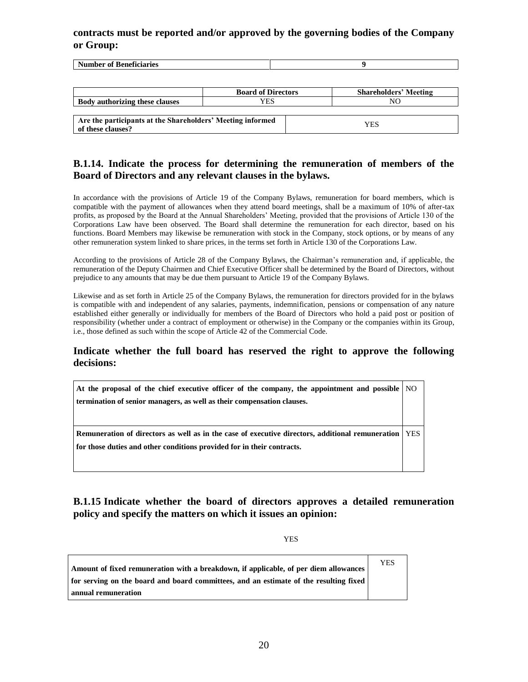## **contracts must be reported and/or approved by the governing bodies of the Company or Group:**

| $-1$<br>---------<br>.<br>$\Omega$<br>.<br>. |  |
|----------------------------------------------|--|
|                                              |  |

|                                                                                 | <b>Board of Directors</b> | <b>Shareholders' Meeting</b> |
|---------------------------------------------------------------------------------|---------------------------|------------------------------|
| <b>Body authorizing these clauses</b>                                           | YES                       | NC                           |
|                                                                                 |                           |                              |
| Are the participants at the Shareholders' Meeting informed<br>of these clauses? |                           | YES                          |

## **B.1.14. Indicate the process for determining the remuneration of members of the Board of Directors and any relevant clauses in the bylaws.**

In accordance with the provisions of Article 19 of the Company Bylaws, remuneration for board members, which is compatible with the payment of allowances when they attend board meetings, shall be a maximum of 10% of after-tax profits, as proposed by the Board at the Annual Shareholders' Meeting, provided that the provisions of Article 130 of the Corporations Law have been observed. The Board shall determine the remuneration for each director, based on his functions. Board Members may likewise be remuneration with stock in the Company, stock options, or by means of any other remuneration system linked to share prices, in the terms set forth in Article 130 of the Corporations Law.

According to the provisions of Article 28 of the Company Bylaws, the Chairman's remuneration and, if applicable, the remuneration of the Deputy Chairmen and Chief Executive Officer shall be determined by the Board of Directors, without prejudice to any amounts that may be due them pursuant to Article 19 of the Company Bylaws.

Likewise and as set forth in Article 25 of the Company Bylaws, the remuneration for directors provided for in the bylaws is compatible with and independent of any salaries, payments, indemnification, pensions or compensation of any nature established either generally or individually for members of the Board of Directors who hold a paid post or position of responsibility (whether under a contract of employment or otherwise) in the Company or the companies within its Group, i.e., those defined as such within the scope of Article 42 of the Commercial Code.

## **Indicate whether the full board has reserved the right to approve the following decisions:**

**At the proposal of the chief executive officer of the company, the appointment and possible termination of senior managers, as well as their compensation clauses.** NO

**Remuneration of directors as well as in the case of executive directors, additional remuneration for those duties and other conditions provided for in their contracts.** YES

## **B.1.15 Indicate whether the board of directors approves a detailed remuneration policy and specify the matters on which it issues an opinion:**

YES

| Amount of fixed remuneration with a breakdown, if applicable, of per diem allowances  | YES |
|---------------------------------------------------------------------------------------|-----|
| for serving on the board and board committees, and an estimate of the resulting fixed |     |
| annual remuneration                                                                   |     |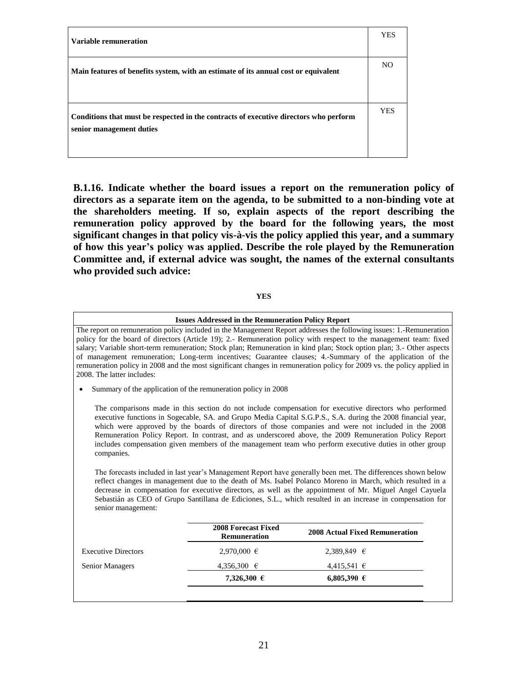| <b>Variable remuneration</b>                                                                                      | <b>YES</b> |
|-------------------------------------------------------------------------------------------------------------------|------------|
| Main features of benefits system, with an estimate of its annual cost or equivalent                               | NO.        |
| Conditions that must be respected in the contracts of executive directors who perform<br>senior management duties | <b>YES</b> |

**B.1.16. Indicate whether the board issues a report on the remuneration policy of directors as a separate item on the agenda, to be submitted to a non-binding vote at the shareholders meeting. If so, explain aspects of the report describing the remuneration policy approved by the board for the following years, the most significant changes in that policy vis-à-vis the policy applied this year, and a summary of how this year's policy was applied. Describe the role played by the Remuneration Committee and, if external advice was sought, the names of the external consultants who provided such advice:**

| ۰,<br>۰. |
|----------|
|----------|

|                                  | <b>Issues Addressed in the Remuneration Policy Report</b>     |                                                                                                                                                                                                                                                                                                                                                                                                                                                                                                                                                                                                                                                                                                                                                                                                                                                                                                                                                                                                          |  |
|----------------------------------|---------------------------------------------------------------|----------------------------------------------------------------------------------------------------------------------------------------------------------------------------------------------------------------------------------------------------------------------------------------------------------------------------------------------------------------------------------------------------------------------------------------------------------------------------------------------------------------------------------------------------------------------------------------------------------------------------------------------------------------------------------------------------------------------------------------------------------------------------------------------------------------------------------------------------------------------------------------------------------------------------------------------------------------------------------------------------------|--|
| 2008. The latter includes:       |                                                               | The report on remuneration policy included in the Management Report addresses the following issues: 1.-Remuneration<br>policy for the board of directors (Article 19); 2.- Remuneration policy with respect to the management team: fixed<br>salary; Variable short-term remuneration; Stock plan; Remuneration in kind plan; Stock option plan; 3.- Other aspects<br>of management remuneration; Long-term incentives; Guarantee clauses; 4.-Summary of the application of the<br>remuneration policy in 2008 and the most significant changes in remuneration policy for 2009 vs. the policy applied in                                                                                                                                                                                                                                                                                                                                                                                                |  |
|                                  | Summary of the application of the remuneration policy in 2008 |                                                                                                                                                                                                                                                                                                                                                                                                                                                                                                                                                                                                                                                                                                                                                                                                                                                                                                                                                                                                          |  |
| companies.<br>senior management: |                                                               | The comparisons made in this section do not include compensation for executive directors who performed<br>executive functions in Sogecable, SA. and Grupo Media Capital S.G.P.S., S.A. during the 2008 financial year,<br>which were approved by the boards of directors of those companies and were not included in the 2008<br>Remuneration Policy Report. In contrast, and as underscored above, the 2009 Remuneration Policy Report<br>includes compensation given members of the management team who perform executive duties in other group<br>The forecasts included in last year's Management Report have generally been met. The differences shown below<br>reflect changes in management due to the death of Ms. Isabel Polanco Moreno in March, which resulted in a<br>decrease in compensation for executive directors, as well as the appointment of Mr. Miguel Angel Cayuela<br>Sebastián as CEO of Grupo Santillana de Ediciones, S.L., which resulted in an increase in compensation for |  |
|                                  | 2008 Forecast Fixed<br><b>Remuneration</b>                    | <b>2008 Actual Fixed Remuneration</b>                                                                                                                                                                                                                                                                                                                                                                                                                                                                                                                                                                                                                                                                                                                                                                                                                                                                                                                                                                    |  |
| <b>Executive Directors</b>       | $2.970,000 \in$                                               | 2.389.849 €                                                                                                                                                                                                                                                                                                                                                                                                                                                                                                                                                                                                                                                                                                                                                                                                                                                                                                                                                                                              |  |
| Senior Managers                  | 4,356,300 €                                                   | $4,415,541$ €                                                                                                                                                                                                                                                                                                                                                                                                                                                                                                                                                                                                                                                                                                                                                                                                                                                                                                                                                                                            |  |
|                                  | 7,326,300 €                                                   | 6,805,390 €                                                                                                                                                                                                                                                                                                                                                                                                                                                                                                                                                                                                                                                                                                                                                                                                                                                                                                                                                                                              |  |
|                                  |                                                               |                                                                                                                                                                                                                                                                                                                                                                                                                                                                                                                                                                                                                                                                                                                                                                                                                                                                                                                                                                                                          |  |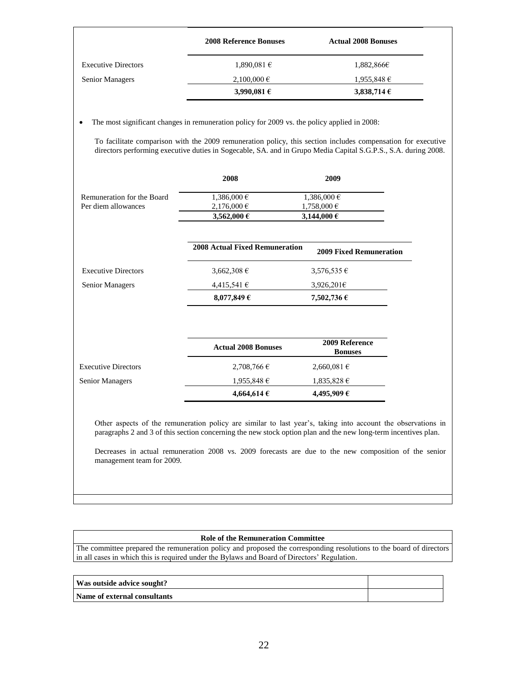| <b>2008 Reference Bonuses</b> | <b>Actual 2008 Bonuses</b> |
|-------------------------------|----------------------------|
| $1,890,081 \in$               | 1,882,866€                 |
| $2,100,000 \in$               | $1,955,848 \in$            |
| 3,990,081 $\epsilon$          | 3,838,714 $\epsilon$       |
|                               |                            |

• The most significant changes in remuneration policy for 2009 vs. the policy applied in 2008:

To facilitate comparison with the 2009 remuneration policy, this section includes compensation for executive directors performing executive duties in Sogecable, SA. and in Grupo Media Capital S.G.P.S., S.A. during 2008.

|                            | 2008                                  | 2009                             |
|----------------------------|---------------------------------------|----------------------------------|
| Remuneration for the Board | 1,386,000 €                           | 1,386,000 €                      |
| Per diem allowances        | $2,176,000 \in$                       | 1,758,000 €                      |
|                            | 3,562,000 €                           | 3,144,000 €                      |
|                            | <b>2008 Actual Fixed Remuneration</b> | <b>2009 Fixed Remuneration</b>   |
| <b>Executive Directors</b> | 3,662,308 €                           | $3,576,535 \in$                  |
| Senior Managers            | $4,415,541 \in$                       | 3,926,201 $\epsilon$             |
|                            | 8,077,849 $\epsilon$                  | 7,502,736 €                      |
|                            | <b>Actual 2008 Bonuses</b>            | 2009 Reference<br><b>Bonuses</b> |
| <b>Executive Directors</b> | $2,708,766 \in$                       | 2,660,081 €                      |
| Senior Managers            | $1,955,848 \in$                       | $1,835,828 \in$                  |
|                            | 4,664,614 €                           | 4,495,909€                       |

Other aspects of the remuneration policy are similar to last year's, taking into account the observations in paragraphs 2 and 3 of this section concerning the new stock option plan and the new long-term incentives plan.

Decreases in actual remuneration 2008 vs. 2009 forecasts are due to the new composition of the senior management team for 2009.

### **Role of the Remuneration Committee**

The committee prepared the remuneration policy and proposed the corresponding resolutions to the board of directors in all cases in which this is required under the Bylaws and Board of Directors' Regulation.

| Was outside advice sought?          |  |
|-------------------------------------|--|
| <b>Name of external consultants</b> |  |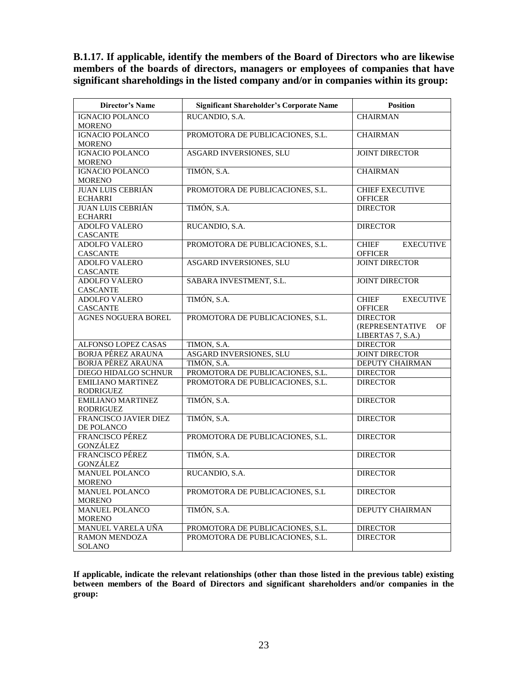**B.1.17. If applicable, identify the members of the Board of Directors who are likewise members of the boards of directors, managers or employees of companies that have significant shareholdings in the listed company and/or in companies within its group:** 

| <b>Director's Name</b>                    | <b>Significant Shareholder's Corporate Name</b> | <b>Position</b>                  |  |
|-------------------------------------------|-------------------------------------------------|----------------------------------|--|
| <b>IGNACIO POLANCO</b>                    | RUCANDIO, S.A.                                  | <b>CHAIRMAN</b>                  |  |
| <b>MORENO</b>                             |                                                 |                                  |  |
| <b>IGNACIO POLANCO</b>                    | PROMOTORA DE PUBLICACIONES, S.L.                | <b>CHAIRMAN</b>                  |  |
| <b>MORENO</b><br><b>IGNACIO POLANCO</b>   | ASGARD INVERSIONES, SLU                         | <b>JOINT DIRECTOR</b>            |  |
| <b>MORENO</b>                             |                                                 |                                  |  |
| <b>IGNACIO POLANCO</b>                    | TIMÓN, S.A.                                     | <b>CHAIRMAN</b>                  |  |
| <b>MORENO</b>                             |                                                 |                                  |  |
| <b>JUAN LUIS CEBRIÁN</b>                  | PROMOTORA DE PUBLICACIONES, S.L.                | <b>CHIEF EXECUTIVE</b>           |  |
| <b>ECHARRI</b>                            |                                                 | <b>OFFICER</b>                   |  |
| <b>JUAN LUIS CEBRIÁN</b>                  | TIMÓN, S.A.                                     | <b>DIRECTOR</b>                  |  |
| <b>ECHARRI</b>                            |                                                 |                                  |  |
| <b>ADOLFO VALERO</b>                      | RUCANDIO, S.A.                                  | <b>DIRECTOR</b>                  |  |
| <b>CASCANTE</b>                           |                                                 |                                  |  |
| <b>ADOLFO VALERO</b>                      | PROMOTORA DE PUBLICACIONES, S.L.                | <b>CHIEF</b><br><b>EXECUTIVE</b> |  |
| <b>CASCANTE</b>                           |                                                 | <b>OFFICER</b>                   |  |
| <b>ADOLFO VALERO</b>                      | ASGARD INVERSIONES, SLU                         | <b>JOINT DIRECTOR</b>            |  |
| <b>CASCANTE</b><br><b>ADOLFO VALERO</b>   | SABARA INVESTMENT, S.L.                         | <b>JOINT DIRECTOR</b>            |  |
| <b>CASCANTE</b>                           |                                                 |                                  |  |
| <b>ADOLFO VALERO</b>                      | TIMÓN, S.A.                                     | <b>CHIEF</b><br><b>EXECUTIVE</b> |  |
| <b>CASCANTE</b>                           |                                                 | <b>OFFICER</b>                   |  |
| AGNES NOGUERA BOREL                       | PROMOTORA DE PUBLICACIONES, S.L.                | <b>DIRECTOR</b>                  |  |
|                                           |                                                 | (REPRESENTATIVE<br>OF            |  |
|                                           |                                                 | LIBERTAS 7, S.A.)                |  |
| ALFONSO LOPEZ CASAS                       | TIMON, S.A.                                     | <b>DIRECTOR</b>                  |  |
| <b>BORJA PÉREZ ARAUNA</b>                 | ASGARD INVERSIONES, SLU                         | <b>JOINT DIRECTOR</b>            |  |
| <b>BORJA PÉREZ ARAUNA</b>                 | TIMÓN, S.A.                                     | DEPUTY CHAIRMAN                  |  |
| DIEGO HIDALGO SCHNUR                      | PROMOTORA DE PUBLICACIONES, S.L.                | <b>DIRECTOR</b>                  |  |
| <b>EMILIANO MARTINEZ</b>                  | PROMOTORA DE PUBLICACIONES, S.L.                | <b>DIRECTOR</b>                  |  |
| RODRIGUEZ                                 |                                                 |                                  |  |
| <b>EMILIANO MARTINEZ</b>                  | TIMÓN, S.A.                                     | <b>DIRECTOR</b>                  |  |
| <b>RODRIGUEZ</b><br>FRANCISCO JAVIER DIEZ | TIMÓN, S.A.                                     | <b>DIRECTOR</b>                  |  |
| DE POLANCO                                |                                                 |                                  |  |
| <b>FRANCISCO PÉREZ</b>                    | PROMOTORA DE PUBLICACIONES, S.L.                | <b>DIRECTOR</b>                  |  |
| GONZÁLEZ                                  |                                                 |                                  |  |
| FRANCISCO PÉREZ                           | TIMÓN, S.A.                                     | <b>DIRECTOR</b>                  |  |
| <b>GONZÁLEZ</b>                           |                                                 |                                  |  |
| <b>MANUEL POLANCO</b>                     | RUCANDIO, S.A.                                  | <b>DIRECTOR</b>                  |  |
| <b>MORENO</b>                             |                                                 |                                  |  |
| MANUEL POLANCO                            | PROMOTORA DE PUBLICACIONES, S.L.                | <b>DIRECTOR</b>                  |  |
| <b>MORENO</b>                             |                                                 |                                  |  |
| MANUEL POLANCO                            | TIMÓN, S.A.                                     | <b>DEPUTY CHAIRMAN</b>           |  |
| <b>MORENO</b>                             |                                                 |                                  |  |
| MANUEL VARELA UÑA                         | PROMOTORA DE PUBLICACIONES, S.L.                | <b>DIRECTOR</b>                  |  |
| RAMON MENDOZA                             | PROMOTORA DE PUBLICACIONES, S.L.                | <b>DIRECTOR</b>                  |  |
| <b>SOLANO</b>                             |                                                 |                                  |  |

**If applicable, indicate the relevant relationships (other than those listed in the previous table) existing between members of the Board of Directors and significant shareholders and/or companies in the group:**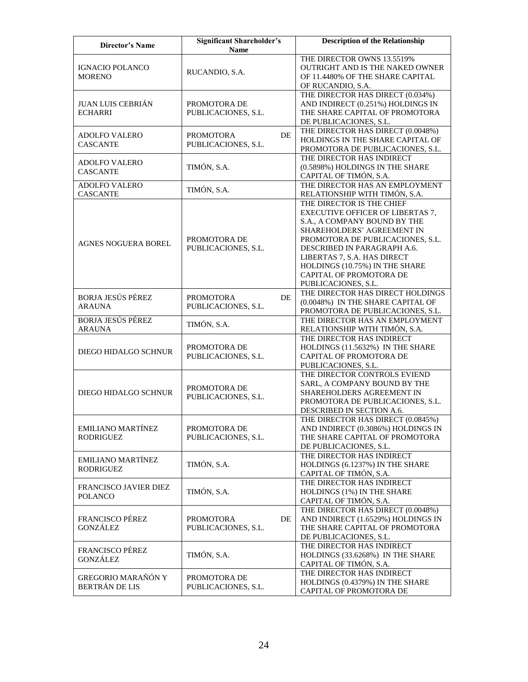| <b>Director's Name</b>                         | <b>Significant Shareholder's</b><br><b>Name</b> |    | <b>Description of the Relationship</b>                                                                                                                                                                                                                                                                                   |
|------------------------------------------------|-------------------------------------------------|----|--------------------------------------------------------------------------------------------------------------------------------------------------------------------------------------------------------------------------------------------------------------------------------------------------------------------------|
| <b>IGNACIO POLANCO</b><br><b>MORENO</b>        | RUCANDIO, S.A.                                  |    | THE DIRECTOR OWNS 13.5519%<br>OUTRIGHT AND IS THE NAKED OWNER<br>OF 11.4480% OF THE SHARE CAPITAL<br>OF RUCANDIO, S.A.                                                                                                                                                                                                   |
| <b>JUAN LUIS CEBRIÁN</b><br><b>ECHARRI</b>     | PROMOTORA DE<br>PUBLICACIONES, S.L.             |    | THE DIRECTOR HAS DIRECT (0.034%)<br>AND INDIRECT (0.251%) HOLDINGS IN<br>THE SHARE CAPITAL OF PROMOTORA<br>DE PUBLICACIONES, S.L.                                                                                                                                                                                        |
| <b>ADOLFO VALERO</b><br><b>CASCANTE</b>        | <b>PROMOTORA</b><br>PUBLICACIONES, S.L.         | DE | THE DIRECTOR HAS DIRECT (0.0048%)<br>HOLDINGS IN THE SHARE CAPITAL OF<br>PROMOTORA DE PUBLICACIONES, S.L.                                                                                                                                                                                                                |
| <b>ADOLFO VALERO</b><br><b>CASCANTE</b>        | TIMÓN, S.A.                                     |    | THE DIRECTOR HAS INDIRECT<br>(0.5898%) HOLDINGS IN THE SHARE<br>CAPITAL OF TIMÓN, S.A.                                                                                                                                                                                                                                   |
| <b>ADOLFO VALERO</b><br><b>CASCANTE</b>        | TIMÓN, S.A.                                     |    | THE DIRECTOR HAS AN EMPLOYMENT<br>RELATIONSHIP WITH TIMÓN, S.A.                                                                                                                                                                                                                                                          |
| <b>AGNES NOGUERA BOREL</b>                     | PROMOTORA DE<br>PUBLICACIONES, S.L.             |    | THE DIRECTOR IS THE CHIEF<br><b>EXECUTIVE OFFICER OF LIBERTAS 7,</b><br>S.A., A COMPANY BOUND BY THE<br>SHAREHOLDERS' AGREEMENT IN<br>PROMOTORA DE PUBLICACIONES, S.L.<br>DESCRIBED IN PARAGRAPH A.6.<br>LIBERTAS 7, S.A. HAS DIRECT<br>HOLDINGS (10.75%) IN THE SHARE<br>CAPITAL OF PROMOTORA DE<br>PUBLICACIONES, S.L. |
| <b>BORJA JESÚS PÉREZ</b><br><b>ARAUNA</b>      | <b>PROMOTORA</b><br>PUBLICACIONES, S.L.         | DE | THE DIRECTOR HAS DIRECT HOLDINGS<br>(0.0048%) IN THE SHARE CAPITAL OF<br>PROMOTORA DE PUBLICACIONES, S.L.                                                                                                                                                                                                                |
| <b>BORJA JESÚS PÉREZ</b><br><b>ARAUNA</b>      | TIMÓN, S.A.                                     |    | THE DIRECTOR HAS AN EMPLOYMENT<br>RELATIONSHIP WITH TIMÓN, S.A.                                                                                                                                                                                                                                                          |
| DIEGO HIDALGO SCHNUR                           | PROMOTORA DE<br>PUBLICACIONES, S.L.             |    | THE DIRECTOR HAS INDIRECT<br>HOLDINGS (11.5632%) IN THE SHARE<br>CAPITAL OF PROMOTORA DE<br>PUBLICACIONES, S.L.                                                                                                                                                                                                          |
| DIEGO HIDALGO SCHNUR                           | PROMOTORA DE<br>PUBLICACIONES, S.L.             |    | THE DIRECTOR CONTROLS EVIEND<br>SARL, A COMPANY BOUND BY THE<br>SHAREHOLDERS AGREEMENT IN<br>PROMOTORA DE PUBLICACIONES, S.L.<br>DESCRIBED IN SECTION A.6.                                                                                                                                                               |
| <b>EMILIANO MARTÍNEZ</b><br><b>RODRIGUEZ</b>   | PROMOTORA DE<br>PUBLICACIONES, S.L.             |    | THE DIRECTOR HAS DIRECT (0.0845%)<br>AND INDIRECT (0.3086%) HOLDINGS IN<br>THE SHARE CAPITAL OF PROMOTORA<br>DE PUBLICACIONES, S.L.                                                                                                                                                                                      |
| <b>EMILIANO MARTÍNEZ</b><br><b>RODRIGUEZ</b>   | TIMÓN, S.A.                                     |    | THE DIRECTOR HAS INDIRECT<br>HOLDINGS (6.1237%) IN THE SHARE<br>CAPITAL OF TIMÓN, S.A.                                                                                                                                                                                                                                   |
| <b>FRANCISCO JAVIER DIEZ</b><br><b>POLANCO</b> | TIMÓN, S.A.                                     |    | THE DIRECTOR HAS INDIRECT<br>HOLDINGS (1%) IN THE SHARE<br>CAPITAL OF TIMÓN, S.A.                                                                                                                                                                                                                                        |
| FRANCISCO PÉREZ<br><b>GONZÁLEZ</b>             | <b>PROMOTORA</b><br>PUBLICACIONES, S.L.         | DE | THE DIRECTOR HAS DIRECT (0.0048%)<br>AND INDIRECT (1.6529%) HOLDINGS IN<br>THE SHARE CAPITAL OF PROMOTORA<br>DE PUBLICACIONES, S.L.                                                                                                                                                                                      |
| FRANCISCO PÉREZ<br>GONZÁLEZ                    | TIMÓN, S.A.                                     |    | THE DIRECTOR HAS INDIRECT<br>HOLDINGS (33.6268%) IN THE SHARE<br>CAPITAL OF TIMÓN, S.A.                                                                                                                                                                                                                                  |
| GREGORIO MARAÑÓN Y<br>BERTRÁN DE LIS           | PROMOTORA DE<br>PUBLICACIONES, S.L.             |    | THE DIRECTOR HAS INDIRECT<br>HOLDINGS (0.4379%) IN THE SHARE<br>CAPITAL OF PROMOTORA DE                                                                                                                                                                                                                                  |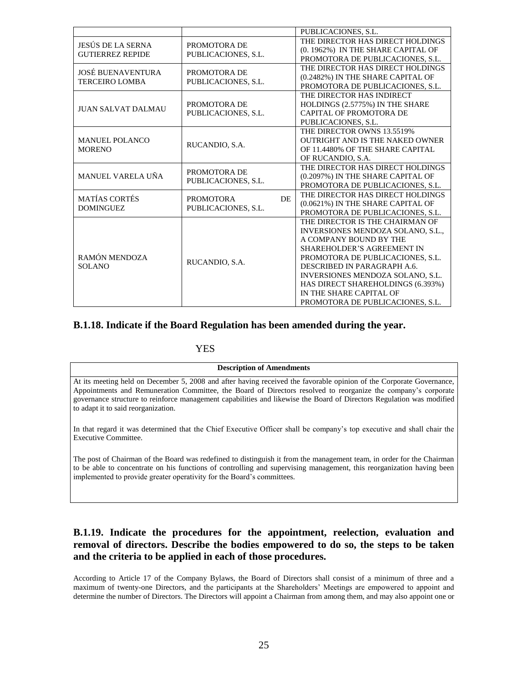|                                |                     |           | PUBLICACIONES, S.L.                    |
|--------------------------------|---------------------|-----------|----------------------------------------|
| <b>JESÚS DE LA SERNA</b>       | PROMOTORA DE        |           | THE DIRECTOR HAS DIRECT HOLDINGS       |
| <b>GUTIERREZ REPIDE</b>        | PUBLICACIONES, S.L. |           | (0. 1962%) IN THE SHARE CAPITAL OF     |
|                                |                     |           | PROMOTORA DE PUBLICACIONES, S.L.       |
| JOSÉ BUENAVENTURA              | PROMOTORA DE        |           | THE DIRECTOR HAS DIRECT HOLDINGS       |
| <b>TERCEIRO LOMBA</b>          | PUBLICACIONES, S.L. |           | (0.2482%) IN THE SHARE CAPITAL OF      |
|                                |                     |           | PROMOTORA DE PUBLICACIONES, S.L.       |
|                                |                     |           | THE DIRECTOR HAS INDIRECT              |
| <b>JUAN SALVAT DALMAU</b>      | PROMOTORA DE        |           | HOLDINGS (2.5775%) IN THE SHARE        |
|                                | PUBLICACIONES, S.L. |           | <b>CAPITAL OF PROMOTORA DE</b>         |
|                                |                     |           | PUBLICACIONES, S.L.                    |
|                                |                     |           | THE DIRECTOR OWNS 13.5519%             |
| <b>MANUEL POLANCO</b>          | RUCANDIO, S.A.      |           | <b>OUTRIGHT AND IS THE NAKED OWNER</b> |
| <b>MORENO</b>                  |                     |           | OF 11.4480% OF THE SHARE CAPITAL       |
|                                |                     |           | OF RUCANDIO, S.A.                      |
|                                | PROMOTORA DE        |           | THE DIRECTOR HAS DIRECT HOLDINGS       |
| MANUEL VARELA UÑA              | PUBLICACIONES, S.L. |           | (0.2097%) IN THE SHARE CAPITAL OF      |
|                                |                     |           | PROMOTORA DE PUBLICACIONES, S.L.       |
| <b>MATÍAS CORTÉS</b>           | <b>PROMOTORA</b>    | <b>DE</b> | THE DIRECTOR HAS DIRECT HOLDINGS       |
| <b>DOMINGUEZ</b>               | PUBLICACIONES, S.L. |           | (0.0621%) IN THE SHARE CAPITAL OF      |
|                                |                     |           | PROMOTORA DE PUBLICACIONES, S.L.       |
|                                |                     |           | THE DIRECTOR IS THE CHAIRMAN OF        |
|                                |                     |           | INVERSIONES MENDOZA SOLANO, S.L.,      |
|                                |                     |           | A COMPANY BOUND BY THE                 |
|                                |                     |           | <b>SHAREHOLDER'S AGREEMENT IN</b>      |
| RAMÓN MENDOZA<br><b>SOLANO</b> | RUCANDIO, S.A.      |           | PROMOTORA DE PUBLICACIONES, S.L.       |
|                                |                     |           | DESCRIBED IN PARAGRAPH A.6.            |
|                                |                     |           | INVERSIONES MENDOZA SOLANO, S.L.       |
|                                |                     |           | HAS DIRECT SHAREHOLDINGS (6.393%)      |
|                                |                     |           | IN THE SHARE CAPITAL OF                |
|                                |                     |           | PROMOTORA DE PUBLICACIONES, S.L.       |

## **B.1.18. Indicate if the Board Regulation has been amended during the year.**

## YES

#### **Description of Amendments**

At its meeting held on December 5, 2008 and after having received the favorable opinion of the Corporate Governance, Appointments and Remuneration Committee, the Board of Directors resolved to reorganize the company's corporate governance structure to reinforce management capabilities and likewise the Board of Directors Regulation was modified to adapt it to said reorganization.

In that regard it was determined that the Chief Executive Officer shall be company's top executive and shall chair the Executive Committee.

The post of Chairman of the Board was redefined to distinguish it from the management team, in order for the Chairman to be able to concentrate on his functions of controlling and supervising management, this reorganization having been implemented to provide greater operativity for the Board's committees.

## **B.1.19. Indicate the procedures for the appointment, reelection, evaluation and removal of directors. Describe the bodies empowered to do so, the steps to be taken and the criteria to be applied in each of those procedures.**

According to Article 17 of the Company Bylaws, the Board of Directors shall consist of a minimum of three and a maximum of twenty-one Directors, and the participants at the Shareholders' Meetings are empowered to appoint and determine the number of Directors. The Directors will appoint a Chairman from among them, and may also appoint one or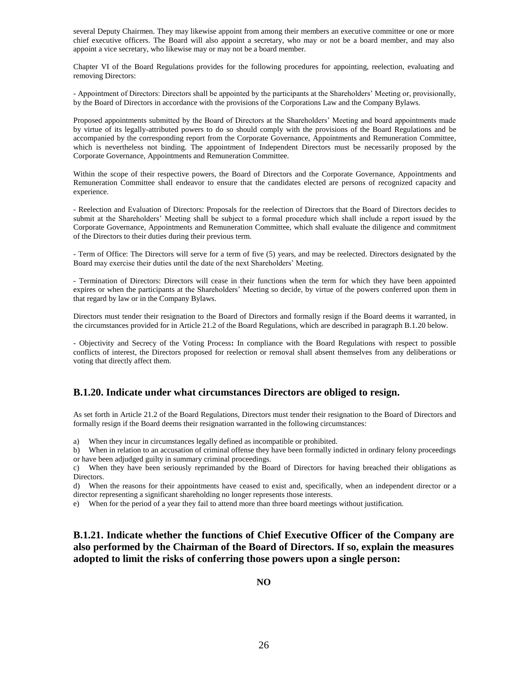several Deputy Chairmen. They may likewise appoint from among their members an executive committee or one or more chief executive officers. The Board will also appoint a secretary, who may or not be a board member, and may also appoint a vice secretary, who likewise may or may not be a board member.

Chapter VI of the Board Regulations provides for the following procedures for appointing, reelection, evaluating and removing Directors:

- Appointment of Directors: Directors shall be appointed by the participants at the Shareholders' Meeting or, provisionally, by the Board of Directors in accordance with the provisions of the Corporations Law and the Company Bylaws.

Proposed appointments submitted by the Board of Directors at the Shareholders' Meeting and board appointments made by virtue of its legally-attributed powers to do so should comply with the provisions of the Board Regulations and be accompanied by the corresponding report from the Corporate Governance, Appointments and Remuneration Committee, which is nevertheless not binding. The appointment of Independent Directors must be necessarily proposed by the Corporate Governance, Appointments and Remuneration Committee.

Within the scope of their respective powers, the Board of Directors and the Corporate Governance, Appointments and Remuneration Committee shall endeavor to ensure that the candidates elected are persons of recognized capacity and experience.

- Reelection and Evaluation of Directors: Proposals for the reelection of Directors that the Board of Directors decides to submit at the Shareholders' Meeting shall be subject to a formal procedure which shall include a report issued by the Corporate Governance, Appointments and Remuneration Committee, which shall evaluate the diligence and commitment of the Directors to their duties during their previous term.

- Term of Office: The Directors will serve for a term of five (5) years, and may be reelected. Directors designated by the Board may exercise their duties until the date of the next Shareholders' Meeting.

- Termination of Directors: Directors will cease in their functions when the term for which they have been appointed expires or when the participants at the Shareholders' Meeting so decide, by virtue of the powers conferred upon them in that regard by law or in the Company Bylaws.

Directors must tender their resignation to the Board of Directors and formally resign if the Board deems it warranted, in the circumstances provided for in Article 21.2 of the Board Regulations, which are described in paragraph B.1.20 below.

- Objectivity and Secrecy of the Voting Process**:** In compliance with the Board Regulations with respect to possible conflicts of interest, the Directors proposed for reelection or removal shall absent themselves from any deliberations or voting that directly affect them.

## **B.1.20. Indicate under what circumstances Directors are obliged to resign.**

As set forth in Article 21.2 of the Board Regulations, Directors must tender their resignation to the Board of Directors and formally resign if the Board deems their resignation warranted in the following circumstances:

a) When they incur in circumstances legally defined as incompatible or prohibited.

b) When in relation to an accusation of criminal offense they have been formally indicted in ordinary felony proceedings or have been adjudged guilty in summary criminal proceedings.

c) When they have been seriously reprimanded by the Board of Directors for having breached their obligations as Directors.

d) When the reasons for their appointments have ceased to exist and, specifically, when an independent director or a director representing a significant shareholding no longer represents those interests.

e) When for the period of a year they fail to attend more than three board meetings without justification.

**B.1.21. Indicate whether the functions of Chief Executive Officer of the Company are also performed by the Chairman of the Board of Directors. If so, explain the measures adopted to limit the risks of conferring those powers upon a single person:**

**NO**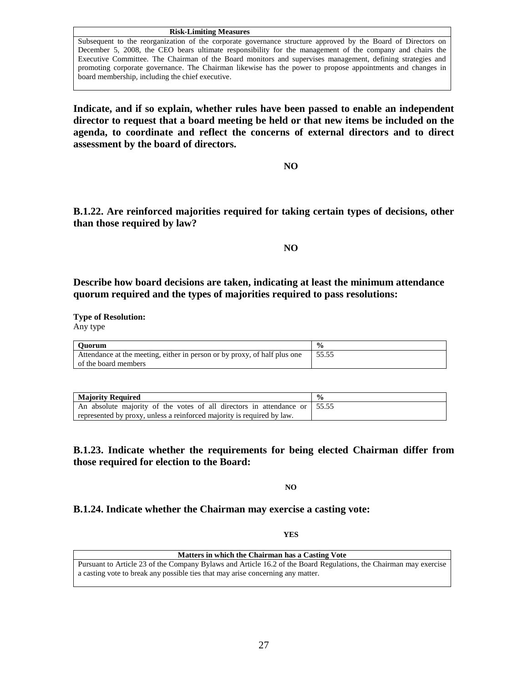#### **Risk-Limiting Measures**

Subsequent to the reorganization of the corporate governance structure approved by the Board of Directors on December 5, 2008, the CEO bears ultimate responsibility for the management of the company and chairs the Executive Committee. The Chairman of the Board monitors and supervises management, defining strategies and promoting corporate governance. The Chairman likewise has the power to propose appointments and changes in board membership, including the chief executive.

**Indicate, and if so explain, whether rules have been passed to enable an independent director to request that a board meeting be held or that new items be included on the agenda, to coordinate and reflect the concerns of external directors and to direct assessment by the board of directors.**

**NO**

**B.1.22. Are reinforced majorities required for taking certain types of decisions, other than those required by law?**

**NO**

**Describe how board decisions are taken, indicating at least the minimum attendance quorum required and the types of majorities required to pass resolutions:** 

**Type of Resolution:**

Any type

| <b>Ouorum</b>                                                             | $\frac{6}{9}$ |
|---------------------------------------------------------------------------|---------------|
| Attendance at the meeting, either in person or by proxy, of half plus one | 55.55         |
| of the board members                                                      |               |

| <b>Maiority Required</b>                                                          |  |
|-----------------------------------------------------------------------------------|--|
| An absolute majority of the votes of all directors in attendance or $\vert$ 55.55 |  |
| represented by proxy, unless a reinforced majority is required by law.            |  |

**B.1.23. Indicate whether the requirements for being elected Chairman differ from those required for election to the Board:**

**NO**

**B.1.24. Indicate whether the Chairman may exercise a casting vote:**

**YES**

| Matters in which the Chairman has a Casting Vote |  |
|--------------------------------------------------|--|
|--------------------------------------------------|--|

Pursuant to Article 23 of the Company Bylaws and Article 16.2 of the Board Regulations, the Chairman may exercise a casting vote to break any possible ties that may arise concerning any matter.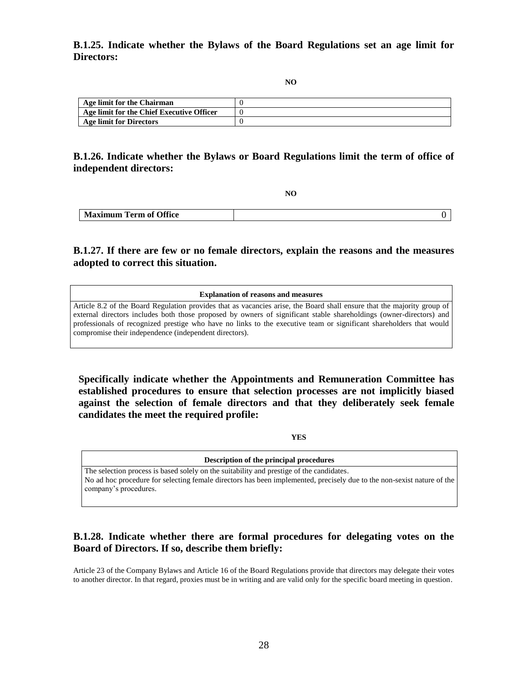**B.1.25. Indicate whether the Bylaws of the Board Regulations set an age limit for Directors:**

**NO**

| Age limit for the Chairman                |  |
|-------------------------------------------|--|
| Age limit for the Chief Executive Officer |  |
| Age limit for Directors                   |  |
|                                           |  |

## **B.1.26. Indicate whether the Bylaws or Board Regulations limit the term of office of independent directors:**

**NO**

| <b>Term of Office</b><br><b>Maximum</b> |  |
|-----------------------------------------|--|

## **B.1.27. If there are few or no female directors, explain the reasons and the measures adopted to correct this situation.**

#### **Explanation of reasons and measures**

Article 8.2 of the Board Regulation provides that as vacancies arise, the Board shall ensure that the majority group of external directors includes both those proposed by owners of significant stable shareholdings (owner-directors) and professionals of recognized prestige who have no links to the executive team or significant shareholders that would compromise their independence (independent directors).

**Specifically indicate whether the Appointments and Remuneration Committee has established procedures to ensure that selection processes are not implicitly biased against the selection of female directors and that they deliberately seek female candidates the meet the required profile:**

**YES**

| Description of the principal procedures                                                                                |
|------------------------------------------------------------------------------------------------------------------------|
| The selection process is based solely on the suitability and prestige of the candidates.                               |
| No ad hoc procedure for selecting female directors has been implemented, precisely due to the non-sexist nature of the |
| company's procedures.                                                                                                  |
|                                                                                                                        |

## **B.1.28. Indicate whether there are formal procedures for delegating votes on the Board of Directors. If so, describe them briefly:**

Article 23 of the Company Bylaws and Article 16 of the Board Regulations provide that directors may delegate their votes to another director. In that regard, proxies must be in writing and are valid only for the specific board meeting in question.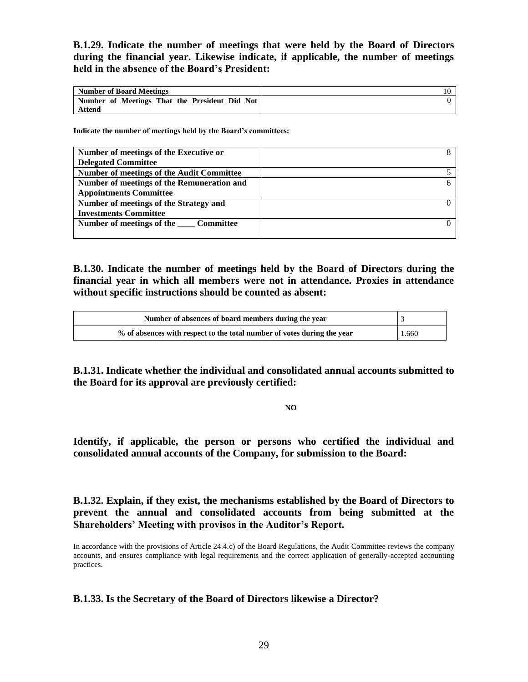**B.1.29. Indicate the number of meetings that were held by the Board of Directors during the financial year. Likewise indicate, if applicable, the number of meetings held in the absence of the Board's President:**

| Number of Board Meetings                      |  |
|-----------------------------------------------|--|
| Number of Meetings That the President Did Not |  |
| Attend                                        |  |

**Indicate the number of meetings held by the Board's committees:** 

| Number of meetings of the Executive or           |  |
|--------------------------------------------------|--|
| <b>Delegated Committee</b>                       |  |
| <b>Number of meetings of the Audit Committee</b> |  |
| Number of meetings of the Remuneration and       |  |
| <b>Appointments Committee</b>                    |  |
| Number of meetings of the Strategy and           |  |
| <b>Investments Committee</b>                     |  |
| Number of meetings of the Committee              |  |
|                                                  |  |

**B.1.30. Indicate the number of meetings held by the Board of Directors during the financial year in which all members were not in attendance. Proxies in attendance without specific instructions should be counted as absent:**

| Number of absences of board members during the year                     |       |
|-------------------------------------------------------------------------|-------|
| % of absences with respect to the total number of votes during the year | 1.660 |

**B.1.31. Indicate whether the individual and consolidated annual accounts submitted to the Board for its approval are previously certified:** 

**NO**

**Identify, if applicable, the person or persons who certified the individual and consolidated annual accounts of the Company, for submission to the Board:**

**B.1.32. Explain, if they exist, the mechanisms established by the Board of Directors to prevent the annual and consolidated accounts from being submitted at the Shareholders' Meeting with provisos in the Auditor's Report.** 

In accordance with the provisions of Article 24.4.c) of the Board Regulations, the Audit Committee reviews the company accounts, and ensures compliance with legal requirements and the correct application of generally-accepted accounting practices.

## **B.1.33. Is the Secretary of the Board of Directors likewise a Director?**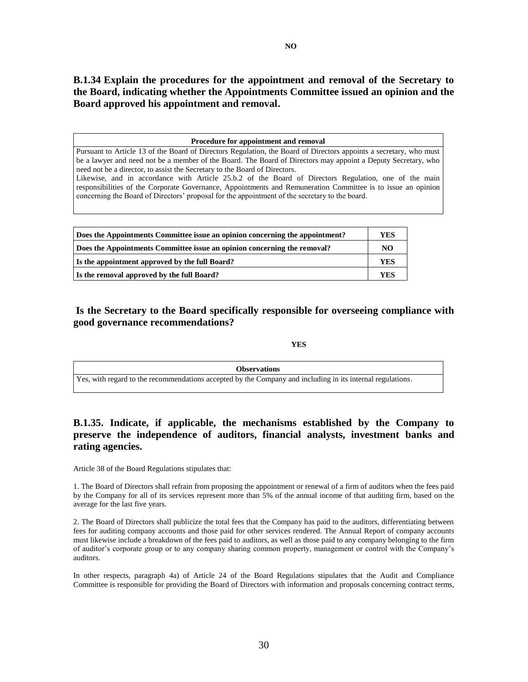**B.1.34 Explain the procedures for the appointment and removal of the Secretary to the Board, indicating whether the Appointments Committee issued an opinion and the Board approved his appointment and removal.**

**Procedure for appointment and removal**

Pursuant to Article 13 of the Board of Directors Regulation, the Board of Directors appoints a secretary, who must be a lawyer and need not be a member of the Board. The Board of Directors may appoint a Deputy Secretary, who need not be a director, to assist the Secretary to the Board of Directors. Likewise, and in accordance with Article 25.b.2 of the Board of Directors Regulation, one of the main

responsibilities of the Corporate Governance, Appointments and Remuneration Committee is to issue an opinion concerning the Board of Directors' proposal for the appointment of the secretary to the board.

| Does the Appointments Committee issue an opinion concerning the appointment? |     |
|------------------------------------------------------------------------------|-----|
| Does the Appointments Committee issue an opinion concerning the removal?     |     |
| Is the appointment approved by the full Board?                               | YES |
| Is the removal approved by the full Board?                                   | YES |

**Is the Secretary to the Board specifically responsible for overseeing compliance with good governance recommendations?**

### **YES**

| <b>Observations</b>                                                                                        |  |
|------------------------------------------------------------------------------------------------------------|--|
| Yes, with regard to the recommendations accepted by the Company and including in its internal regulations. |  |

## **B.1.35. Indicate, if applicable, the mechanisms established by the Company to preserve the independence of auditors, financial analysts, investment banks and rating agencies.**

Article 38 of the Board Regulations stipulates that:

1. The Board of Directors shall refrain from proposing the appointment or renewal of a firm of auditors when the fees paid by the Company for all of its services represent more than 5% of the annual income of that auditing firm, based on the average for the last five years.

2. The Board of Directors shall publicize the total fees that the Company has paid to the auditors, differentiating between fees for auditing company accounts and those paid for other services rendered. The Annual Report of company accounts must likewise include a breakdown of the fees paid to auditors, as well as those paid to any company belonging to the firm of auditor's corporate group or to any company sharing common property, management or control with the Company's auditors.

In other respects, paragraph 4a) of Article 24 of the Board Regulations stipulates that the Audit and Compliance Committee is responsible for providing the Board of Directors with information and proposals concerning contract terms,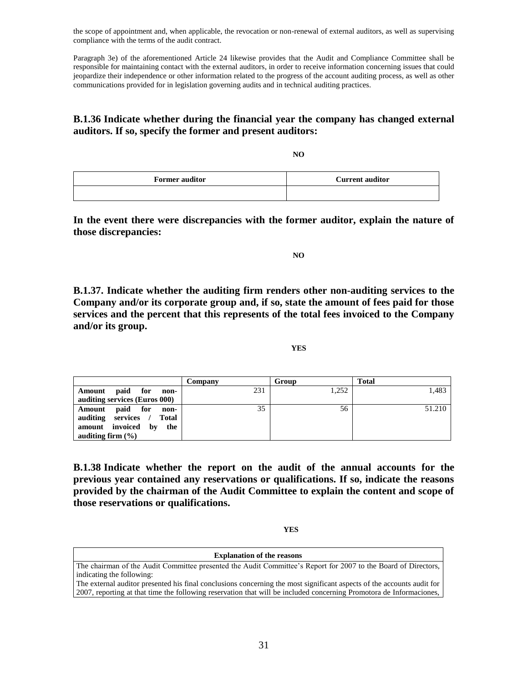the scope of appointment and, when applicable, the revocation or non-renewal of external auditors, as well as supervising compliance with the terms of the audit contract.

Paragraph 3e) of the aforementioned Article 24 likewise provides that the Audit and Compliance Committee shall be responsible for maintaining contact with the external auditors, in order to receive information concerning issues that could jeopardize their independence or other information related to the progress of the account auditing process, as well as other communications provided for in legislation governing audits and in technical auditing practices.

## **B.1.36 Indicate whether during the financial year the company has changed external auditors. If so, specify the former and present auditors:**

**NO**

| <b>Former auditor</b> | <b>Current auditor</b> |
|-----------------------|------------------------|
|                       |                        |

**In the event there were discrepancies with the former auditor, explain the nature of those discrepancies:**

**NO**

**B.1.37. Indicate whether the auditing firm renders other non-auditing services to the Company and/or its corporate group and, if so, state the amount of fees paid for those services and the percent that this represents of the total fees invoiced to the Company and/or its group.**

**YES**

|                                  | Company | Group | Total  |
|----------------------------------|---------|-------|--------|
| paid for<br>Amount<br>non-       | 231     | 1,252 | 1,483  |
| auditing services (Euros 000)    |         |       |        |
| paid for<br>Amount<br>non-       | 35      | 56    | 51.210 |
| auditing services<br>Total       |         |       |        |
| amount invoiced<br>$-$ by<br>the |         |       |        |
| auditing firm $(\% )$            |         |       |        |

**B.1.38 Indicate whether the report on the audit of the annual accounts for the previous year contained any reservations or qualifications. If so, indicate the reasons provided by the chairman of the Audit Committee to explain the content and scope of those reservations or qualifications.**

**YES**

#### **Explanation of the reasons**

The chairman of the Audit Committee presented the Audit Committee's Report for 2007 to the Board of Directors, indicating the following:

The external auditor presented his final conclusions concerning the most significant aspects of the accounts audit for 2007, reporting at that time the following reservation that will be included concerning Promotora de Informaciones,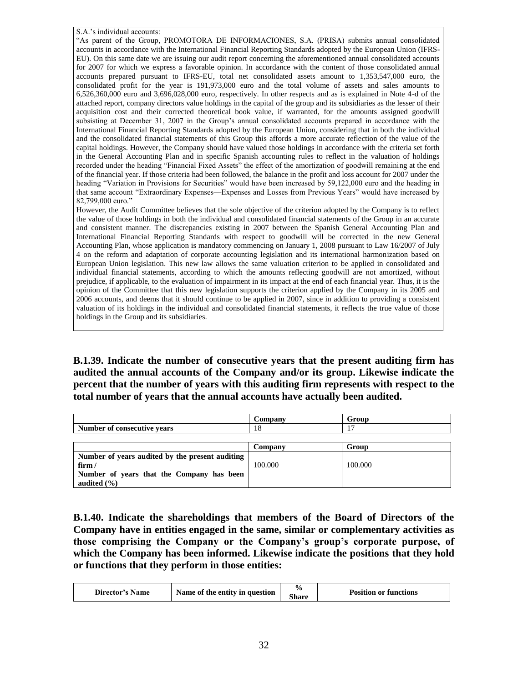S.A.'s individual accounts:

"As parent of the Group, PROMOTORA DE INFORMACIONES, S.A. (PRISA) submits annual consolidated accounts in accordance with the International Financial Reporting Standards adopted by the European Union (IFRS-EU). On this same date we are issuing our audit report concerning the aforementioned annual consolidated accounts for 2007 for which we express a favorable opinion. In accordance with the content of those consolidated annual accounts prepared pursuant to IFRS-EU, total net consolidated assets amount to 1,353,547,000 euro, the consolidated profit for the year is 191,973,000 euro and the total volume of assets and sales amounts to 6,526,360,000 euro and 3,696,028,000 euro, respectively. In other respects and as is explained in Note 4-d of the attached report, company directors value holdings in the capital of the group and its subsidiaries as the lesser of their acquisition cost and their corrected theoretical book value, if warranted, for the amounts assigned goodwill subsisting at December 31, 2007 in the Group's annual consolidated accounts prepared in accordance with the International Financial Reporting Standards adopted by the European Union, considering that in both the individual and the consolidated financial statements of this Group this affords a more accurate reflection of the value of the capital holdings. However, the Company should have valued those holdings in accordance with the criteria set forth in the General Accounting Plan and in specific Spanish accounting rules to reflect in the valuation of holdings recorded under the heading "Financial Fixed Assets" the effect of the amortization of goodwill remaining at the end of the financial year. If those criteria had been followed, the balance in the profit and loss account for 2007 under the heading "Variation in Provisions for Securities" would have been increased by 59,122,000 euro and the heading in that same account "Extraordinary Expenses—Expenses and Losses from Previous Years" would have increased by 82,799,000 euro."

However, the Audit Committee believes that the sole objective of the criterion adopted by the Company is to reflect the value of those holdings in both the individual and consolidated financial statements of the Group in an accurate and consistent manner. The discrepancies existing in 2007 between the Spanish General Accounting Plan and International Financial Reporting Standards with respect to goodwill will be corrected in the new General Accounting Plan, whose application is mandatory commencing on January 1, 2008 pursuant to Law 16/2007 of July 4 on the reform and adaptation of corporate accounting legislation and its international harmonization based on European Union legislation. This new law allows the same valuation criterion to be applied in consolidated and individual financial statements, according to which the amounts reflecting goodwill are not amortized, without prejudice, if applicable, to the evaluation of impairment in its impact at the end of each financial year. Thus, it is the opinion of the Committee that this new legislation supports the criterion applied by the Company in its 2005 and 2006 accounts, and deems that it should continue to be applied in 2007, since in addition to providing a consistent valuation of its holdings in the individual and consolidated financial statements, it reflects the true value of those holdings in the Group and its subsidiaries.

**B.1.39. Indicate the number of consecutive years that the present auditing firm has audited the annual accounts of the Company and/or its group. Likewise indicate the percent that the number of years with this auditing firm represents with respect to the total number of years that the annual accounts have actually been audited.** 

|                                                 | Company | Group   |  |
|-------------------------------------------------|---------|---------|--|
| Number of consecutive years                     | 18      |         |  |
|                                                 |         |         |  |
|                                                 | Company | Group   |  |
| Number of years audited by the present auditing |         |         |  |
| firm $/$                                        | 100.000 | 100.000 |  |
| Number of years that the Company has been       |         |         |  |
| audited $(\% )$                                 |         |         |  |

**B.1.40. Indicate the shareholdings that members of the Board of Directors of the Company have in entities engaged in the same, similar or complementary activities as those comprising the Company or the Company's group's corporate purpose, of which the Company has been informed. Likewise indicate the positions that they hold or functions that they perform in those entities:**

| Name of the entity in question<br>Director's Name | $\frac{0}{0}$<br><b>Share</b> | <b>Position or functions</b> |
|---------------------------------------------------|-------------------------------|------------------------------|
|---------------------------------------------------|-------------------------------|------------------------------|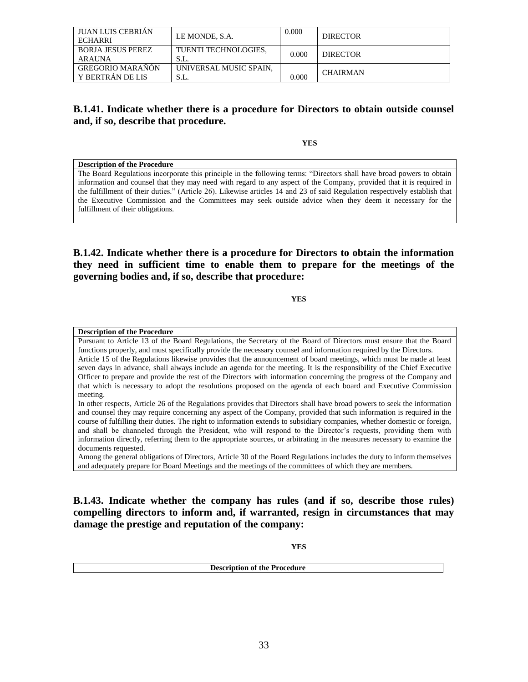| JUAN LUIS CEBRIAN<br>ECHARRI                | LE MONDE, S.A.                 | 0.000 | <b>DIRECTOR</b> |
|---------------------------------------------|--------------------------------|-------|-----------------|
| <b>BORJA JESUS PEREZ</b><br>ARAUNA          | TUENTI TECHNOLOGIES.<br>S.L.   | 0.000 | <b>DIRECTOR</b> |
| <b>GREGORIO MARAÑON</b><br>Y BERTRÁN DE LIS | UNIVERSAL MUSIC SPAIN.<br>S.L. | 0.000 | <b>CHAIRMAN</b> |

## **B.1.41. Indicate whether there is a procedure for Directors to obtain outside counsel and, if so, describe that procedure.**

**YES**

#### **Description of the Procedure**

The Board Regulations incorporate this principle in the following terms: "Directors shall have broad powers to obtain information and counsel that they may need with regard to any aspect of the Company, provided that it is required in the fulfillment of their duties." (Article 26). Likewise articles 14 and 23 of said Regulation respectively establish that the Executive Commission and the Committees may seek outside advice when they deem it necessary for the fulfillment of their obligations.

## **B.1.42. Indicate whether there is a procedure for Directors to obtain the information they need in sufficient time to enable them to prepare for the meetings of the governing bodies and, if so, describe that procedure:**

**YES**

#### **Description of the Procedure**

Pursuant to Article 13 of the Board Regulations, the Secretary of the Board of Directors must ensure that the Board functions properly, and must specifically provide the necessary counsel and information required by the Directors. Article 15 of the Regulations likewise provides that the announcement of board meetings, which must be made at least seven days in advance, shall always include an agenda for the meeting. It is the responsibility of the Chief Executive Officer to prepare and provide the rest of the Directors with information concerning the progress of the Company and that which is necessary to adopt the resolutions proposed on the agenda of each board and Executive Commission meeting.

In other respects, Article 26 of the Regulations provides that Directors shall have broad powers to seek the information and counsel they may require concerning any aspect of the Company, provided that such information is required in the course of fulfilling their duties. The right to information extends to subsidiary companies, whether domestic or foreign, and shall be channeled through the President, who will respond to the Director's requests, providing them with information directly, referring them to the appropriate sources, or arbitrating in the measures necessary to examine the documents requested.

Among the general obligations of Directors, Article 30 of the Board Regulations includes the duty to inform themselves and adequately prepare for Board Meetings and the meetings of the committees of which they are members.

**B.1.43. Indicate whether the company has rules (and if so, describe those rules) compelling directors to inform and, if warranted, resign in circumstances that may damage the prestige and reputation of the company:**

**YES**

| <b>Descript</b><br>of the Procedur<br>----<br>uure |
|----------------------------------------------------|
|                                                    |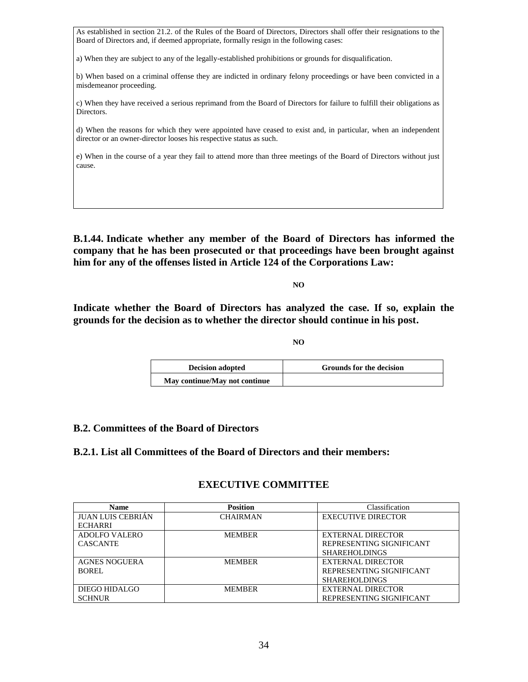As established in section 21.2. of the Rules of the Board of Directors, Directors shall offer their resignations to the Board of Directors and, if deemed appropriate, formally resign in the following cases:

a) When they are subject to any of the legally-established prohibitions or grounds for disqualification.

b) When based on a criminal offense they are indicted in ordinary felony proceedings or have been convicted in a misdemeanor proceeding.

c) When they have received a serious reprimand from the Board of Directors for failure to fulfill their obligations as Directors.

d) When the reasons for which they were appointed have ceased to exist and, in particular, when an independent director or an owner-director looses his respective status as such.

e) When in the course of a year they fail to attend more than three meetings of the Board of Directors without just cause.

**B.1.44. Indicate whether any member of the Board of Directors has informed the company that he has been prosecuted or that proceedings have been brought against him for any of the offenses listed in Article 124 of the Corporations Law:**

**NO**

**Indicate whether the Board of Directors has analyzed the case. If so, explain the grounds for the decision as to whether the director should continue in his post.**

**NO**

| <b>Decision adopted</b>       | <b>Grounds for the decision</b> |
|-------------------------------|---------------------------------|
| May continue/May not continue |                                 |

## **B.2. Committees of the Board of Directors**

**B.2.1. List all Committees of the Board of Directors and their members:**

### **EXECUTIVE COMMITTEE**

| <b>Name</b>              | <b>Position</b> | Classification            |
|--------------------------|-----------------|---------------------------|
| <b>JUAN LUIS CEBRIÁN</b> | <b>CHAIRMAN</b> | <b>EXECUTIVE DIRECTOR</b> |
| <b>ECHARRI</b>           |                 |                           |
| ADOLFO VALERO            | <b>MEMBER</b>   | <b>EXTERNAL DIRECTOR</b>  |
| <b>CASCANTE</b>          |                 | REPRESENTING SIGNIFICANT  |
|                          |                 | <b>SHAREHOLDINGS</b>      |
| <b>AGNES NOGUERA</b>     | <b>MEMBER</b>   | EXTERNAL DIRECTOR         |
| BOREL                    |                 | REPRESENTING SIGNIFICANT  |
|                          |                 | <b>SHAREHOLDINGS</b>      |
| DIEGO HIDALGO            | <b>MEMBER</b>   | EXTERNAL DIRECTOR         |
| <b>SCHNUR</b>            |                 | REPRESENTING SIGNIFICANT  |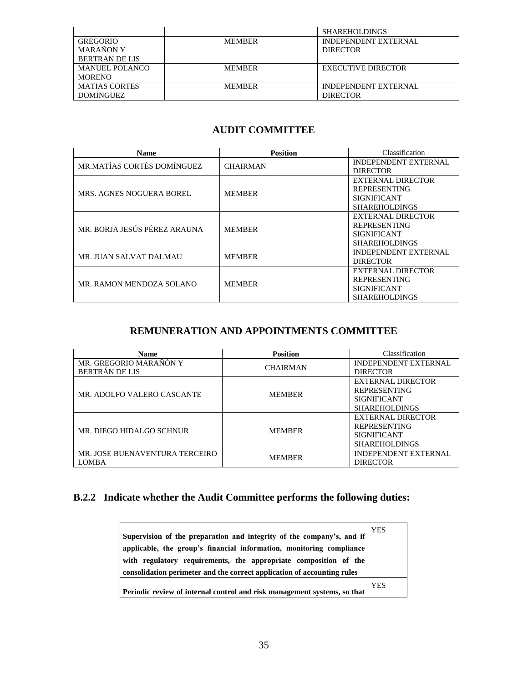|                       |               | <b>SHAREHOLDINGS</b>        |
|-----------------------|---------------|-----------------------------|
| GREGORIO              | <b>MEMBER</b> | <b>INDEPENDENT EXTERNAL</b> |
| <b>MARANON Y</b>      |               | <b>DIRECTOR</b>             |
| <b>BERTRAN DE LIS</b> |               |                             |
| <b>MANUEL POLANCO</b> | <b>MEMBER</b> | <b>EXECUTIVE DIRECTOR</b>   |
| <b>MORENO</b>         |               |                             |
| <b>MATIAS CORTES</b>  | <b>MEMBER</b> | <b>INDEPENDENT EXTERNAL</b> |
| <b>DOMINGUEZ</b>      |               | <b>DIRECTOR</b>             |

# **AUDIT COMMITTEE**

| <b>Name</b>                     | <b>Position</b> | Classification              |
|---------------------------------|-----------------|-----------------------------|
| MR.MATÍAS CORTÉS DOMÍNGUEZ      | <b>CHAIRMAN</b> | <b>INDEPENDENT EXTERNAL</b> |
|                                 |                 | <b>DIRECTOR</b>             |
|                                 | <b>MEMBER</b>   | EXTERNAL DIRECTOR           |
| <b>MRS. AGNES NOGUERA BOREL</b> |                 | <b>REPRESENTING</b>         |
|                                 |                 | <b>SIGNIFICANT</b>          |
|                                 |                 | <b>SHAREHOLDINGS</b>        |
|                                 | <b>MEMBER</b>   | EXTERNAL DIRECTOR           |
| MR. BORJA JESÚS PÉREZ ARAUNA    |                 | <b>REPRESENTING</b>         |
|                                 |                 | <b>SIGNIFICANT</b>          |
|                                 |                 | <b>SHAREHOLDINGS</b>        |
| MR. JUAN SALVAT DALMAU          | <b>MEMBER</b>   | <b>INDEPENDENT EXTERNAL</b> |
|                                 |                 | <b>DIRECTOR</b>             |
|                                 | <b>MEMBER</b>   | EXTERNAL DIRECTOR           |
| MR. RAMON MENDOZA SOLANO        |                 | <b>REPRESENTING</b>         |
|                                 |                 | <b>SIGNIFICANT</b>          |
|                                 |                 | <b>SHAREHOLDINGS</b>        |

# **REMUNERATION AND APPOINTMENTS COMMITTEE**

| <b>Name</b>                    | <b>Position</b> | Classification              |
|--------------------------------|-----------------|-----------------------------|
| MR. GREGORIO MARAÑÓN Y         | <b>CHAIRMAN</b> | <b>INDEPENDENT EXTERNAL</b> |
| <b>BERTRÁN DE LIS</b>          |                 | <b>DIRECTOR</b>             |
|                                |                 | EXTERNAL DIRECTOR           |
| MR. ADOLFO VALERO CASCANTE     | <b>MEMBER</b>   | <b>REPRESENTING</b>         |
|                                |                 | <b>SIGNIFICANT</b>          |
|                                |                 | <b>SHAREHOLDINGS</b>        |
|                                |                 | EXTERNAL DIRECTOR           |
| MR. DIEGO HIDALGO SCHNUR       | <b>MEMBER</b>   | <b>REPRESENTING</b>         |
|                                |                 | <b>SIGNIFICANT</b>          |
|                                |                 | <b>SHAREHOLDINGS</b>        |
| MR. JOSE BUENAVENTURA TERCEIRO | <b>MEMBER</b>   | <b>INDEPENDENT EXTERNAL</b> |
| <b>LOMBA</b>                   |                 | <b>DIRECTOR</b>             |

# **B.2.2 Indicate whether the Audit Committee performs the following duties:**

| Supervision of the preparation and integrity of the company's, and if<br>applicable, the group's financial information, monitoring compliance<br>with regulatory requirements, the appropriate composition of the<br>consolidation perimeter and the correct application of accounting rules | <b>YES</b> |
|----------------------------------------------------------------------------------------------------------------------------------------------------------------------------------------------------------------------------------------------------------------------------------------------|------------|
| Periodic review of internal control and risk management systems, so that                                                                                                                                                                                                                     | YES        |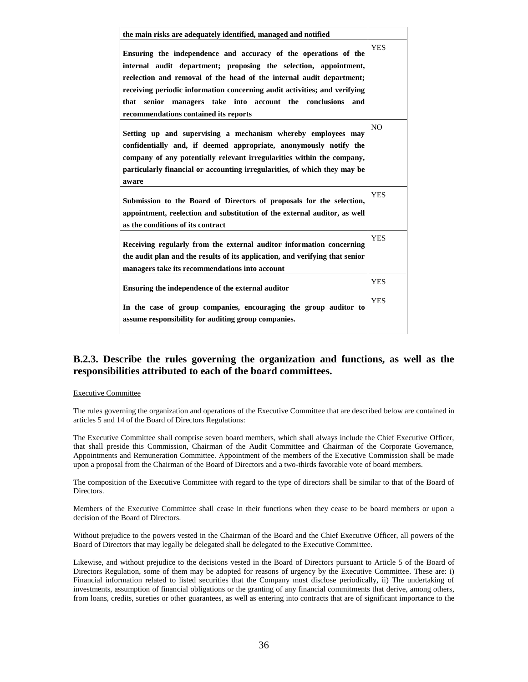| the main risks are adequately identified, managed and notified                                                                                                                                                                                                                           |                |
|------------------------------------------------------------------------------------------------------------------------------------------------------------------------------------------------------------------------------------------------------------------------------------------|----------------|
| Ensuring the independence and accuracy of the operations of the                                                                                                                                                                                                                          | <b>YES</b>     |
| internal audit department; proposing the selection, appointment,                                                                                                                                                                                                                         |                |
| reelection and removal of the head of the internal audit department;                                                                                                                                                                                                                     |                |
| receiving periodic information concerning audit activities; and verifying                                                                                                                                                                                                                |                |
| that senior managers take into account the conclusions<br>and                                                                                                                                                                                                                            |                |
| recommendations contained its reports                                                                                                                                                                                                                                                    |                |
| Setting up and supervising a mechanism whereby employees may<br>confidentially and, if deemed appropriate, anonymously notify the<br>company of any potentially relevant irregularities within the company,<br>particularly financial or accounting irregularities, of which they may be | N <sub>O</sub> |
| aware                                                                                                                                                                                                                                                                                    |                |
| Submission to the Board of Directors of proposals for the selection,                                                                                                                                                                                                                     | <b>YES</b>     |
| appointment, reelection and substitution of the external auditor, as well                                                                                                                                                                                                                |                |
| as the conditions of its contract                                                                                                                                                                                                                                                        |                |
| Receiving regularly from the external auditor information concerning                                                                                                                                                                                                                     | <b>YES</b>     |
| the audit plan and the results of its application, and verifying that senior                                                                                                                                                                                                             |                |
| managers take its recommendations into account                                                                                                                                                                                                                                           |                |
| Ensuring the independence of the external auditor                                                                                                                                                                                                                                        | <b>YES</b>     |
| In the case of group companies, encouraging the group auditor to<br>assume responsibility for auditing group companies.                                                                                                                                                                  | <b>YES</b>     |

## **B.2.3. Describe the rules governing the organization and functions, as well as the responsibilities attributed to each of the board committees.**

#### Executive Committee

The rules governing the organization and operations of the Executive Committee that are described below are contained in articles 5 and 14 of the Board of Directors Regulations:

The Executive Committee shall comprise seven board members, which shall always include the Chief Executive Officer, that shall preside this Commission, Chairman of the Audit Committee and Chairman of the Corporate Governance, Appointments and Remuneration Committee. Appointment of the members of the Executive Commission shall be made upon a proposal from the Chairman of the Board of Directors and a two-thirds favorable vote of board members.

The composition of the Executive Committee with regard to the type of directors shall be similar to that of the Board of Directors.

Members of the Executive Committee shall cease in their functions when they cease to be board members or upon a decision of the Board of Directors.

Without prejudice to the powers vested in the Chairman of the Board and the Chief Executive Officer, all powers of the Board of Directors that may legally be delegated shall be delegated to the Executive Committee.

Likewise, and without prejudice to the decisions vested in the Board of Directors pursuant to Article 5 of the Board of Directors Regulation, some of them may be adopted for reasons of urgency by the Executive Committee. These are: i) Financial information related to listed securities that the Company must disclose periodically, ii) The undertaking of investments, assumption of financial obligations or the granting of any financial commitments that derive, among others, from loans, credits, sureties or other guarantees, as well as entering into contracts that are of significant importance to the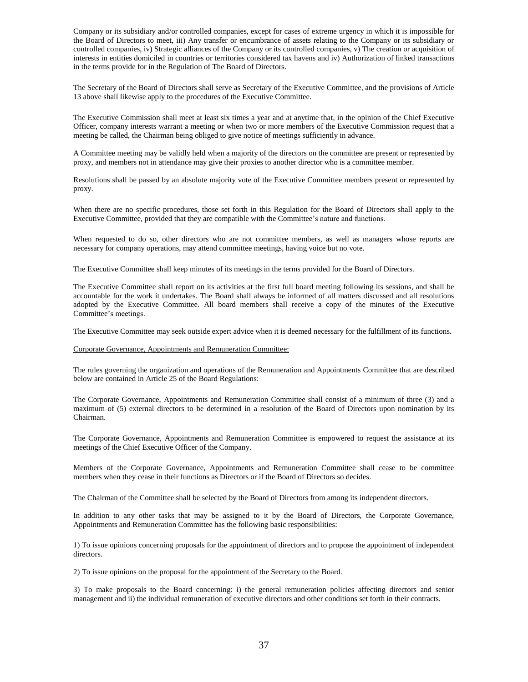Company or its subsidiary and/or controlled companies, except for cases of extreme urgency in which it is impossible for the Board of Directors to meet, iii) Any transfer or encumbrance of assets relating to the Company or its subsidiary or controlled companies, iv) Strategic alliances of the Company or its controlled companies, v) The creation or acquisition of interests in entities domiciled in countries or territories considered tax havens and iv) Authorization of linked transactions in the terms provide for in the Regulation of The Board of Directors.

The Secretary of the Board of Directors shall serve as Secretary of the Executive Committee, and the provisions of Article 13 above shall likewise apply to the procedures of the Executive Committee.

The Executive Commission shall meet at least six times a year and at anytime that, in the opinion of the Chief Executive Officer, company interests warrant a meeting or when two or more members of the Executive Commission request that a meeting be called, the Chairman being obliged to give notice of meetings sufficiently in advance.

A Committee meeting may be validly held when a majority of the directors on the committee are present or represented by proxy, and members not in attendance may give their proxies to another director who is a committee member.

Resolutions shall be passed by an absolute majority vote of the Executive Committee members present or represented by proxy.

When there are no specific procedures, those set forth in this Regulation for the Board of Directors shall apply to the Executive Committee, provided that they are compatible with the Committee's nature and functions.

When requested to do so, other directors who are not committee members, as well as managers whose reports are necessary for company operations, may attend committee meetings, having voice but no vote.

The Executive Committee shall keep minutes of its meetings in the terms provided for the Board of Directors.

The Executive Committee shall report on its activities at the first full board meeting following its sessions, and shall be accountable for the work it undertakes. The Board shall always be informed of all matters discussed and all resolutions adopted by the Executive Committee. All board members shall receive a copy of the minutes of the Executive Committee's meetings.

The Executive Committee may seek outside expert advice when it is deemed necessary for the fulfillment of its functions.

#### Corporate Governance, Appointments and Remuneration Committee:

The rules governing the organization and operations of the Remuneration and Appointments Committee that are described below are contained in Article 25 of the Board Regulations:

The Corporate Governance, Appointments and Remuneration Committee shall consist of a minimum of three (3) and a maximum of (5) external directors to be determined in a resolution of the Board of Directors upon nomination by its Chairman.

The Corporate Governance, Appointments and Remuneration Committee is empowered to request the assistance at its meetings of the Chief Executive Officer of the Company.

Members of the Corporate Governance, Appointments and Remuneration Committee shall cease to be committee members when they cease in their functions as Directors or if the Board of Directors so decides.

The Chairman of the Committee shall be selected by the Board of Directors from among its independent directors.

In addition to any other tasks that may be assigned to it by the Board of Directors, the Corporate Governance, Appointments and Remuneration Committee has the following basic responsibilities:

1) To issue opinions concerning proposals for the appointment of directors and to propose the appointment of independent directors.

2) To issue opinions on the proposal for the appointment of the Secretary to the Board.

3) To make proposals to the Board concerning: i) the general remuneration policies affecting directors and senior management and ii) the individual remuneration of executive directors and other conditions set forth in their contracts.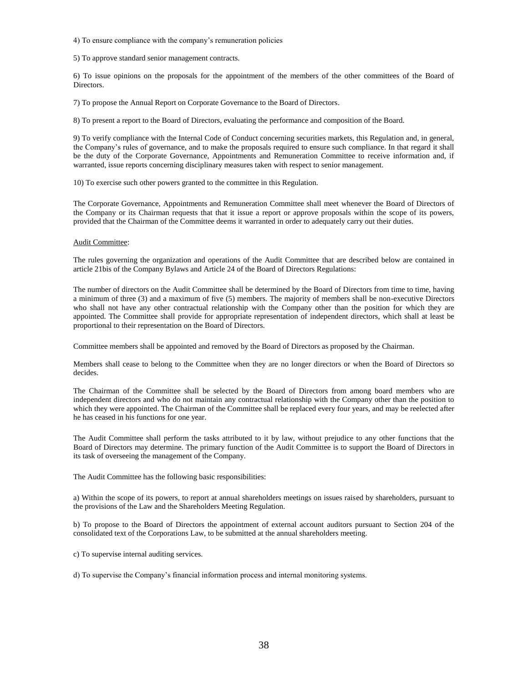4) To ensure compliance with the company's remuneration policies

5) To approve standard senior management contracts.

6) To issue opinions on the proposals for the appointment of the members of the other committees of the Board of Directors.

7) To propose the Annual Report on Corporate Governance to the Board of Directors.

8) To present a report to the Board of Directors, evaluating the performance and composition of the Board.

9) To verify compliance with the Internal Code of Conduct concerning securities markets, this Regulation and, in general, the Company's rules of governance, and to make the proposals required to ensure such compliance. In that regard it shall be the duty of the Corporate Governance, Appointments and Remuneration Committee to receive information and, if warranted, issue reports concerning disciplinary measures taken with respect to senior management.

10) To exercise such other powers granted to the committee in this Regulation.

The Corporate Governance, Appointments and Remuneration Committee shall meet whenever the Board of Directors of the Company or its Chairman requests that that it issue a report or approve proposals within the scope of its powers, provided that the Chairman of the Committee deems it warranted in order to adequately carry out their duties.

#### Audit Committee:

The rules governing the organization and operations of the Audit Committee that are described below are contained in article 21bis of the Company Bylaws and Article 24 of the Board of Directors Regulations:

The number of directors on the Audit Committee shall be determined by the Board of Directors from time to time, having a minimum of three (3) and a maximum of five (5) members. The majority of members shall be non-executive Directors who shall not have any other contractual relationship with the Company other than the position for which they are appointed. The Committee shall provide for appropriate representation of independent directors, which shall at least be proportional to their representation on the Board of Directors.

Committee members shall be appointed and removed by the Board of Directors as proposed by the Chairman.

Members shall cease to belong to the Committee when they are no longer directors or when the Board of Directors so decides.

The Chairman of the Committee shall be selected by the Board of Directors from among board members who are independent directors and who do not maintain any contractual relationship with the Company other than the position to which they were appointed. The Chairman of the Committee shall be replaced every four years, and may be reelected after he has ceased in his functions for one year.

The Audit Committee shall perform the tasks attributed to it by law, without prejudice to any other functions that the Board of Directors may determine. The primary function of the Audit Committee is to support the Board of Directors in its task of overseeing the management of the Company.

The Audit Committee has the following basic responsibilities:

a) Within the scope of its powers, to report at annual shareholders meetings on issues raised by shareholders, pursuant to the provisions of the Law and the Shareholders Meeting Regulation.

b) To propose to the Board of Directors the appointment of external account auditors pursuant to Section 204 of the consolidated text of the Corporations Law, to be submitted at the annual shareholders meeting.

c) To supervise internal auditing services.

d) To supervise the Company's financial information process and internal monitoring systems.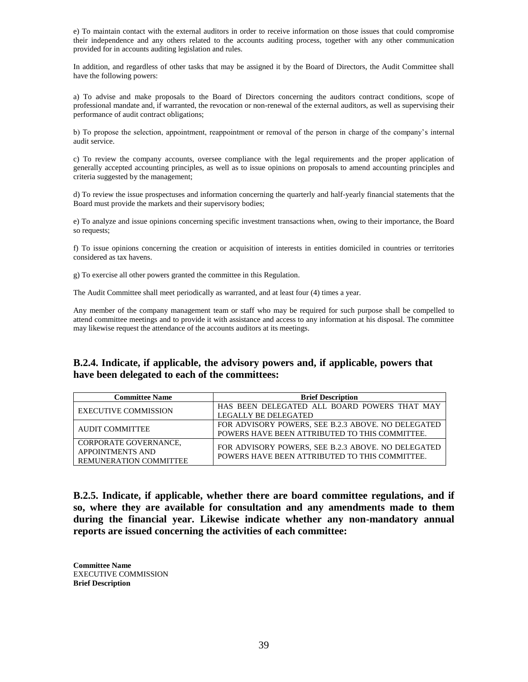e) To maintain contact with the external auditors in order to receive information on those issues that could compromise their independence and any others related to the accounts auditing process, together with any other communication provided for in accounts auditing legislation and rules.

In addition, and regardless of other tasks that may be assigned it by the Board of Directors, the Audit Committee shall have the following powers:

a) To advise and make proposals to the Board of Directors concerning the auditors contract conditions, scope of professional mandate and, if warranted, the revocation or non-renewal of the external auditors, as well as supervising their performance of audit contract obligations;

b) To propose the selection, appointment, reappointment or removal of the person in charge of the company's internal audit service.

c) To review the company accounts, oversee compliance with the legal requirements and the proper application of generally accepted accounting principles, as well as to issue opinions on proposals to amend accounting principles and criteria suggested by the management;

d) To review the issue prospectuses and information concerning the quarterly and half-yearly financial statements that the Board must provide the markets and their supervisory bodies;

e) To analyze and issue opinions concerning specific investment transactions when, owing to their importance, the Board so requests;

f) To issue opinions concerning the creation or acquisition of interests in entities domiciled in countries or territories considered as tax havens.

g) To exercise all other powers granted the committee in this Regulation.

The Audit Committee shall meet periodically as warranted, and at least four (4) times a year.

Any member of the company management team or staff who may be required for such purpose shall be compelled to attend committee meetings and to provide it with assistance and access to any information at his disposal. The committee may likewise request the attendance of the accounts auditors at its meetings.

## **B.2.4. Indicate, if applicable, the advisory powers and, if applicable, powers that have been delegated to each of the committees:**

| <b>Committee Name</b>         | <b>Brief Description</b>                           |
|-------------------------------|----------------------------------------------------|
| <b>EXECUTIVE COMMISSION</b>   | HAS BEEN DELEGATED ALL BOARD POWERS THAT MAY       |
|                               | <b>LEGALLY BE DELEGATED</b>                        |
| AUDIT COMMITTEE               | FOR ADVISORY POWERS, SEE B.2.3 ABOVE. NO DELEGATED |
|                               | POWERS HAVE BEEN ATTRIBUTED TO THIS COMMITTEE.     |
| CORPORATE GOVERNANCE,         | FOR ADVISORY POWERS, SEE B.2.3 ABOVE. NO DELEGATED |
| <b>APPOINTMENTS AND</b>       | POWERS HAVE BEEN ATTRIBUTED TO THIS COMMITTEE.     |
| <b>REMUNERATION COMMITTEE</b> |                                                    |

**B.2.5. Indicate, if applicable, whether there are board committee regulations, and if so, where they are available for consultation and any amendments made to them during the financial year. Likewise indicate whether any non-mandatory annual reports are issued concerning the activities of each committee:**

**Committee Name** EXECUTIVE COMMISSION **Brief Description**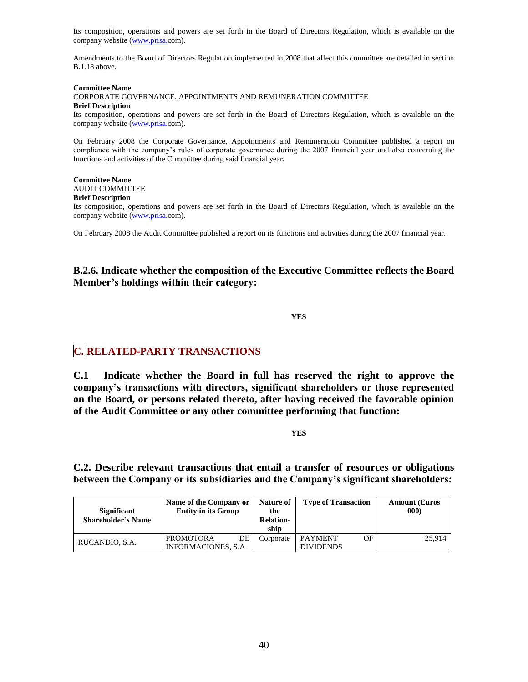Its composition, operations and powers are set forth in the Board of Directors Regulation, which is available on the company website [\(www.prisa.c](http://www.prisa./)om).

Amendments to the Board of Directors Regulation implemented in 2008 that affect this committee are detailed in section B.1.18 above.

**Committee Name** CORPORATE GOVERNANCE, APPOINTMENTS AND REMUNERATION COMMITTEE **Brief Description**

Its composition, operations and powers are set forth in the Board of Directors Regulation, which is available on the company website [\(www.prisa.c](http://www.prisa./)om).

On February 2008 the Corporate Governance, Appointments and Remuneration Committee published a report on compliance with the company's rules of corporate governance during the 2007 financial year and also concerning the functions and activities of the Committee during said financial year.

### **Committee Name**

### AUDIT COMMITTEE

#### **Brief Description**

Its composition, operations and powers are set forth in the Board of Directors Regulation, which is available on the company website [\(www.prisa.c](http://www.prisa./)om).

On February 2008 the Audit Committee published a report on its functions and activities during the 2007 financial year.

## **B.2.6. Indicate whether the composition of the Executive Committee reflects the Board Member's holdings within their category:**

**YES** 

# **C. RELATED-PARTY TRANSACTIONS**

**C.1 Indicate whether the Board in full has reserved the right to approve the company's transactions with directors, significant shareholders or those represented on the Board, or persons related thereto, after having received the favorable opinion of the Audit Committee or any other committee performing that function:**

**YES** 

**C.2. Describe relevant transactions that entail a transfer of resources or obligations between the Company or its subsidiaries and the Company's significant shareholders:**

| <b>Significant</b><br><b>Shareholder's Name</b> | Name of the Company or<br><b>Entity in its Group</b> | Nature of<br>the<br><b>Relation-</b><br>ship | <b>Type of Transaction</b> | <b>Amount (Euros</b><br>000 |
|-------------------------------------------------|------------------------------------------------------|----------------------------------------------|----------------------------|-----------------------------|
| RUCANDIO, S.A.                                  | DE<br><b>PROMOTORA</b>                               | Corporate                                    | OF<br>PAYMENT              | 25.914                      |
|                                                 | <b>INFORMACIONES, S.A.</b>                           |                                              | <b>DIVIDENDS</b>           |                             |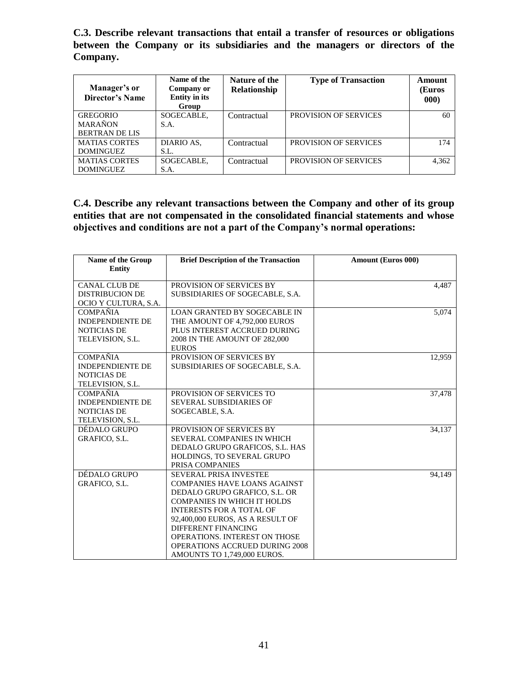**C.3. Describe relevant transactions that entail a transfer of resources or obligations between the Company or its subsidiaries and the managers or directors of the Company.** 

| Manager's or<br>Director's Name | Name of the<br>Company or<br><b>Entity in its</b><br>Group | Nature of the<br>Relationship | <b>Type of Transaction</b>   | Amount<br>(Euros<br>000) |
|---------------------------------|------------------------------------------------------------|-------------------------------|------------------------------|--------------------------|
| <b>GREGORIO</b>                 | SOGECABLE,                                                 | Contractual                   | <b>PROVISION OF SERVICES</b> | 60                       |
| <b>MARAÑON</b>                  | S.A.                                                       |                               |                              |                          |
| <b>BERTRAN DE LIS</b>           |                                                            |                               |                              |                          |
| <b>MATIAS CORTES</b>            | DIARIO AS,                                                 | Contractual                   | <b>PROVISION OF SERVICES</b> | 174                      |
| <b>DOMINGUEZ</b>                | S.L.                                                       |                               |                              |                          |
| <b>MATIAS CORTES</b>            | SOGECABLE,                                                 | Contractual                   | <b>PROVISION OF SERVICES</b> | 4,362                    |
| <b>DOMINGUEZ</b>                | S.A.                                                       |                               |                              |                          |

**C.4. Describe any relevant transactions between the Company and other of its group entities that are not compensated in the consolidated financial statements and whose objectives and conditions are not a part of the Company's normal operations:** 

| <b>Name of the Group</b> | <b>Brief Description of the Transaction</b> | <b>Amount (Euros 000)</b> |
|--------------------------|---------------------------------------------|---------------------------|
| <b>Entity</b>            |                                             |                           |
|                          |                                             |                           |
| <b>CANAL CLUB DE</b>     | PROVISION OF SERVICES BY                    | 4,487                     |
| <b>DISTRIBUCION DE</b>   | SUBSIDIARIES OF SOGECABLE, S.A.             |                           |
| OCIO Y CULTURA, S.A.     |                                             |                           |
| <b>COMPANIA</b>          | LOAN GRANTED BY SOGECABLE IN                | 5,074                     |
| <b>INDEPENDIENTE DE</b>  | THE AMOUNT OF 4.792,000 EUROS               |                           |
| <b>NOTICIAS DE</b>       | PLUS INTEREST ACCRUED DURING                |                           |
| TELEVISION, S.L.         | 2008 IN THE AMOUNT OF 282,000               |                           |
|                          | <b>EUROS</b>                                |                           |
| <b>COMPAÑIA</b>          | PROVISION OF SERVICES BY                    | 12,959                    |
| <b>INDEPENDIENTE DE</b>  | SUBSIDIARIES OF SOGECABLE, S.A.             |                           |
| <b>NOTICIAS DE</b>       |                                             |                           |
| TELEVISION, S.L.         |                                             |                           |
| <b>COMPAÑIA</b>          | PROVISION OF SERVICES TO                    | 37,478                    |
| <b>INDEPENDIENTE DE</b>  | <b>SEVERAL SUBSIDIARIES OF</b>              |                           |
| <b>NOTICIAS DE</b>       | SOGECABLE, S.A.                             |                           |
| TELEVISION, S.L.         |                                             |                           |
| DÉDALO GRUPO             | PROVISION OF SERVICES BY                    | 34,137                    |
| GRAFICO, S.L.            | SEVERAL COMPANIES IN WHICH                  |                           |
|                          | DEDALO GRUPO GRAFICOS, S.L. HAS             |                           |
|                          | HOLDINGS, TO SEVERAL GRUPO                  |                           |
|                          | PRISA COMPANIES                             |                           |
| DÉDALO GRUPO             | <b>SEVERAL PRISA INVESTEE</b>               | 94,149                    |
| <b>GRAFICO, S.L.</b>     | <b>COMPANIES HAVE LOANS AGAINST</b>         |                           |
|                          | DEDALO GRUPO GRAFICO, S.L. OR               |                           |
|                          | <b>COMPANIES IN WHICH IT HOLDS</b>          |                           |
|                          | <b>INTERESTS FOR A TOTAL OF</b>             |                           |
|                          | 92,400,000 EUROS, AS A RESULT OF            |                           |
|                          | DIFFERENT FINANCING                         |                           |
|                          | <b>OPERATIONS. INTEREST ON THOSE</b>        |                           |
|                          | <b>OPERATIONS ACCRUED DURING 2008</b>       |                           |
|                          | AMOUNTS TO 1,749,000 EUROS.                 |                           |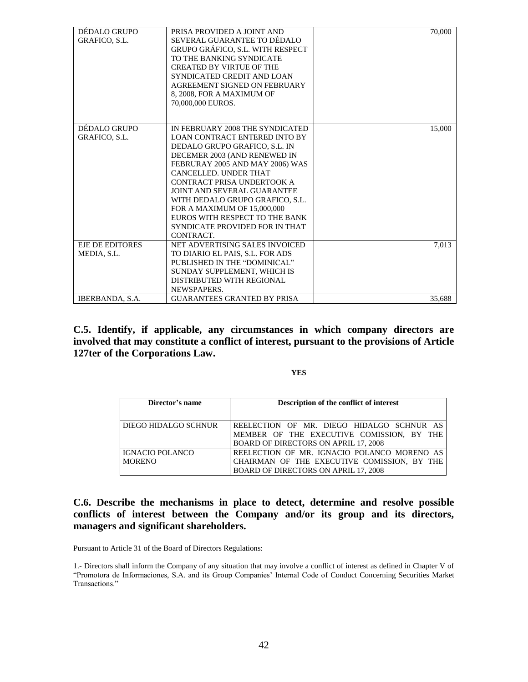| DÉDALO GRUPO<br>GRAFICO, S.L.         | PRISA PROVIDED A JOINT AND<br>SEVERAL GUARANTEE TO DÉDALO<br>GRUPO GRÁFICO, S.L. WITH RESPECT<br>TO THE BANKING SYNDICATE<br><b>CREATED BY VIRTUE OF THE</b><br>SYNDICATED CREDIT AND LOAN<br>AGREEMENT SIGNED ON FEBRUARY<br>8, 2008, FOR A MAXIMUM OF<br>70,000,000 EUROS.                                                                                                                                                | 70,000 |
|---------------------------------------|-----------------------------------------------------------------------------------------------------------------------------------------------------------------------------------------------------------------------------------------------------------------------------------------------------------------------------------------------------------------------------------------------------------------------------|--------|
| DÉDALO GRUPO<br><b>GRAFICO, S.L.</b>  | IN FEBRUARY 2008 THE SYNDICATED<br><b>LOAN CONTRACT ENTERED INTO BY</b><br>DEDALO GRUPO GRAFICO, S.L. IN<br>DECEMER 2003 (AND RENEWED IN<br>FEBRURAY 2005 AND MAY 2006) WAS<br>CANCELLED. UNDER THAT<br>CONTRACT PRISA UNDERTOOK A<br><b>JOINT AND SEVERAL GUARANTEE</b><br>WITH DEDALO GRUPO GRAFICO, S.L.<br>FOR A MAXIMUM OF 15,000,000<br>EUROS WITH RESPECT TO THE BANK<br>SYNDICATE PROVIDED FOR IN THAT<br>CONTRACT. | 15,000 |
| <b>EJE DE EDITORES</b><br>MEDIA, S.L. | NET ADVERTISING SALES INVOICED<br>TO DIARIO EL PAIS, S.L. FOR ADS<br>PUBLISHED IN THE "DOMINICAL"<br>SUNDAY SUPPLEMENT, WHICH IS<br>DISTRIBUTED WITH REGIONAL<br>NEWSPAPERS.<br><b>GUARANTEES GRANTED BY PRISA</b>                                                                                                                                                                                                          | 7,013  |
| IBERBANDA, S.A.                       |                                                                                                                                                                                                                                                                                                                                                                                                                             | 35,688 |

**C.5. Identify, if applicable, any circumstances in which company directors are involved that may constitute a conflict of interest, pursuant to the provisions of Article 127ter of the Corporations Law.** 

### **YES**

| Director's name        | Description of the conflict of interest     |  |  |
|------------------------|---------------------------------------------|--|--|
|                        |                                             |  |  |
| DIEGO HIDALGO SCHNUR   | REELECTION OF MR. DIEGO HIDALGO SCHNUR AS   |  |  |
|                        | MEMBER OF THE EXECUTIVE COMISSION, BY THE   |  |  |
|                        | BOARD OF DIRECTORS ON APRIL 17, 2008        |  |  |
| <b>IGNACIO POLANCO</b> | REELECTION OF MR. IGNACIO POLANCO MORENO AS |  |  |
| <b>MORENO</b>          | CHAIRMAN OF THE EXECUTIVE COMISSION, BY THE |  |  |
|                        | BOARD OF DIRECTORS ON APRIL 17, 2008        |  |  |

**C.6. Describe the mechanisms in place to detect, determine and resolve possible conflicts of interest between the Company and/or its group and its directors, managers and significant shareholders.**

Pursuant to Article 31 of the Board of Directors Regulations:

1.- Directors shall inform the Company of any situation that may involve a conflict of interest as defined in Chapter V of ―Promotora de Informaciones, S.A. and its Group Companies' Internal Code of Conduct Concerning Securities Market Transactions."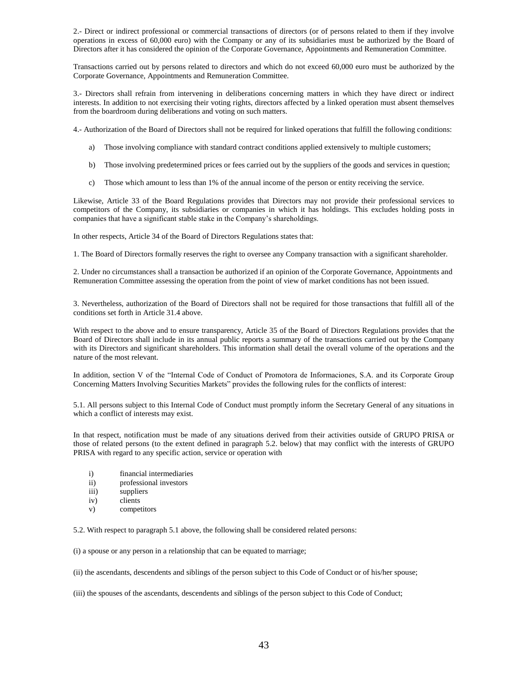2.- Direct or indirect professional or commercial transactions of directors (or of persons related to them if they involve operations in excess of 60,000 euro) with the Company or any of its subsidiaries must be authorized by the Board of Directors after it has considered the opinion of the Corporate Governance, Appointments and Remuneration Committee.

Transactions carried out by persons related to directors and which do not exceed 60,000 euro must be authorized by the Corporate Governance, Appointments and Remuneration Committee.

3.- Directors shall refrain from intervening in deliberations concerning matters in which they have direct or indirect interests. In addition to not exercising their voting rights, directors affected by a linked operation must absent themselves from the boardroom during deliberations and voting on such matters.

4.- Authorization of the Board of Directors shall not be required for linked operations that fulfill the following conditions:

- a) Those involving compliance with standard contract conditions applied extensively to multiple customers;
- b) Those involving predetermined prices or fees carried out by the suppliers of the goods and services in question;
- c) Those which amount to less than 1% of the annual income of the person or entity receiving the service.

Likewise, Article 33 of the Board Regulations provides that Directors may not provide their professional services to competitors of the Company, its subsidiaries or companies in which it has holdings. This excludes holding posts in companies that have a significant stable stake in the Company's shareholdings.

In other respects, Article 34 of the Board of Directors Regulations states that:

1. The Board of Directors formally reserves the right to oversee any Company transaction with a significant shareholder.

2. Under no circumstances shall a transaction be authorized if an opinion of the Corporate Governance, Appointments and Remuneration Committee assessing the operation from the point of view of market conditions has not been issued.

3. Nevertheless, authorization of the Board of Directors shall not be required for those transactions that fulfill all of the conditions set forth in Article 31.4 above.

With respect to the above and to ensure transparency, Article 35 of the Board of Directors Regulations provides that the Board of Directors shall include in its annual public reports a summary of the transactions carried out by the Company with its Directors and significant shareholders. This information shall detail the overall volume of the operations and the nature of the most relevant.

In addition, section V of the "Internal Code of Conduct of Promotora de Informaciones, S.A. and its Corporate Group Concerning Matters Involving Securities Markets" provides the following rules for the conflicts of interest:

5.1. All persons subject to this Internal Code of Conduct must promptly inform the Secretary General of any situations in which a conflict of interests may exist.

In that respect, notification must be made of any situations derived from their activities outside of GRUPO PRISA or those of related persons (to the extent defined in paragraph 5.2. below) that may conflict with the interests of GRUPO PRISA with regard to any specific action, service or operation with

- i) financial intermediaries
- ii) professional investors
- iii) suppliers
- iv) clients
- v) competitors

5.2. With respect to paragraph 5.1 above, the following shall be considered related persons:

(i) a spouse or any person in a relationship that can be equated to marriage;

(ii) the ascendants, descendents and siblings of the person subject to this Code of Conduct or of his/her spouse;

(iii) the spouses of the ascendants, descendents and siblings of the person subject to this Code of Conduct;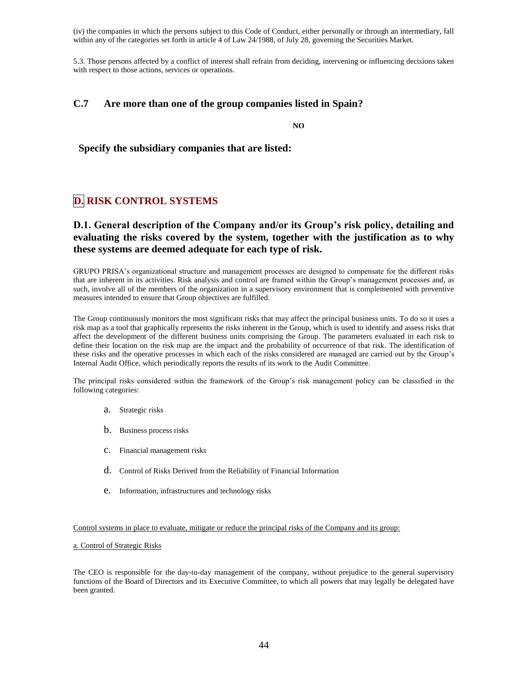(iv) the companies in which the persons subject to this Code of Conduct, either personally or through an intermediary, fall within any of the categories set forth in article 4 of Law 24/1988, of July 28, governing the Securities Market.

5.3. Those persons affected by a conflict of interest shall refrain from deciding, intervening or influencing decisions taken with respect to those actions, services or operations.

## **C.7 Are more than one of the group companies listed in Spain?**

**NO**

**Specify the subsidiary companies that are listed:**

# **D. RISK CONTROL SYSTEMS**

## **D.1. General description of the Company and/or its Group's risk policy, detailing and evaluating the risks covered by the system, together with the justification as to why these systems are deemed adequate for each type of risk.**

GRUPO PRISA's organizational structure and management processes are designed to compensate for the different risks that are inherent in its activities. Risk analysis and control are framed within the Group's management processes and, as such, involve all of the members of the organization in a supervisory environment that is complemented with preventive measures intended to ensure that Group objectives are fulfilled.

The Group continuously monitors the most significant risks that may affect the principal business units. To do so it uses a risk map as a tool that graphically represents the risks inherent in the Group, which is used to identify and assess risks that affect the development of the different business units comprising the Group. The parameters evaluated in each risk to define their location on the risk map are the impact and the probability of occurrence of that risk. The identification of these risks and the operative processes in which each of the risks considered are managed are carried out by the Group's Internal Audit Office, which periodically reports the results of its work to the Audit Committee.

The principal risks considered within the framework of the Group's risk management policy can be classified in the following categories:

- a. Strategic risks
- b. Business process risks
- c. Financial management risks
- d. Control of Risks Derived from the Reliability of Financial Information
- e. Information, infrastructures and technology risks

#### Control systems in place to evaluate, mitigate or reduce the principal risks of the Company and its group:

#### a. Control of Strategic Risks

The CEO is responsible for the day-to-day management of the company, without prejudice to the general supervisory functions of the Board of Directors and its Executive Committee, to which all powers that may legally be delegated have been granted.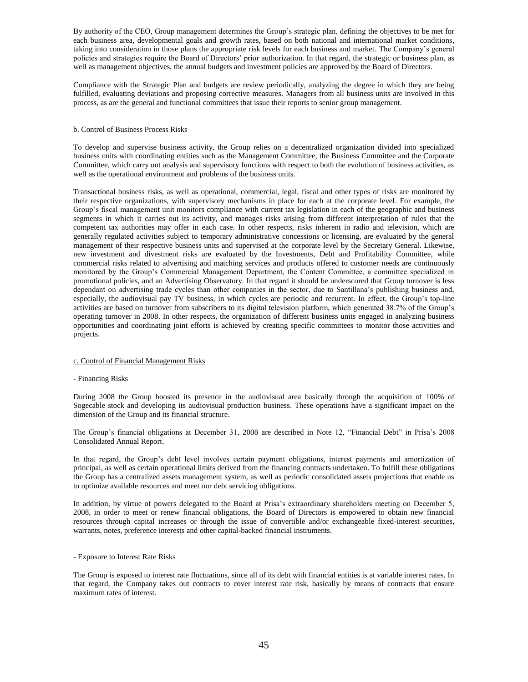By authority of the CEO, Group management determines the Group's strategic plan, defining the objectives to be met for each business area, developmental goals and growth rates, based on both national and international market conditions, taking into consideration in those plans the appropriate risk levels for each business and market. The Company's general policies and strategies require the Board of Directors' prior authorization. In that regard, the strategic or business plan, as well as management objectives, the annual budgets and investment policies are approved by the Board of Directors.

Compliance with the Strategic Plan and budgets are review periodically, analyzing the degree in which they are being fulfilled, evaluating deviations and proposing corrective measures. Managers from all business units are involved in this process, as are the general and functional committees that issue their reports to senior group management.

#### b. Control of Business Process Risks

To develop and supervise business activity, the Group relies on a decentralized organization divided into specialized business units with coordinating entities such as the Management Committee, the Business Committee and the Corporate Committee, which carry out analysis and supervisory functions with respect to both the evolution of business activities, as well as the operational environment and problems of the business units.

Transactional business risks, as well as operational, commercial, legal, fiscal and other types of risks are monitored by their respective organizations, with supervisory mechanisms in place for each at the corporate level. For example, the Group's fiscal management unit monitors compliance with current tax legislation in each of the geographic and business segments in which it carries out its activity, and manages risks arising from different interpretation of rules that the competent tax authorities may offer in each case. In other respects, risks inherent in radio and television, which are generally regulated activities subject to temporary administrative concessions or licensing, are evaluated by the general management of their respective business units and supervised at the corporate level by the Secretary General. Likewise, new investment and divestment risks are evaluated by the Investments, Debt and Profitability Committee, while commercial risks related to advertising and matching services and products offered to customer needs are continuously monitored by the Group's Commercial Management Department, the Content Committee, a committee specialized in promotional policies, and an Advertising Observatory. In that regard it should be underscored that Group turnover is less dependant on advertising trade cycles than other companies in the sector, due to Santillana's publishing business and, especially, the audiovisual pay TV business, in which cycles are periodic and recurrent. In effect, the Group's top-line activities are based on turnover from subscribers to its digital television platform, which generated 38.7% of the Group's operating turnover in 2008. In other respects, the organization of different business units engaged in analyzing business opportunities and coordinating joint efforts is achieved by creating specific committees to monitor those activities and projects.

#### c. Control of Financial Management Risks

#### - Financing Risks

During 2008 the Group boosted its presence in the audiovisual area basically through the acquisition of 100% of Sogecable stock and developing its audiovisual production business. These operations have a significant impact on the dimension of the Group and its financial structure.

The Group's financial obligations at December 31, 2008 are described in Note 12, "Financial Debt" in Prisa's 2008 Consolidated Annual Report.

In that regard, the Group's debt level involves certain payment obligations, interest payments and amortization of principal, as well as certain operational limits derived from the financing contracts undertaken. To fulfill these obligations the Group has a centralized assets management system, as well as periodic consolidated assets projections that enable us to optimize available resources and meet our debt servicing obligations.

In addition, by virtue of powers delegated to the Board at Prisa's extraordinary shareholders meeting on December 5, 2008, in order to meet or renew financial obligations, the Board of Directors is empowered to obtain new financial resources through capital increases or through the issue of convertible and/or exchangeable fixed-interest securities, warrants, notes, preference interests and other capital-backed financial instruments.

#### - Exposure to Interest Rate Risks

The Group is exposed to interest rate fluctuations, since all of its debt with financial entities is at variable interest rates. In that regard, the Company takes out contracts to cover interest rate risk, basically by means of contracts that ensure maximum rates of interest.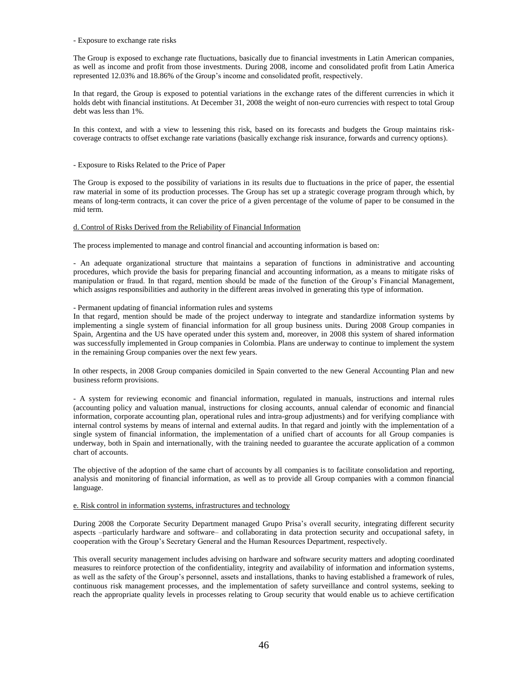- Exposure to exchange rate risks

The Group is exposed to exchange rate fluctuations, basically due to financial investments in Latin American companies, as well as income and profit from those investments. During 2008, income and consolidated profit from Latin America represented 12.03% and 18.86% of the Group's income and consolidated profit, respectively.

In that regard, the Group is exposed to potential variations in the exchange rates of the different currencies in which it holds debt with financial institutions. At December 31, 2008 the weight of non-euro currencies with respect to total Group debt was less than 1%.

In this context, and with a view to lessening this risk, based on its forecasts and budgets the Group maintains riskcoverage contracts to offset exchange rate variations (basically exchange risk insurance, forwards and currency options).

- Exposure to Risks Related to the Price of Paper

The Group is exposed to the possibility of variations in its results due to fluctuations in the price of paper, the essential raw material in some of its production processes. The Group has set up a strategic coverage program through which, by means of long-term contracts, it can cover the price of a given percentage of the volume of paper to be consumed in the mid term.

#### d. Control of Risks Derived from the Reliability of Financial Information

The process implemented to manage and control financial and accounting information is based on:

- An adequate organizational structure that maintains a separation of functions in administrative and accounting procedures, which provide the basis for preparing financial and accounting information, as a means to mitigate risks of manipulation or fraud. In that regard, mention should be made of the function of the Group's Financial Management, which assigns responsibilities and authority in the different areas involved in generating this type of information.

#### - Permanent updating of financial information rules and systems

In that regard, mention should be made of the project underway to integrate and standardize information systems by implementing a single system of financial information for all group business units. During 2008 Group companies in Spain, Argentina and the US have operated under this system and, moreover, in 2008 this system of shared information was successfully implemented in Group companies in Colombia. Plans are underway to continue to implement the system in the remaining Group companies over the next few years.

In other respects, in 2008 Group companies domiciled in Spain converted to the new General Accounting Plan and new business reform provisions.

- A system for reviewing economic and financial information, regulated in manuals, instructions and internal rules (accounting policy and valuation manual, instructions for closing accounts, annual calendar of economic and financial information, corporate accounting plan, operational rules and intra-group adjustments) and for verifying compliance with internal control systems by means of internal and external audits. In that regard and jointly with the implementation of a single system of financial information, the implementation of a unified chart of accounts for all Group companies is underway, both in Spain and internationally, with the training needed to guarantee the accurate application of a common chart of accounts.

The objective of the adoption of the same chart of accounts by all companies is to facilitate consolidation and reporting, analysis and monitoring of financial information, as well as to provide all Group companies with a common financial language.

#### e. Risk control in information systems, infrastructures and technology

During 2008 the Corporate Security Department managed Grupo Prisa's overall security, integrating different security aspects –particularly hardware and software– and collaborating in data protection security and occupational safety, in cooperation with the Group's Secretary General and the Human Resources Department, respectively.

This overall security management includes advising on hardware and software security matters and adopting coordinated measures to reinforce protection of the confidentiality, integrity and availability of information and information systems, as well as the safety of the Group's personnel, assets and installations, thanks to having established a framework of rules, continuous risk management processes, and the implementation of safety surveillance and control systems, seeking to reach the appropriate quality levels in processes relating to Group security that would enable us to achieve certification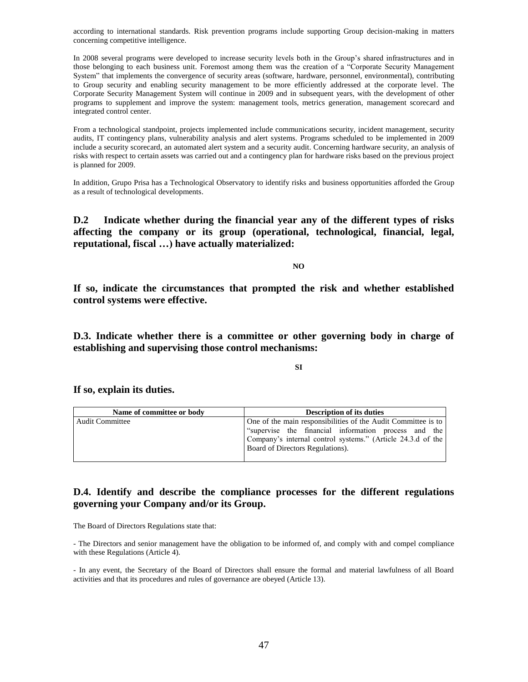according to international standards. Risk prevention programs include supporting Group decision-making in matters concerning competitive intelligence.

In 2008 several programs were developed to increase security levels both in the Group's shared infrastructures and in those belonging to each business unit. Foremost among them was the creation of a "Corporate Security Management System" that implements the convergence of security areas (software, hardware, personnel, environmental), contributing to Group security and enabling security management to be more efficiently addressed at the corporate level. The Corporate Security Management System will continue in 2009 and in subsequent years, with the development of other programs to supplement and improve the system: management tools, metrics generation, management scorecard and integrated control center.

From a technological standpoint, projects implemented include communications security, incident management, security audits, IT contingency plans, vulnerability analysis and alert systems. Programs scheduled to be implemented in 2009 include a security scorecard, an automated alert system and a security audit. Concerning hardware security, an analysis of risks with respect to certain assets was carried out and a contingency plan for hardware risks based on the previous project is planned for 2009.

In addition, Grupo Prisa has a Technological Observatory to identify risks and business opportunities afforded the Group as a result of technological developments.

**D.2 Indicate whether during the financial year any of the different types of risks affecting the company or its group (operational, technological, financial, legal, reputational, fiscal …) have actually materialized:**

**NO**

**If so, indicate the circumstances that prompted the risk and whether established control systems were effective.**

**D.3. Indicate whether there is a committee or other governing body in charge of establishing and supervising those control mechanisms:**

**SI**

**If so, explain its duties.**

| Name of committee or body | <b>Description of its duties</b>                              |  |  |
|---------------------------|---------------------------------------------------------------|--|--|
| <b>Audit Committee</b>    | One of the main responsibilities of the Audit Committee is to |  |  |
|                           | "supervise the financial information process and the          |  |  |
|                           | Company's internal control systems." (Article 24.3.d of the   |  |  |
|                           | Board of Directors Regulations).                              |  |  |
|                           |                                                               |  |  |

# **D.4. Identify and describe the compliance processes for the different regulations governing your Company and/or its Group.**

The Board of Directors Regulations state that:

- The Directors and senior management have the obligation to be informed of, and comply with and compel compliance with these Regulations (Article 4).

- In any event, the Secretary of the Board of Directors shall ensure the formal and material lawfulness of all Board activities and that its procedures and rules of governance are obeyed (Article 13).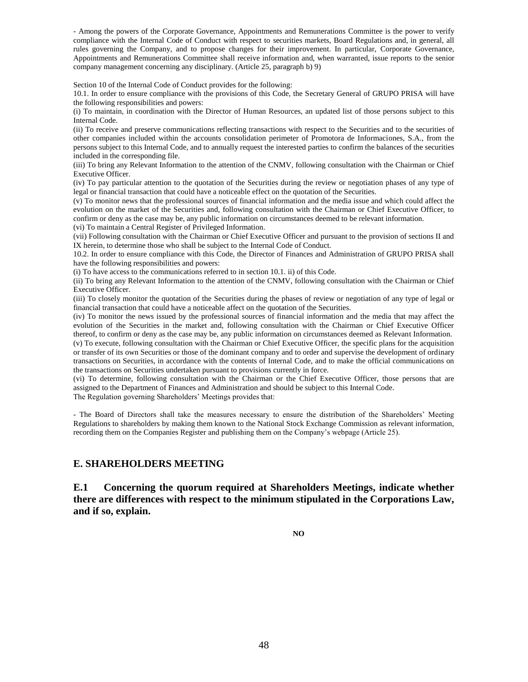- Among the powers of the Corporate Governance, Appointments and Remunerations Committee is the power to verify compliance with the Internal Code of Conduct with respect to securities markets, Board Regulations and, in general, all rules governing the Company, and to propose changes for their improvement. In particular, Corporate Governance, Appointments and Remunerations Committee shall receive information and, when warranted, issue reports to the senior company management concerning any disciplinary. (Article 25, paragraph b) 9)

Section 10 of the Internal Code of Conduct provides for the following:

10.1. In order to ensure compliance with the provisions of this Code, the Secretary General of GRUPO PRISA will have the following responsibilities and powers:

(i) To maintain, in coordination with the Director of Human Resources, an updated list of those persons subject to this Internal Code.

(ii) To receive and preserve communications reflecting transactions with respect to the Securities and to the securities of other companies included within the accounts consolidation perimeter of Promotora de Informaciones, S.A., from the persons subject to this Internal Code, and to annually request the interested parties to confirm the balances of the securities included in the corresponding file.

(iii) To bring any Relevant Information to the attention of the CNMV, following consultation with the Chairman or Chief Executive Officer.

(iv) To pay particular attention to the quotation of the Securities during the review or negotiation phases of any type of legal or financial transaction that could have a noticeable effect on the quotation of the Securities.

(v) To monitor news that the professional sources of financial information and the media issue and which could affect the evolution on the market of the Securities and, following consultation with the Chairman or Chief Executive Officer, to confirm or deny as the case may be, any public information on circumstances deemed to be relevant information. (vi) To maintain a Central Register of Privileged Information.

(vii) Following consultation with the Chairman or Chief Executive Officer and pursuant to the provision of sections II and IX herein, to determine those who shall be subject to the Internal Code of Conduct.

10.2. In order to ensure compliance with this Code, the Director of Finances and Administration of GRUPO PRISA shall have the following responsibilities and powers:

(i) To have access to the communications referred to in section 10.1. ii) of this Code.

(ii) To bring any Relevant Information to the attention of the CNMV, following consultation with the Chairman or Chief Executive Officer.

(iii) To closely monitor the quotation of the Securities during the phases of review or negotiation of any type of legal or financial transaction that could have a noticeable affect on the quotation of the Securities.

(iv) To monitor the news issued by the professional sources of financial information and the media that may affect the evolution of the Securities in the market and, following consultation with the Chairman or Chief Executive Officer thereof, to confirm or deny as the case may be, any public information on circumstances deemed as Relevant Information.

(v) To execute, following consultation with the Chairman or Chief Executive Officer, the specific plans for the acquisition or transfer of its own Securities or those of the dominant company and to order and supervise the development of ordinary transactions on Securities, in accordance with the contents of Internal Code, and to make the official communications on the transactions on Securities undertaken pursuant to provisions currently in force.

(vi) To determine, following consultation with the Chairman or the Chief Executive Officer, those persons that are assigned to the Department of Finances and Administration and should be subject to this Internal Code.

The Regulation governing Shareholders' Meetings provides that:

- The Board of Directors shall take the measures necessary to ensure the distribution of the Shareholders' Meeting Regulations to shareholders by making them known to the National Stock Exchange Commission as relevant information, recording them on the Companies Register and publishing them on the Company's webpage (Article 25).

## **E. SHAREHOLDERS MEETING**

**E.1 Concerning the quorum required at Shareholders Meetings, indicate whether there are differences with respect to the minimum stipulated in the Corporations Law, and if so, explain.**

**NO**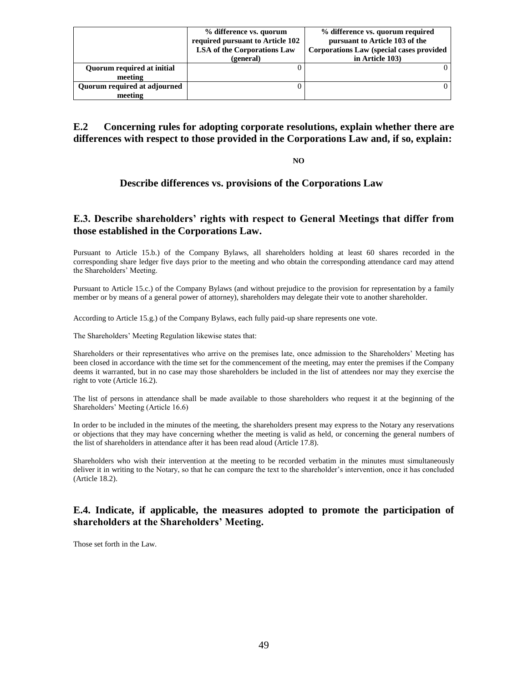|                              | % difference vs. quorum<br>required pursuant to Article 102 | % difference vs. quorum required<br>pursuant to Article 103 of the |
|------------------------------|-------------------------------------------------------------|--------------------------------------------------------------------|
|                              | <b>LSA</b> of the Corporations Law                          | Corporations Law (special cases provided                           |
|                              | (general)                                                   | in Article 103)                                                    |
| Quorum required at initial   |                                                             |                                                                    |
| meeting                      |                                                             |                                                                    |
| Ouorum required at adjourned |                                                             |                                                                    |
| meeting                      |                                                             |                                                                    |

**E.2 Concerning rules for adopting corporate resolutions, explain whether there are differences with respect to those provided in the Corporations Law and, if so, explain:**

**NO**

## **Describe differences vs. provisions of the Corporations Law**

## **E.3. Describe shareholders' rights with respect to General Meetings that differ from those established in the Corporations Law.**

Pursuant to Article 15.b.) of the Company Bylaws, all shareholders holding at least 60 shares recorded in the corresponding share ledger five days prior to the meeting and who obtain the corresponding attendance card may attend the Shareholders' Meeting.

Pursuant to Article 15.c.) of the Company Bylaws (and without prejudice to the provision for representation by a family member or by means of a general power of attorney), shareholders may delegate their vote to another shareholder.

According to Article 15.g.) of the Company Bylaws, each fully paid-up share represents one vote.

The Shareholders' Meeting Regulation likewise states that:

Shareholders or their representatives who arrive on the premises late, once admission to the Shareholders' Meeting has been closed in accordance with the time set for the commencement of the meeting, may enter the premises if the Company deems it warranted, but in no case may those shareholders be included in the list of attendees nor may they exercise the right to vote (Article 16.2).

The list of persons in attendance shall be made available to those shareholders who request it at the beginning of the Shareholders' Meeting (Article 16.6)

In order to be included in the minutes of the meeting, the shareholders present may express to the Notary any reservations or objections that they may have concerning whether the meeting is valid as held, or concerning the general numbers of the list of shareholders in attendance after it has been read aloud (Article 17.8).

Shareholders who wish their intervention at the meeting to be recorded verbatim in the minutes must simultaneously deliver it in writing to the Notary, so that he can compare the text to the shareholder's intervention, once it has concluded (Article 18.2).

## **E.4. Indicate, if applicable, the measures adopted to promote the participation of shareholders at the Shareholders' Meeting.**

Those set forth in the Law.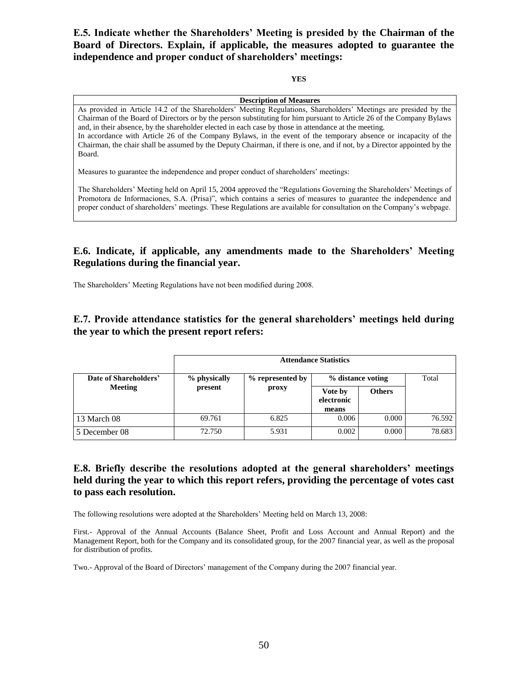**E.5. Indicate whether the Shareholders' Meeting is presided by the Chairman of the Board of Directors. Explain, if applicable, the measures adopted to guarantee the independence and proper conduct of shareholders' meetings:**

### **YES**

### **Description of Measures**

As provided in Article 14.2 of the Shareholders' Meeting Regulations, Shareholders' Meetings are presided by the Chairman of the Board of Directors or by the person substituting for him pursuant to Article 26 of the Company Bylaws and, in their absence, by the shareholder elected in each case by those in attendance at the meeting. In accordance with Article 26 of the Company Bylaws, in the event of the temporary absence or incapacity of the Chairman, the chair shall be assumed by the Deputy Chairman, if there is one, and if not, by a Director appointed by the Board.

Measures to guarantee the independence and proper conduct of shareholders' meetings:

The Shareholders' Meeting held on April 15, 2004 approved the "Regulations Governing the Shareholders' Meetings of Promotora de Informaciones, S.A. (Prisa)", which contains a series of measures to guarantee the independence and proper conduct of shareholders' meetings. These Regulations are available for consultation on the Company's webpage.

# **E.6. Indicate, if applicable, any amendments made to the Shareholders' Meeting Regulations during the financial year.**

The Shareholders' Meeting Regulations have not been modified during 2008.

# **E.7. Provide attendance statistics for the general shareholders' meetings held during the year to which the present report refers:**

|                       | <b>Attendance Statistics</b>                         |                                |        |       |        |
|-----------------------|------------------------------------------------------|--------------------------------|--------|-------|--------|
| Date of Shareholders' | % physically<br>% represented by<br>present<br>proxy | % distance voting              |        | Total |        |
| <b>Meeting</b>        |                                                      | Vote by<br>electronic<br>means | Others |       |        |
| 13 March 08           | 69.761                                               | 6.825                          | 0.006  | 0.000 | 76.592 |
| 5 December 08         | 72.750                                               | 5.931                          | 0.002  | 0.000 | 78.683 |

# **E.8. Briefly describe the resolutions adopted at the general shareholders' meetings held during the year to which this report refers, providing the percentage of votes cast to pass each resolution.**

The following resolutions were adopted at the Shareholders' Meeting held on March 13, 2008:

First.- Approval of the Annual Accounts (Balance Sheet, Profit and Loss Account and Annual Report) and the Management Report, both for the Company and its consolidated group, for the 2007 financial year, as well as the proposal for distribution of profits.

Two.- Approval of the Board of Directors' management of the Company during the 2007 financial year.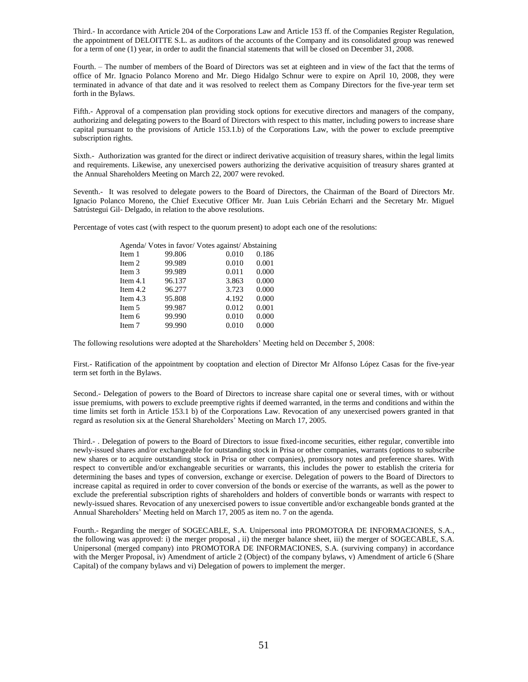Third.- In accordance with Article 204 of the Corporations Law and Article 153 ff. of the Companies Register Regulation, the appointment of DELOITTE S.L. as auditors of the accounts of the Company and its consolidated group was renewed for a term of one (1) year, in order to audit the financial statements that will be closed on December 31, 2008.

Fourth. – The number of members of the Board of Directors was set at eighteen and in view of the fact that the terms of office of Mr. Ignacio Polanco Moreno and Mr. Diego Hidalgo Schnur were to expire on April 10, 2008, they were terminated in advance of that date and it was resolved to reelect them as Company Directors for the five-year term set forth in the Bylaws.

Fifth.- Approval of a compensation plan providing stock options for executive directors and managers of the company, authorizing and delegating powers to the Board of Directors with respect to this matter, including powers to increase share capital pursuant to the provisions of Article 153.1.b) of the Corporations Law, with the power to exclude preemptive subscription rights.

Sixth.- Authorization was granted for the direct or indirect derivative acquisition of treasury shares, within the legal limits and requirements. Likewise, any unexercised powers authorizing the derivative acquisition of treasury shares granted at the Annual Shareholders Meeting on March 22, 2007 were revoked.

Seventh.- It was resolved to delegate powers to the Board of Directors, the Chairman of the Board of Directors Mr. Ignacio Polanco Moreno, the Chief Executive Officer Mr. Juan Luis Cebrián Echarri and the Secretary Mr. Miguel Satrústegui Gil- Delgado, in relation to the above resolutions.

Percentage of votes cast (with respect to the quorum present) to adopt each one of the resolutions:

|            | Agenda/ Votes in favor/ Votes against/ Abstaining |       |       |
|------------|---------------------------------------------------|-------|-------|
| Item 1     | 99.806                                            | 0.010 | 0.186 |
| Item 2     | 99.989                                            | 0.010 | 0.001 |
| Item 3     | 99.989                                            | 0.011 | 0.000 |
| Item $4.1$ | 96.137                                            | 3.863 | 0.000 |
| Item $4.2$ | 96.277                                            | 3.723 | 0.000 |
| Item $4.3$ | 95.808                                            | 4.192 | 0.000 |
| Item 5     | 99.987                                            | 0.012 | 0.001 |
| Item 6     | 99.990                                            | 0.010 | 0.000 |
| Item 7     | 99.990                                            | 0.010 | 0.000 |

The following resolutions were adopted at the Shareholders' Meeting held on December 5, 2008:

First.- Ratification of the appointment by cooptation and election of Director Mr Alfonso López Casas for the five-year term set forth in the Bylaws.

Second.- Delegation of powers to the Board of Directors to increase share capital one or several times, with or without issue premiums, with powers to exclude preemptive rights if deemed warranted, in the terms and conditions and within the time limits set forth in Article 153.1 b) of the Corporations Law. Revocation of any unexercised powers granted in that regard as resolution six at the General Shareholders' Meeting on March 17, 2005.

Third.- . Delegation of powers to the Board of Directors to issue fixed-income securities, either regular, convertible into newly-issued shares and/or exchangeable for outstanding stock in Prisa or other companies, warrants (options to subscribe new shares or to acquire outstanding stock in Prisa or other companies), promissory notes and preference shares. With respect to convertible and/or exchangeable securities or warrants, this includes the power to establish the criteria for determining the bases and types of conversion, exchange or exercise. Delegation of powers to the Board of Directors to increase capital as required in order to cover conversion of the bonds or exercise of the warrants, as well as the power to exclude the preferential subscription rights of shareholders and holders of convertible bonds or warrants with respect to newly-issued shares. Revocation of any unexercised powers to issue convertible and/or exchangeable bonds granted at the Annual Shareholders' Meeting held on March 17, 2005 as item no. 7 on the agenda.

Fourth.- Regarding the merger of SOGECABLE, S.A. Unipersonal into PROMOTORA DE INFORMACIONES, S.A., the following was approved: i) the merger proposal , ii) the merger balance sheet, iii) the merger of SOGECABLE, S.A. Unipersonal (merged company) into PROMOTORA DE INFORMACIONES, S.A. (surviving company) in accordance with the Merger Proposal, iv) Amendment of article 2 (Object) of the company bylaws, v) Amendment of article 6 (Share Capital) of the company bylaws and vi) Delegation of powers to implement the merger.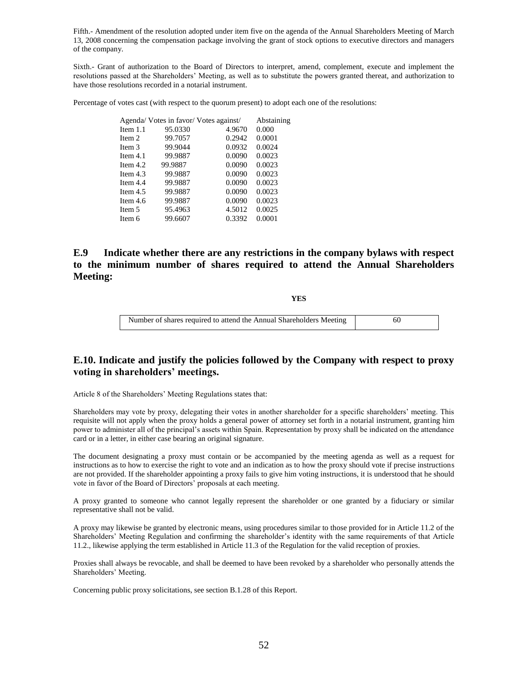Fifth.- Amendment of the resolution adopted under item five on the agenda of the Annual Shareholders Meeting of March 13, 2008 concerning the compensation package involving the grant of stock options to executive directors and managers of the company.

Sixth.- Grant of authorization to the Board of Directors to interpret, amend, complement, execute and implement the resolutions passed at the Shareholders' Meeting, as well as to substitute the powers granted thereat, and authorization to have those resolutions recorded in a notarial instrument.

Percentage of votes cast (with respect to the quorum present) to adopt each one of the resolutions:

|            | Agenda/ Votes in favor/ Votes against/ |        | Abstaining |
|------------|----------------------------------------|--------|------------|
| Item $1.1$ | 95.0330                                | 4.9670 | 0.000      |
| Item 2     | 99.7057                                | 0.2942 | 0.0001     |
| Item 3     | 99.9044                                | 0.0932 | 0.0024     |
| Item $4.1$ | 99.9887                                | 0.0090 | 0.0023     |
| Item $4.2$ | 99.9887                                | 0.0090 | 0.0023     |
| Item $4.3$ | 99.9887                                | 0.0090 | 0.0023     |
| Item $4.4$ | 99.9887                                | 0.0090 | 0.0023     |
| Item $4.5$ | 99.9887                                | 0.0090 | 0.0023     |
| Item $4.6$ | 99.9887                                | 0.0090 | 0.0023     |
| Item 5     | 95.4963                                | 4.5012 | 0.0025     |
| Item 6     | 99.6607                                | 0.3392 | 0.0001     |
|            |                                        |        |            |

# **E.9 Indicate whether there are any restrictions in the company bylaws with respect to the minimum number of shares required to attend the Annual Shareholders Meeting:**

**YES** 

Number of shares required to attend the Annual Shareholders Meeting 60

## **E.10. Indicate and justify the policies followed by the Company with respect to proxy voting in shareholders' meetings.**

Article 8 of the Shareholders' Meeting Regulations states that:

Shareholders may vote by proxy, delegating their votes in another shareholder for a specific shareholders' meeting. This requisite will not apply when the proxy holds a general power of attorney set forth in a notarial instrument, granting him power to administer all of the principal's assets within Spain. Representation by proxy shall be indicated on the attendance card or in a letter, in either case bearing an original signature.

The document designating a proxy must contain or be accompanied by the meeting agenda as well as a request for instructions as to how to exercise the right to vote and an indication as to how the proxy should vote if precise instructions are not provided. If the shareholder appointing a proxy fails to give him voting instructions, it is understood that he should vote in favor of the Board of Directors' proposals at each meeting.

A proxy granted to someone who cannot legally represent the shareholder or one granted by a fiduciary or similar representative shall not be valid.

A proxy may likewise be granted by electronic means, using procedures similar to those provided for in Article 11.2 of the Shareholders' Meeting Regulation and confirming the shareholder's identity with the same requirements of that Article 11.2., likewise applying the term established in Article 11.3 of the Regulation for the valid reception of proxies.

Proxies shall always be revocable, and shall be deemed to have been revoked by a shareholder who personally attends the Shareholders' Meeting.

Concerning public proxy solicitations, see section B.1.28 of this Report.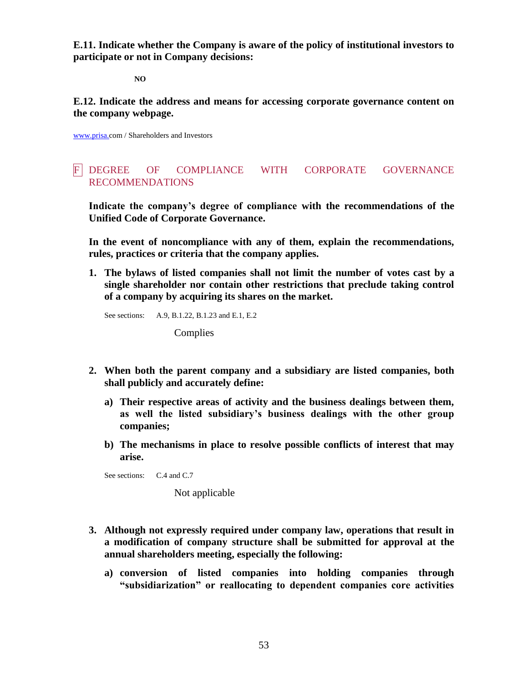**E.11. Indicate whether the Company is aware of the policy of institutional investors to participate or not in Company decisions:**

**NO**

**E.12. Indicate the address and means for accessing corporate governance content on the company webpage.**

[www.prisa.c](http://www.prisa./)om / Shareholders and Investors

# F DEGREE OF COMPLIANCE WITH CORPORATE GOVERNANCE RECOMMENDATIONS

**Indicate the company's degree of compliance with the recommendations of the Unified Code of Corporate Governance.**

**In the event of noncompliance with any of them, explain the recommendations, rules, practices or criteria that the company applies.**

**1. The bylaws of listed companies shall not limit the number of votes cast by a single shareholder nor contain other restrictions that preclude taking control of a company by acquiring its shares on the market.**

See sections: A.9, B.1.22, B.1.23 and E.1, E.2

Complies

- **2. When both the parent company and a subsidiary are listed companies, both shall publicly and accurately define:**
	- **a) Their respective areas of activity and the business dealings between them, as well the listed subsidiary's business dealings with the other group companies;**
	- **b) The mechanisms in place to resolve possible conflicts of interest that may arise.**

See sections: C.4 and C.7

Not applicable

- **3. Although not expressly required under company law, operations that result in a modification of company structure shall be submitted for approval at the annual shareholders meeting, especially the following:**
	- **a) conversion of listed companies into holding companies through "subsidiarization" or reallocating to dependent companies core activities**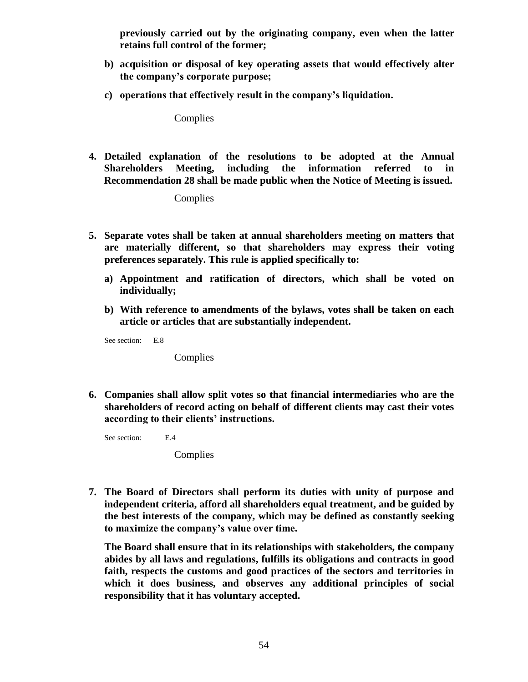**previously carried out by the originating company, even when the latter retains full control of the former;**

- **b) acquisition or disposal of key operating assets that would effectively alter the company's corporate purpose;**
- **c) operations that effectively result in the company's liquidation.**

Complies

**4. Detailed explanation of the resolutions to be adopted at the Annual Shareholders Meeting, including the information referred to in Recommendation 28 shall be made public when the Notice of Meeting is issued.**

Complies

- **5. Separate votes shall be taken at annual shareholders meeting on matters that are materially different, so that shareholders may express their voting preferences separately. This rule is applied specifically to:**
	- **a) Appointment and ratification of directors, which shall be voted on individually;**
	- **b) With reference to amendments of the bylaws, votes shall be taken on each article or articles that are substantially independent.**

See section: E.8

Complies

**6. Companies shall allow split votes so that financial intermediaries who are the shareholders of record acting on behalf of different clients may cast their votes according to their clients' instructions.**

See section: E.4

Complies

**7. The Board of Directors shall perform its duties with unity of purpose and independent criteria, afford all shareholders equal treatment, and be guided by the best interests of the company, which may be defined as constantly seeking to maximize the company's value over time.**

**The Board shall ensure that in its relationships with stakeholders, the company abides by all laws and regulations, fulfills its obligations and contracts in good faith, respects the customs and good practices of the sectors and territories in which it does business, and observes any additional principles of social responsibility that it has voluntary accepted.**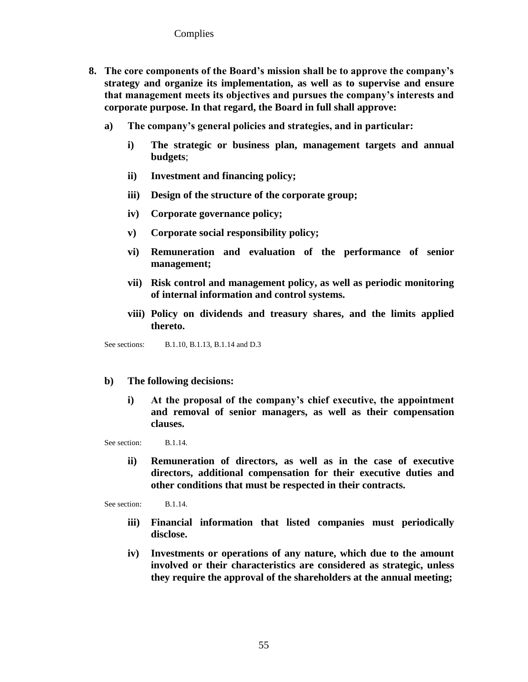- **8. The core components of the Board's mission shall be to approve the company's strategy and organize its implementation, as well as to supervise and ensure that management meets its objectives and pursues the company's interests and corporate purpose. In that regard, the Board in full shall approve:** 
	- **a) The company's general policies and strategies, and in particular:**
		- **i) The strategic or business plan, management targets and annual budgets**;
		- **ii) Investment and financing policy;**
		- **iii) Design of the structure of the corporate group;**
		- **iv) Corporate governance policy;**
		- **v) Corporate social responsibility policy;**
		- **vi) Remuneration and evaluation of the performance of senior management;**
		- **vii) Risk control and management policy, as well as periodic monitoring of internal information and control systems.**
		- **viii) Policy on dividends and treasury shares, and the limits applied thereto.**

See sections: B.1.10, B.1.13, B.1.14 and D.3

## **b) The following decisions:**

**i) At the proposal of the company's chief executive, the appointment and removal of senior managers, as well as their compensation clauses.**

See section: B.1.14.

**ii) Remuneration of directors, as well as in the case of executive directors, additional compensation for their executive duties and other conditions that must be respected in their contracts.**

See section: B.1.14.

- **iii) Financial information that listed companies must periodically disclose.**
- **iv) Investments or operations of any nature, which due to the amount involved or their characteristics are considered as strategic, unless they require the approval of the shareholders at the annual meeting;**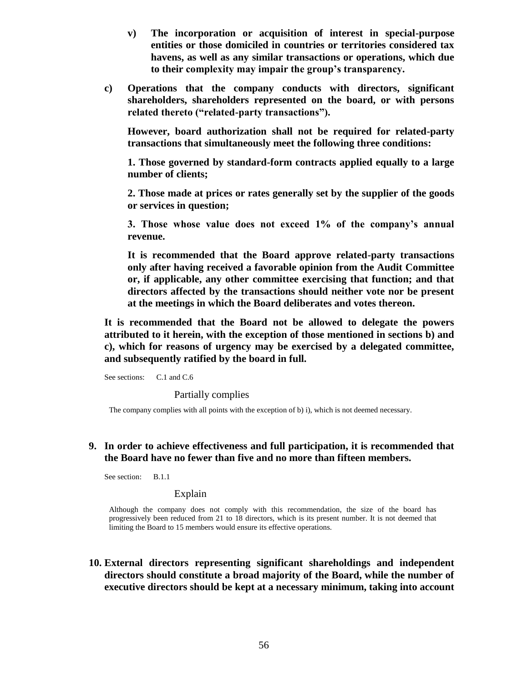- **v) The incorporation or acquisition of interest in special-purpose entities or those domiciled in countries or territories considered tax havens, as well as any similar transactions or operations, which due to their complexity may impair the group's transparency.**
- **c) Operations that the company conducts with directors, significant shareholders, shareholders represented on the board, or with persons related thereto ("related-party transactions").**

**However, board authorization shall not be required for related-party transactions that simultaneously meet the following three conditions:**

**1. Those governed by standard-form contracts applied equally to a large number of clients;**

**2. Those made at prices or rates generally set by the supplier of the goods or services in question;**

**3. Those whose value does not exceed 1% of the company's annual revenue.**

**It is recommended that the Board approve related-party transactions only after having received a favorable opinion from the Audit Committee or, if applicable, any other committee exercising that function; and that directors affected by the transactions should neither vote nor be present at the meetings in which the Board deliberates and votes thereon.** 

**It is recommended that the Board not be allowed to delegate the powers attributed to it herein, with the exception of those mentioned in sections b) and c), which for reasons of urgency may be exercised by a delegated committee, and subsequently ratified by the board in full.**

See sections: C.1 and C.6

Partially complies

The company complies with all points with the exception of b) i), which is not deemed necessary.

## **9. In order to achieve effectiveness and full participation, it is recommended that the Board have no fewer than five and no more than fifteen members.**

See section: B.1.1

## Explain

Although the company does not comply with this recommendation, the size of the board has progressively been reduced from 21 to 18 directors, which is its present number. It is not deemed that limiting the Board to 15 members would ensure its effective operations.

**10. External directors representing significant shareholdings and independent directors should constitute a broad majority of the Board, while the number of executive directors should be kept at a necessary minimum, taking into account**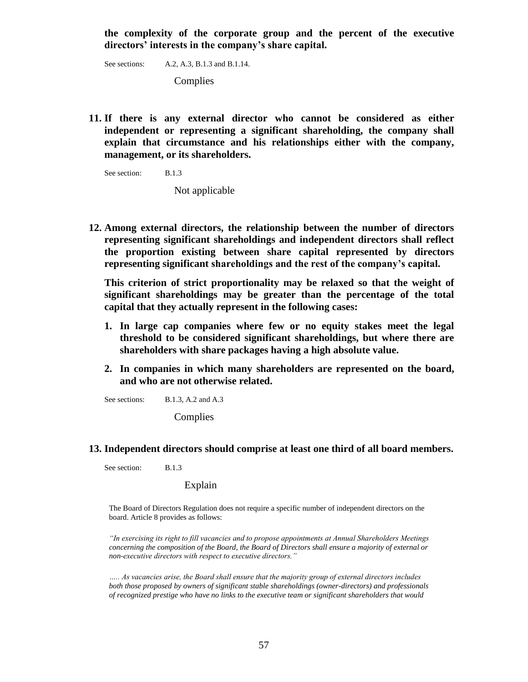**the complexity of the corporate group and the percent of the executive directors' interests in the company's share capital.**

See sections: A.2, A.3, B.1.3 and B.1.14.

Complies

**11. If there is any external director who cannot be considered as either independent or representing a significant shareholding, the company shall explain that circumstance and his relationships either with the company, management, or its shareholders.**

See section: B.1.3

Not applicable

**12. Among external directors, the relationship between the number of directors representing significant shareholdings and independent directors shall reflect the proportion existing between share capital represented by directors representing significant shareholdings and the rest of the company's capital.**

**This criterion of strict proportionality may be relaxed so that the weight of significant shareholdings may be greater than the percentage of the total capital that they actually represent in the following cases:**

- **1. In large cap companies where few or no equity stakes meet the legal threshold to be considered significant shareholdings, but where there are shareholders with share packages having a high absolute value.**
- **2. In companies in which many shareholders are represented on the board, and who are not otherwise related.**

See sections: B.1.3, A.2 and A.3

Complies

## **13. Independent directors should comprise at least one third of all board members.**

See section: B.1.3

### Explain

The Board of Directors Regulation does not require a specific number of independent directors on the board. Article 8 provides as follows:

*"In exercising its right to fill vacancies and to propose appointments at Annual Shareholders Meetings concerning the composition of the Board, the Board of Directors shall ensure a majority of external or non-executive directors with respect to executive directors."*

*….. As vacancies arise, the Board shall ensure that the majority group of external directors includes both those proposed by owners of significant stable shareholdings (owner-directors) and professionals of recognized prestige who have no links to the executive team or significant shareholders that would*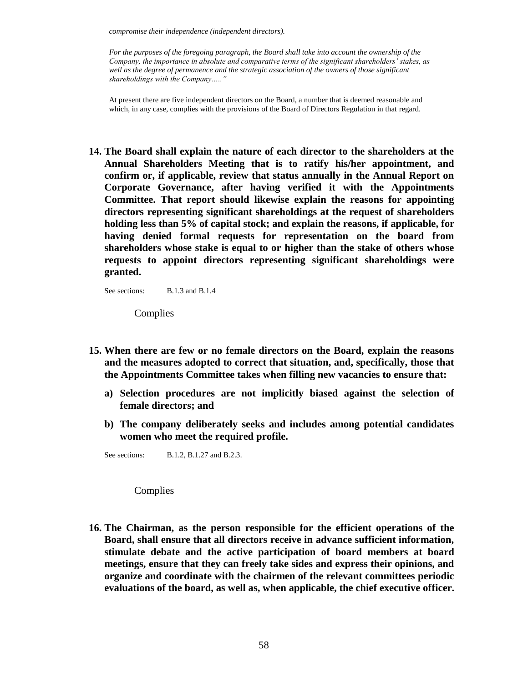*compromise their independence (independent directors).*

*For the purposes of the foregoing paragraph, the Board shall take into account the ownership of the Company, the importance in absolute and comparative terms of the significant shareholders' stakes, as*  well as the degree of permanence and the strategic association of the owners of those significant *shareholdings with the Company….."*

At present there are five independent directors on the Board, a number that is deemed reasonable and which, in any case, complies with the provisions of the Board of Directors Regulation in that regard.

**14. The Board shall explain the nature of each director to the shareholders at the Annual Shareholders Meeting that is to ratify his/her appointment, and confirm or, if applicable, review that status annually in the Annual Report on Corporate Governance, after having verified it with the Appointments Committee. That report should likewise explain the reasons for appointing directors representing significant shareholdings at the request of shareholders holding less than 5% of capital stock; and explain the reasons, if applicable, for having denied formal requests for representation on the board from shareholders whose stake is equal to or higher than the stake of others whose requests to appoint directors representing significant shareholdings were granted.**

See sections: B.1.3 and B.1.4

Complies

- **15. When there are few or no female directors on the Board, explain the reasons and the measures adopted to correct that situation, and, specifically, those that the Appointments Committee takes when filling new vacancies to ensure that:** 
	- **a) Selection procedures are not implicitly biased against the selection of female directors; and**
	- **b) The company deliberately seeks and includes among potential candidates women who meet the required profile.**

See sections: B.1.2, B.1.27 and B.2.3.

Complies

**16. The Chairman, as the person responsible for the efficient operations of the Board, shall ensure that all directors receive in advance sufficient information, stimulate debate and the active participation of board members at board meetings, ensure that they can freely take sides and express their opinions, and organize and coordinate with the chairmen of the relevant committees periodic evaluations of the board, as well as, when applicable, the chief executive officer.**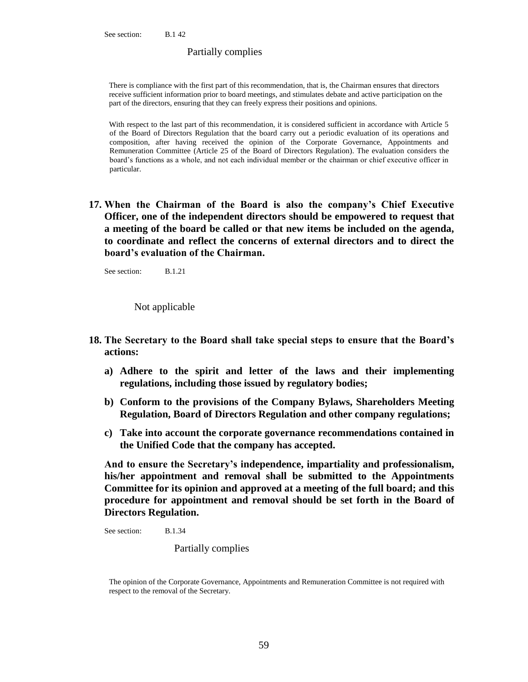### Partially complies

There is compliance with the first part of this recommendation, that is, the Chairman ensures that directors receive sufficient information prior to board meetings, and stimulates debate and active participation on the part of the directors, ensuring that they can freely express their positions and opinions.

With respect to the last part of this recommendation, it is considered sufficient in accordance with Article 5 of the Board of Directors Regulation that the board carry out a periodic evaluation of its operations and composition, after having received the opinion of the Corporate Governance, Appointments and Remuneration Committee (Article 25 of the Board of Directors Regulation). The evaluation considers the board's functions as a whole, and not each individual member or the chairman or chief executive officer in particular.

**17. When the Chairman of the Board is also the company's Chief Executive Officer, one of the independent directors should be empowered to request that a meeting of the board be called or that new items be included on the agenda, to coordinate and reflect the concerns of external directors and to direct the board's evaluation of the Chairman.** 

See section: B.1.21

Not applicable

- **18. The Secretary to the Board shall take special steps to ensure that the Board's actions:** 
	- **a) Adhere to the spirit and letter of the laws and their implementing regulations, including those issued by regulatory bodies;**
	- **b) Conform to the provisions of the Company Bylaws, Shareholders Meeting Regulation, Board of Directors Regulation and other company regulations;**
	- **c) Take into account the corporate governance recommendations contained in the Unified Code that the company has accepted.**

**And to ensure the Secretary's independence, impartiality and professionalism, his/her appointment and removal shall be submitted to the Appointments Committee for its opinion and approved at a meeting of the full board; and this procedure for appointment and removal should be set forth in the Board of Directors Regulation.**

See section: B.1.34

Partially complies

The opinion of the Corporate Governance, Appointments and Remuneration Committee is not required with respect to the removal of the Secretary.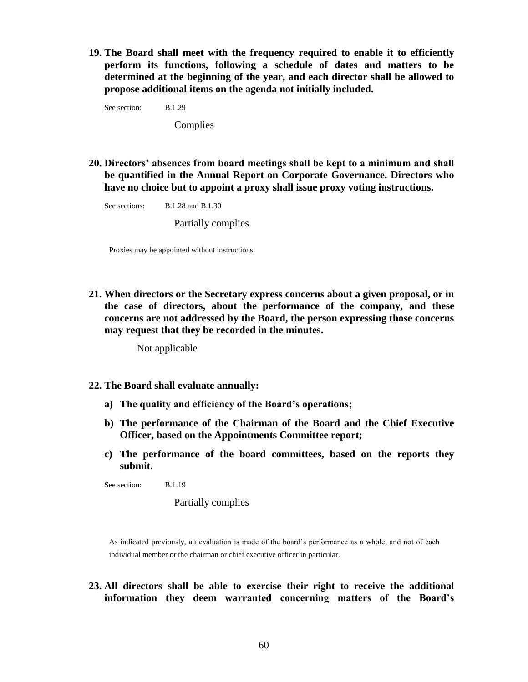**19. The Board shall meet with the frequency required to enable it to efficiently perform its functions, following a schedule of dates and matters to be determined at the beginning of the year, and each director shall be allowed to propose additional items on the agenda not initially included.**

See section: B.1.29

Complies

**20. Directors' absences from board meetings shall be kept to a minimum and shall be quantified in the Annual Report on Corporate Governance. Directors who have no choice but to appoint a proxy shall issue proxy voting instructions.**

See sections: B.1.28 and B.1.30

Partially complies

Proxies may be appointed without instructions.

**21. When directors or the Secretary express concerns about a given proposal, or in the case of directors, about the performance of the company, and these concerns are not addressed by the Board, the person expressing those concerns may request that they be recorded in the minutes.**

Not applicable

- **22. The Board shall evaluate annually:**
	- **a) The quality and efficiency of the Board's operations;**
	- **b) The performance of the Chairman of the Board and the Chief Executive Officer, based on the Appointments Committee report;**
	- **c) The performance of the board committees, based on the reports they submit.**

See section: B.1.19

Partially complies

As indicated previously, an evaluation is made of the board's performance as a whole, and not of each individual member or the chairman or chief executive officer in particular.

**23. All directors shall be able to exercise their right to receive the additional information they deem warranted concerning matters of the Board's**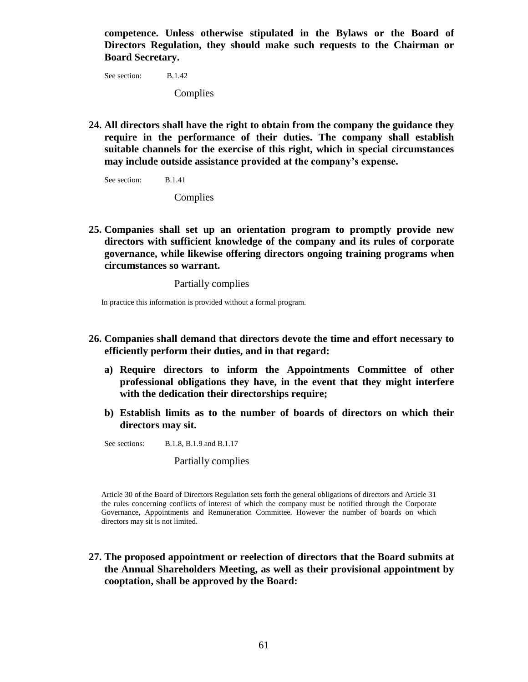**competence. Unless otherwise stipulated in the Bylaws or the Board of Directors Regulation, they should make such requests to the Chairman or Board Secretary.**

See section: B.1.42 Complies

**24. All directors shall have the right to obtain from the company the guidance they require in the performance of their duties. The company shall establish suitable channels for the exercise of this right, which in special circumstances may include outside assistance provided at the company's expense.**

See section: B.1.41

**Complies** 

**25. Companies shall set up an orientation program to promptly provide new directors with sufficient knowledge of the company and its rules of corporate governance, while likewise offering directors ongoing training programs when circumstances so warrant.**

Partially complies

In practice this information is provided without a formal program.

- **26. Companies shall demand that directors devote the time and effort necessary to efficiently perform their duties, and in that regard:**
	- **a) Require directors to inform the Appointments Committee of other professional obligations they have, in the event that they might interfere with the dedication their directorships require;**
	- **b) Establish limits as to the number of boards of directors on which their directors may sit.**

See sections: B.1.8, B.1.9 and B.1.17

Partially complies

Article 30 of the Board of Directors Regulation sets forth the general obligations of directors and Article 31 the rules concerning conflicts of interest of which the company must be notified through the Corporate Governance, Appointments and Remuneration Committee. However the number of boards on which directors may sit is not limited.

**27. The proposed appointment or reelection of directors that the Board submits at the Annual Shareholders Meeting, as well as their provisional appointment by cooptation, shall be approved by the Board:**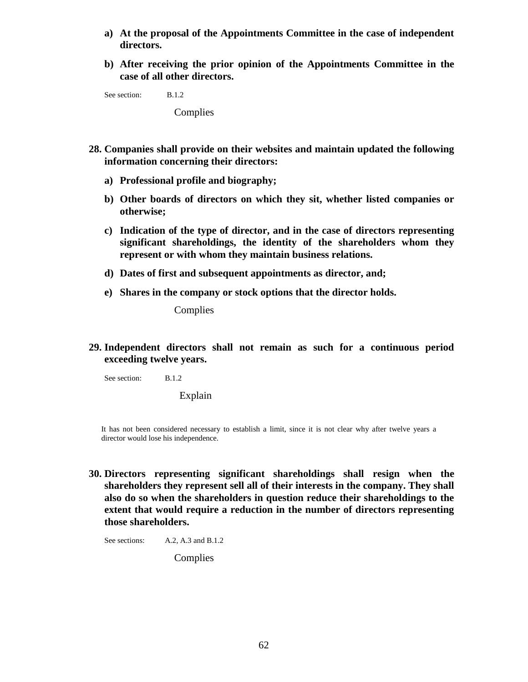- **a) At the proposal of the Appointments Committee in the case of independent directors.**
- **b) After receiving the prior opinion of the Appointments Committee in the case of all other directors.**

See section: B.1.2

**Complies** 

- **28. Companies shall provide on their websites and maintain updated the following information concerning their directors:**
	- **a) Professional profile and biography;**
	- **b) Other boards of directors on which they sit, whether listed companies or otherwise;**
	- **c) Indication of the type of director, and in the case of directors representing significant shareholdings, the identity of the shareholders whom they represent or with whom they maintain business relations.**
	- **d) Dates of first and subsequent appointments as director, and;**
	- **e) Shares in the company or stock options that the director holds.**

**Complies** 

**29. Independent directors shall not remain as such for a continuous period exceeding twelve years.**

See section: B.1.2

Explain

It has not been considered necessary to establish a limit, since it is not clear why after twelve years a director would lose his independence.

**30. Directors representing significant shareholdings shall resign when the shareholders they represent sell all of their interests in the company. They shall also do so when the shareholders in question reduce their shareholdings to the extent that would require a reduction in the number of directors representing those shareholders.**

See sections: A.2, A.3 and B.1.2

Complies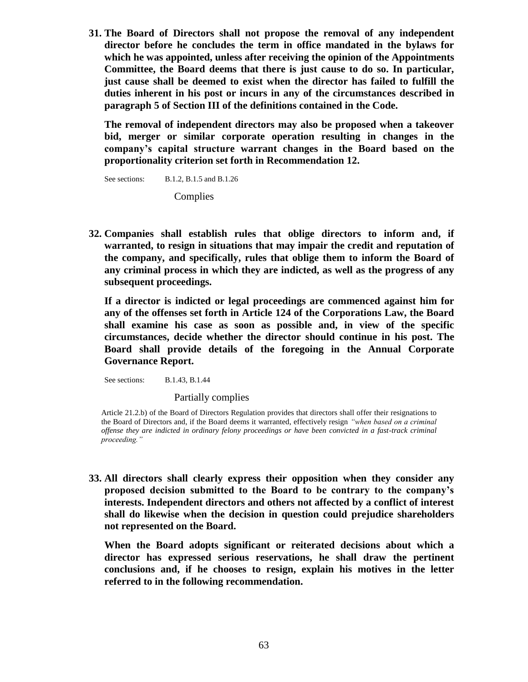**31. The Board of Directors shall not propose the removal of any independent director before he concludes the term in office mandated in the bylaws for which he was appointed, unless after receiving the opinion of the Appointments Committee, the Board deems that there is just cause to do so. In particular, just cause shall be deemed to exist when the director has failed to fulfill the duties inherent in his post or incurs in any of the circumstances described in paragraph 5 of Section III of the definitions contained in the Code.**

**The removal of independent directors may also be proposed when a takeover bid, merger or similar corporate operation resulting in changes in the company's capital structure warrant changes in the Board based on the proportionality criterion set forth in Recommendation 12.** 

See sections: B.1.2, B.1.5 and B.1.26

**Complies** 

**32. Companies shall establish rules that oblige directors to inform and, if warranted, to resign in situations that may impair the credit and reputation of the company, and specifically, rules that oblige them to inform the Board of any criminal process in which they are indicted, as well as the progress of any subsequent proceedings.**

**If a director is indicted or legal proceedings are commenced against him for any of the offenses set forth in Article 124 of the Corporations Law, the Board shall examine his case as soon as possible and, in view of the specific circumstances, decide whether the director should continue in his post. The Board shall provide details of the foregoing in the Annual Corporate Governance Report.**

See sections: B.1.43, B.1.44

Partially complies

Article 21.2.b) of the Board of Directors Regulation provides that directors shall offer their resignations to the Board of Directors and, if the Board deems it warranted, effectively resign *"when based on a criminal offense they are indicted in ordinary felony proceedings or have been convicted in a fast-track criminal proceeding."*

**33. All directors shall clearly express their opposition when they consider any proposed decision submitted to the Board to be contrary to the company's interests. Independent directors and others not affected by a conflict of interest shall do likewise when the decision in question could prejudice shareholders not represented on the Board.**

**When the Board adopts significant or reiterated decisions about which a director has expressed serious reservations, he shall draw the pertinent conclusions and, if he chooses to resign, explain his motives in the letter referred to in the following recommendation.**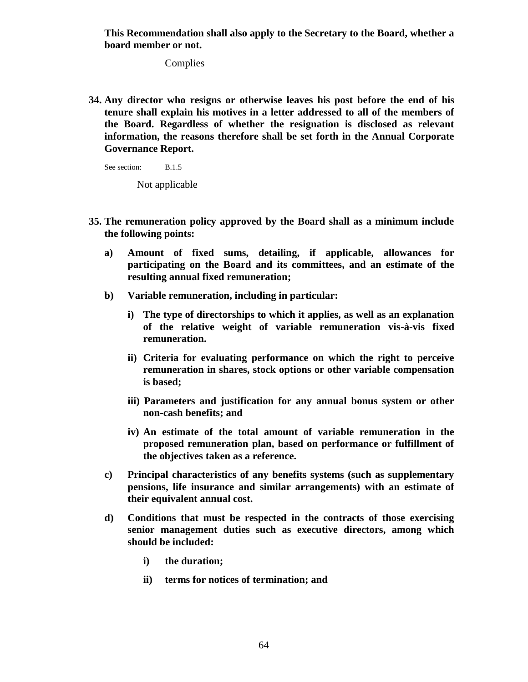**This Recommendation shall also apply to the Secretary to the Board, whether a board member or not.**

**Complies** 

**34. Any director who resigns or otherwise leaves his post before the end of his tenure shall explain his motives in a letter addressed to all of the members of the Board. Regardless of whether the resignation is disclosed as relevant information, the reasons therefore shall be set forth in the Annual Corporate Governance Report.**

See section: B.1.5

Not applicable

- **35. The remuneration policy approved by the Board shall as a minimum include the following points:**
	- **a) Amount of fixed sums, detailing, if applicable, allowances for participating on the Board and its committees, and an estimate of the resulting annual fixed remuneration;**
	- **b) Variable remuneration, including in particular:**
		- **i) The type of directorships to which it applies, as well as an explanation of the relative weight of variable remuneration vis-à-vis fixed remuneration.**
		- **ii) Criteria for evaluating performance on which the right to perceive remuneration in shares, stock options or other variable compensation is based;**
		- **iii) Parameters and justification for any annual bonus system or other non-cash benefits; and**
		- **iv) An estimate of the total amount of variable remuneration in the proposed remuneration plan, based on performance or fulfillment of the objectives taken as a reference.**
	- **c) Principal characteristics of any benefits systems (such as supplementary pensions, life insurance and similar arrangements) with an estimate of their equivalent annual cost.**
	- **d) Conditions that must be respected in the contracts of those exercising senior management duties such as executive directors, among which should be included:**
		- **i) the duration;**
		- **ii) terms for notices of termination; and**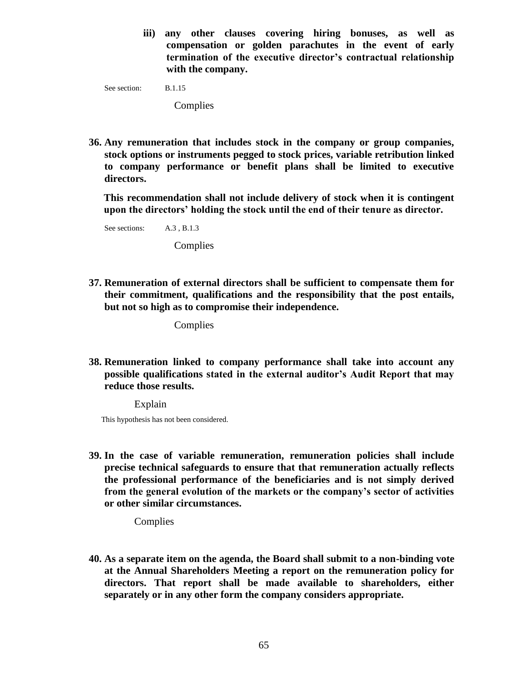**iii) any other clauses covering hiring bonuses, as well as compensation or golden parachutes in the event of early termination of the executive director's contractual relationship with the company.**

See section: B.1.15

**Complies** 

**36. Any remuneration that includes stock in the company or group companies, stock options or instruments pegged to stock prices, variable retribution linked to company performance or benefit plans shall be limited to executive directors.**

**This recommendation shall not include delivery of stock when it is contingent upon the directors' holding the stock until the end of their tenure as director.**

See sections: A.3, B.1.3 **Complies** 

**37. Remuneration of external directors shall be sufficient to compensate them for their commitment, qualifications and the responsibility that the post entails, but not so high as to compromise their independence.**

Complies

**38. Remuneration linked to company performance shall take into account any possible qualifications stated in the external auditor's Audit Report that may reduce those results.**

Explain

This hypothesis has not been considered.

**39. In the case of variable remuneration, remuneration policies shall include precise technical safeguards to ensure that that remuneration actually reflects the professional performance of the beneficiaries and is not simply derived from the general evolution of the markets or the company's sector of activities or other similar circumstances.**

Complies

**40. As a separate item on the agenda, the Board shall submit to a non-binding vote at the Annual Shareholders Meeting a report on the remuneration policy for directors. That report shall be made available to shareholders, either separately or in any other form the company considers appropriate.**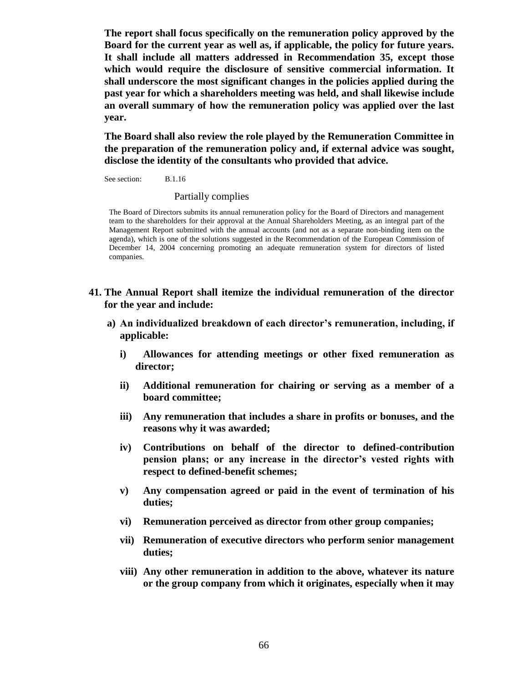**The report shall focus specifically on the remuneration policy approved by the Board for the current year as well as, if applicable, the policy for future years. It shall include all matters addressed in Recommendation 35, except those which would require the disclosure of sensitive commercial information. It shall underscore the most significant changes in the policies applied during the past year for which a shareholders meeting was held, and shall likewise include an overall summary of how the remuneration policy was applied over the last year.** 

**The Board shall also review the role played by the Remuneration Committee in the preparation of the remuneration policy and, if external advice was sought, disclose the identity of the consultants who provided that advice.**

See section: B.1.16

### Partially complies

The Board of Directors submits its annual remuneration policy for the Board of Directors and management team to the shareholders for their approval at the Annual Shareholders Meeting, as an integral part of the Management Report submitted with the annual accounts (and not as a separate non-binding item on the agenda), which is one of the solutions suggested in the Recommendation of the European Commission of December 14, 2004 concerning promoting an adequate remuneration system for directors of listed companies.

- **41. The Annual Report shall itemize the individual remuneration of the director for the year and include:** 
	- **a) An individualized breakdown of each director's remuneration, including, if applicable:**
		- **i) Allowances for attending meetings or other fixed remuneration as director;**
		- **ii) Additional remuneration for chairing or serving as a member of a board committee;**
		- **iii) Any remuneration that includes a share in profits or bonuses, and the reasons why it was awarded;**
		- **iv) Contributions on behalf of the director to defined-contribution pension plans; or any increase in the director's vested rights with respect to defined-benefit schemes;**
		- **v) Any compensation agreed or paid in the event of termination of his duties;**
		- **vi) Remuneration perceived as director from other group companies;**
		- **vii) Remuneration of executive directors who perform senior management duties;**
		- **viii) Any other remuneration in addition to the above, whatever its nature or the group company from which it originates, especially when it may**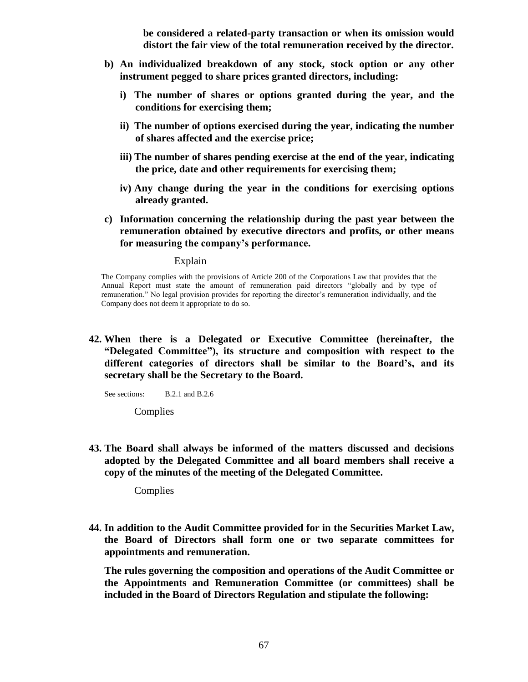**be considered a related-party transaction or when its omission would distort the fair view of the total remuneration received by the director.**

- **b) An individualized breakdown of any stock, stock option or any other instrument pegged to share prices granted directors, including:**
	- **i) The number of shares or options granted during the year, and the conditions for exercising them;**
	- **ii) The number of options exercised during the year, indicating the number of shares affected and the exercise price;**
	- **iii) The number of shares pending exercise at the end of the year, indicating the price, date and other requirements for exercising them;**
	- **iv) Any change during the year in the conditions for exercising options already granted.**
- **c) Information concerning the relationship during the past year between the remuneration obtained by executive directors and profits, or other means for measuring the company's performance.**

### Explain

The Company complies with the provisions of Article 200 of the Corporations Law that provides that the Annual Report must state the amount of remuneration paid directors "globally and by type of remuneration.‖ No legal provision provides for reporting the director's remuneration individually, and the Company does not deem it appropriate to do so.

**42. When there is a Delegated or Executive Committee (hereinafter, the "Delegated Committee"), its structure and composition with respect to the different categories of directors shall be similar to the Board's, and its secretary shall be the Secretary to the Board.**

See sections: B.2.1 and B.2.6

**Complies** 

**43. The Board shall always be informed of the matters discussed and decisions adopted by the Delegated Committee and all board members shall receive a copy of the minutes of the meeting of the Delegated Committee.**

Complies

**44. In addition to the Audit Committee provided for in the Securities Market Law, the Board of Directors shall form one or two separate committees for appointments and remuneration.**

**The rules governing the composition and operations of the Audit Committee or the Appointments and Remuneration Committee (or committees) shall be included in the Board of Directors Regulation and stipulate the following:**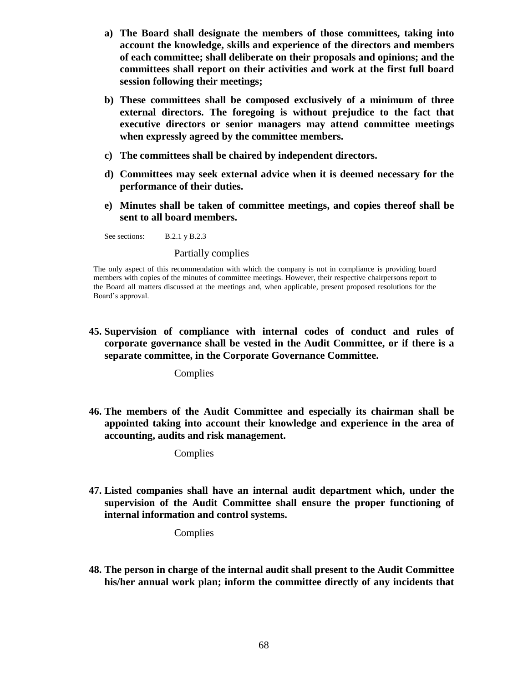- **a) The Board shall designate the members of those committees, taking into account the knowledge, skills and experience of the directors and members of each committee; shall deliberate on their proposals and opinions; and the committees shall report on their activities and work at the first full board session following their meetings;**
- **b) These committees shall be composed exclusively of a minimum of three external directors. The foregoing is without prejudice to the fact that executive directors or senior managers may attend committee meetings when expressly agreed by the committee members.**
- **c) The committees shall be chaired by independent directors.**
- **d) Committees may seek external advice when it is deemed necessary for the performance of their duties.**
- **e) Minutes shall be taken of committee meetings, and copies thereof shall be sent to all board members.**

See sections: B.2.1 y B.2.3

Partially complies

The only aspect of this recommendation with which the company is not in compliance is providing board members with copies of the minutes of committee meetings. However, their respective chairpersons report to the Board all matters discussed at the meetings and, when applicable, present proposed resolutions for the Board's approval.

**45. Supervision of compliance with internal codes of conduct and rules of corporate governance shall be vested in the Audit Committee, or if there is a separate committee, in the Corporate Governance Committee.**

Complies

**46. The members of the Audit Committee and especially its chairman shall be appointed taking into account their knowledge and experience in the area of accounting, audits and risk management.**

Complies

**47. Listed companies shall have an internal audit department which, under the supervision of the Audit Committee shall ensure the proper functioning of internal information and control systems.**

Complies

**48. The person in charge of the internal audit shall present to the Audit Committee his/her annual work plan; inform the committee directly of any incidents that**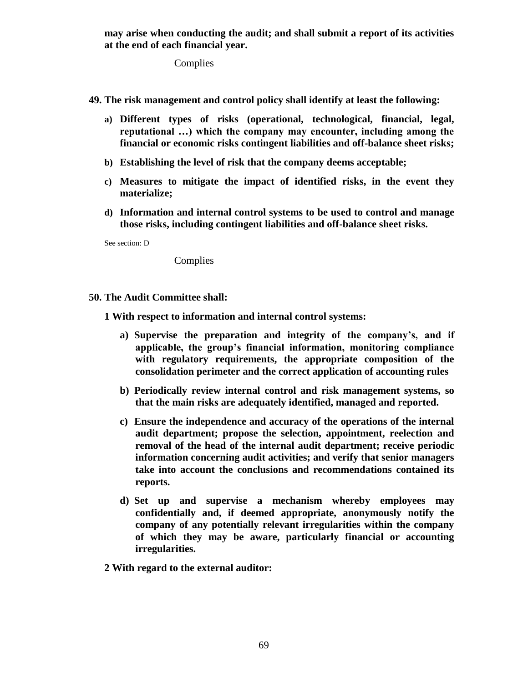**may arise when conducting the audit; and shall submit a report of its activities at the end of each financial year.**

**Complies** 

- **49. The risk management and control policy shall identify at least the following:**
	- **a) Different types of risks (operational, technological, financial, legal, reputational …) which the company may encounter, including among the financial or economic risks contingent liabilities and off-balance sheet risks;**
	- **b) Establishing the level of risk that the company deems acceptable;**
	- **c) Measures to mitigate the impact of identified risks, in the event they materialize;**
	- **d) Information and internal control systems to be used to control and manage those risks, including contingent liabilities and off-balance sheet risks.**

See section: D

Complies

**50. The Audit Committee shall:**

**1 With respect to information and internal control systems:**

- **a) Supervise the preparation and integrity of the company's, and if applicable, the group's financial information, monitoring compliance with regulatory requirements, the appropriate composition of the consolidation perimeter and the correct application of accounting rules**
- **b) Periodically review internal control and risk management systems, so that the main risks are adequately identified, managed and reported.**
- **c) Ensure the independence and accuracy of the operations of the internal audit department; propose the selection, appointment, reelection and removal of the head of the internal audit department; receive periodic information concerning audit activities; and verify that senior managers take into account the conclusions and recommendations contained its reports.**
- **d) Set up and supervise a mechanism whereby employees may confidentially and, if deemed appropriate, anonymously notify the company of any potentially relevant irregularities within the company of which they may be aware, particularly financial or accounting irregularities.**
- **2 With regard to the external auditor:**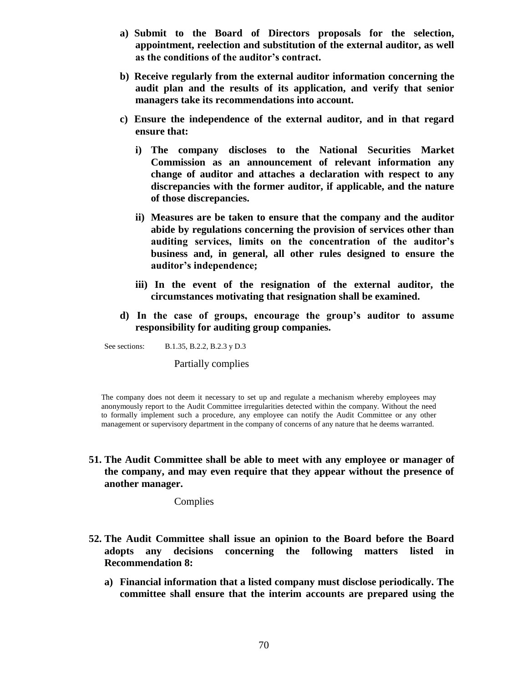- **a) Submit to the Board of Directors proposals for the selection, appointment, reelection and substitution of the external auditor, as well as the conditions of the auditor's contract.**
- **b) Receive regularly from the external auditor information concerning the audit plan and the results of its application, and verify that senior managers take its recommendations into account.**
- **c) Ensure the independence of the external auditor, and in that regard ensure that:**
	- **i) The company discloses to the National Securities Market Commission as an announcement of relevant information any change of auditor and attaches a declaration with respect to any discrepancies with the former auditor, if applicable, and the nature of those discrepancies.**
	- **ii) Measures are be taken to ensure that the company and the auditor abide by regulations concerning the provision of services other than auditing services, limits on the concentration of the auditor's business and, in general, all other rules designed to ensure the auditor's independence;**
	- **iii) In the event of the resignation of the external auditor, the circumstances motivating that resignation shall be examined.**
- **d) In the case of groups, encourage the group's auditor to assume responsibility for auditing group companies.**

See sections: B.1.35, B.2.2, B.2.3 y D.3

Partially complies

The company does not deem it necessary to set up and regulate a mechanism whereby employees may anonymously report to the Audit Committee irregularities detected within the company. Without the need to formally implement such a procedure, any employee can notify the Audit Committee or any other management or supervisory department in the company of concerns of any nature that he deems warranted.

**51. The Audit Committee shall be able to meet with any employee or manager of the company, and may even require that they appear without the presence of another manager.**

**Complies** 

- **52. The Audit Committee shall issue an opinion to the Board before the Board adopts any decisions concerning the following matters listed in Recommendation 8:**
	- **a) Financial information that a listed company must disclose periodically. The committee shall ensure that the interim accounts are prepared using the**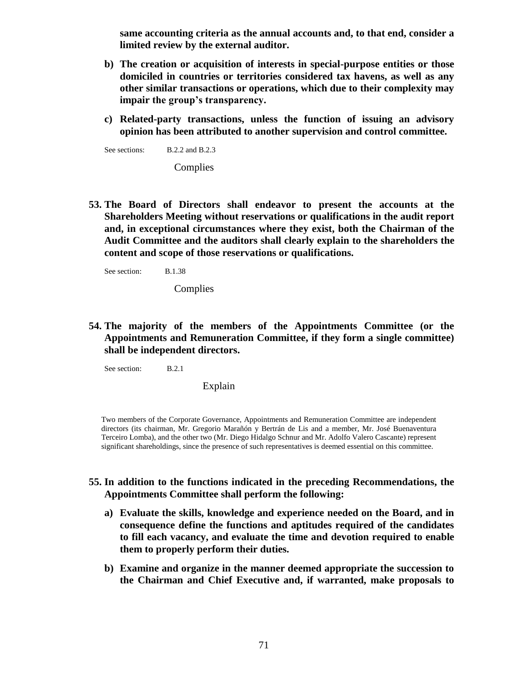**same accounting criteria as the annual accounts and, to that end, consider a limited review by the external auditor.**

- **b) The creation or acquisition of interests in special-purpose entities or those domiciled in countries or territories considered tax havens, as well as any other similar transactions or operations, which due to their complexity may impair the group's transparency.**
- **c) Related-party transactions, unless the function of issuing an advisory opinion has been attributed to another supervision and control committee.**

See sections: B.2.2 and B.2.3

**Complies** 

**53. The Board of Directors shall endeavor to present the accounts at the Shareholders Meeting without reservations or qualifications in the audit report and, in exceptional circumstances where they exist, both the Chairman of the Audit Committee and the auditors shall clearly explain to the shareholders the content and scope of those reservations or qualifications.**

See section: B.1.38

Complies

**54. The majority of the members of the Appointments Committee (or the Appointments and Remuneration Committee, if they form a single committee) shall be independent directors.**

See section: B.2.1

Explain

Two members of the Corporate Governance, Appointments and Remuneration Committee are independent directors (its chairman, Mr. Gregorio Marañón y Bertrán de Lis and a member, Mr. José Buenaventura Terceiro Lomba), and the other two (Mr. Diego Hidalgo Schnur and Mr. Adolfo Valero Cascante) represent significant shareholdings, since the presence of such representatives is deemed essential on this committee.

- **55. In addition to the functions indicated in the preceding Recommendations, the Appointments Committee shall perform the following:**
	- **a) Evaluate the skills, knowledge and experience needed on the Board, and in consequence define the functions and aptitudes required of the candidates to fill each vacancy, and evaluate the time and devotion required to enable them to properly perform their duties.**
	- **b) Examine and organize in the manner deemed appropriate the succession to the Chairman and Chief Executive and, if warranted, make proposals to**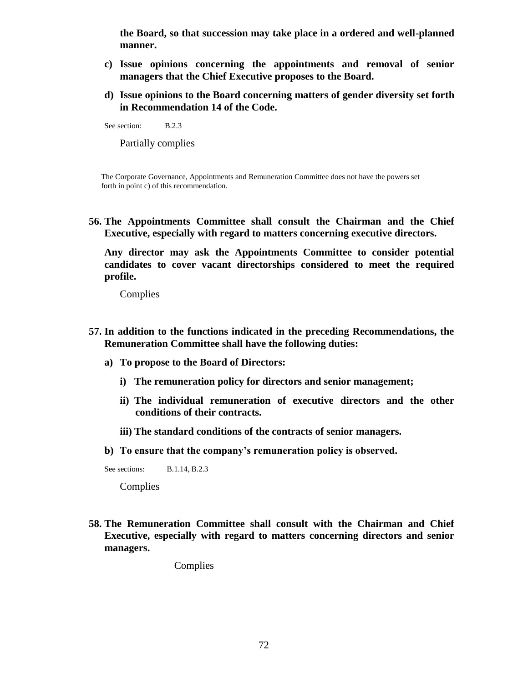**the Board, so that succession may take place in a ordered and well-planned manner.**

- **c) Issue opinions concerning the appointments and removal of senior managers that the Chief Executive proposes to the Board.**
- **d) Issue opinions to the Board concerning matters of gender diversity set forth in Recommendation 14 of the Code.**

See section: B.2.3

Partially complies

The Corporate Governance, Appointments and Remuneration Committee does not have the powers set forth in point c) of this recommendation.

**56. The Appointments Committee shall consult the Chairman and the Chief Executive, especially with regard to matters concerning executive directors.**

**Any director may ask the Appointments Committee to consider potential candidates to cover vacant directorships considered to meet the required profile.**

**Complies** 

- **57. In addition to the functions indicated in the preceding Recommendations, the Remuneration Committee shall have the following duties:** 
	- **a) To propose to the Board of Directors:**
		- **i) The remuneration policy for directors and senior management;**
		- **ii) The individual remuneration of executive directors and the other conditions of their contracts.**
		- **iii) The standard conditions of the contracts of senior managers.**

**b) To ensure that the company's remuneration policy is observed.**

See sections: B.1.14, B.2.3

Complies

**58. The Remuneration Committee shall consult with the Chairman and Chief Executive, especially with regard to matters concerning directors and senior managers.**

Complies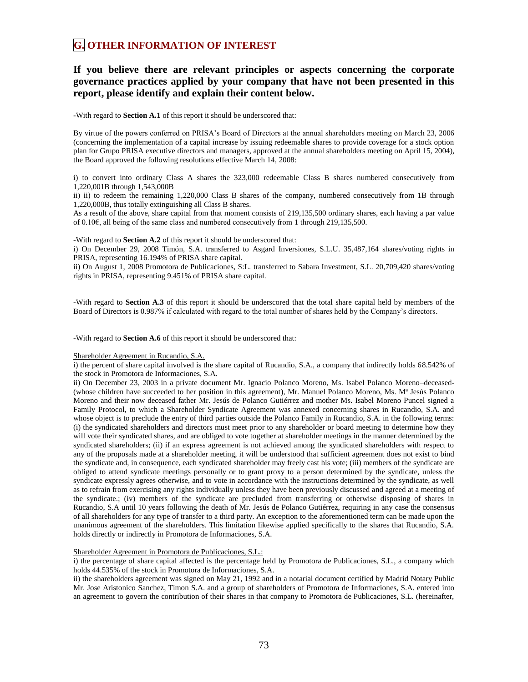# **G. OTHER INFORMATION OF INTEREST**

## **If you believe there are relevant principles or aspects concerning the corporate governance practices applied by your company that have not been presented in this report, please identify and explain their content below.**

-With regard to **Section A.1** of this report it should be underscored that:

By virtue of the powers conferred on PRISA's Board of Directors at the annual shareholders meeting on March 23, 2006 (concerning the implementation of a capital increase by issuing redeemable shares to provide coverage for a stock option plan for Grupo PRISA executive directors and managers, approved at the annual shareholders meeting on April 15, 2004), the Board approved the following resolutions effective March 14, 2008:

i) to convert into ordinary Class A shares the 323,000 redeemable Class B shares numbered consecutively from 1,220,001B through 1,543,000B

ii) ii) to redeem the remaining 1,220,000 Class B shares of the company, numbered consecutively from 1B through 1,220,000B, thus totally extinguishing all Class B shares.

As a result of the above, share capital from that moment consists of 219,135,500 ordinary shares, each having a par value of 0.10€, all being of the same class and numbered consecutively from 1 through 219,135,500.

-With regard to **Section A.2** of this report it should be underscored that:

i) On December 29, 2008 Timón, S.A. transferred to Asgard Inversiones, S.L.U. 35,487,164 shares/voting rights in PRISA, representing 16.194% of PRISA share capital.

ii) On August 1, 2008 Promotora de Publicaciones, S:L. transferred to Sabara Investment, S.L. 20,709,420 shares/voting rights in PRISA, representing 9.451% of PRISA share capital.

-With regard to **Section A.3** of this report it should be underscored that the total share capital held by members of the Board of Directors is 0.987% if calculated with regard to the total number of shares held by the Company's directors.

-With regard to **Section A.6** of this report it should be underscored that:

#### Shareholder Agreement in Rucandio, S.A.

i) the percent of share capital involved is the share capital of Rucandio, S.A., a company that indirectly holds 68.542% of the stock in Promotora de Informaciones, S.A.

ii) On December 23, 2003 in a private document Mr. Ignacio Polanco Moreno, Ms. Isabel Polanco Moreno–deceased- (whose children have succeeded to her position in this agreement), Mr. Manuel Polanco Moreno, Ms. Mª Jesús Polanco Moreno and their now deceased father Mr. Jesús de Polanco Gutiérrez and mother Ms. Isabel Moreno Puncel signed a Family Protocol, to which a Shareholder Syndicate Agreement was annexed concerning shares in Rucandio, S.A. and whose object is to preclude the entry of third parties outside the Polanco Family in Rucandio, S.A. in the following terms: (i) the syndicated shareholders and directors must meet prior to any shareholder or board meeting to determine how they will vote their syndicated shares, and are obliged to vote together at shareholder meetings in the manner determined by the syndicated shareholders; (ii) if an express agreement is not achieved among the syndicated shareholders with respect to any of the proposals made at a shareholder meeting, it will be understood that sufficient agreement does not exist to bind the syndicate and, in consequence, each syndicated shareholder may freely cast his vote; (iii) members of the syndicate are obliged to attend syndicate meetings personally or to grant proxy to a person determined by the syndicate, unless the syndicate expressly agrees otherwise, and to vote in accordance with the instructions determined by the syndicate, as well as to refrain from exercising any rights individually unless they have been previously discussed and agreed at a meeting of the syndicate.; (iv) members of the syndicate are precluded from transferring or otherwise disposing of shares in Rucandio, S.A until 10 years following the death of Mr. Jesús de Polanco Gutiérrez, requiring in any case the consensus of all shareholders for any type of transfer to a third party. An exception to the aforementioned term can be made upon the unanimous agreement of the shareholders. This limitation likewise applied specifically to the shares that Rucandio, S.A. holds directly or indirectly in Promotora de Informaciones, S.A.

#### Shareholder Agreement in Promotora de Publicaciones, S.L.:

i) the percentage of share capital affected is the percentage held by Promotora de Publicaciones, S.L., a company which holds 44.535% of the stock in Promotora de Informaciones, S.A.

ii) the shareholders agreement was signed on May 21, 1992 and in a notarial document certified by Madrid Notary Public Mr. Jose Aristonico Sanchez, Timon S.A. and a group of shareholders of Promotora de Informaciones, S.A. entered into an agreement to govern the contribution of their shares in that company to Promotora de Publicaciones, S.L. (hereinafter,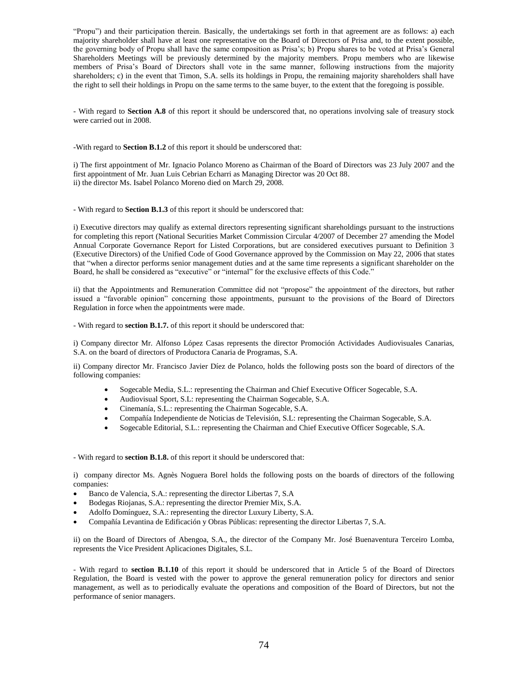"Propu") and their participation therein. Basically, the undertakings set forth in that agreement are as follows: a) each majority shareholder shall have at least one representative on the Board of Directors of Prisa and, to the extent possible, the governing body of Propu shall have the same composition as Prisa's; b) Propu shares to be voted at Prisa's General Shareholders Meetings will be previously determined by the majority members. Propu members who are likewise members of Prisa's Board of Directors shall vote in the same manner, following instructions from the majority shareholders; c) in the event that Timon, S.A. sells its holdings in Propu, the remaining majority shareholders shall have the right to sell their holdings in Propu on the same terms to the same buyer, to the extent that the foregoing is possible.

- With regard to **Section A.8** of this report it should be underscored that, no operations involving sale of treasury stock were carried out in 2008.

-With regard to **Section B.1.2** of this report it should be underscored that:

i) The first appointment of Mr. Ignacio Polanco Moreno as Chairman of the Board of Directors was 23 July 2007 and the first appointment of Mr. Juan Luis Cebrian Echarri as Managing Director was 20 Oct 88. ii) the director Ms. Isabel Polanco Moreno died on March 29, 2008.

- With regard to **Section B.1.3** of this report it should be underscored that:

i) Executive directors may qualify as external directors representing significant shareholdings pursuant to the instructions for completing this report (National Securities Market Commission Circular 4/2007 of December 27 amending the Model Annual Corporate Governance Report for Listed Corporations, but are considered executives pursuant to Definition 3 (Executive Directors) of the Unified Code of Good Governance approved by the Commission on May 22, 2006 that states that "when a director performs senior management duties and at the same time represents a significant shareholder on the Board, he shall be considered as "executive" or "internal" for the exclusive effects of this Code."

ii) that the Appointments and Remuneration Committee did not "propose" the appointment of the directors, but rather issued a "favorable opinion" concerning those appointments, pursuant to the provisions of the Board of Directors Regulation in force when the appointments were made.

- With regard to **section B.1.7.** of this report it should be underscored that:

i) Company director Mr. Alfonso López Casas represents the director Promoción Actividades Audiovisuales Canarias, S.A. on the board of directors of Productora Canaria de Programas, S.A.

ii) Company director Mr. Francisco Javier Díez de Polanco, holds the following posts son the board of directors of the following companies:

- Sogecable Media, S.L.: representing the Chairman and Chief Executive Officer Sogecable, S.A.
- Audiovisual Sport, S.L: representing the Chairman Sogecable, S.A.
- Cinemanía, S.L.: representing the Chairman Sogecable, S.A.
- Compañía Independiente de Noticias de Televisión, S.L: representing the Chairman Sogecable, S.A.
- Sogecable Editorial, S.L.: representing the Chairman and Chief Executive Officer Sogecable, S.A.

- With regard to **section B.1.8.** of this report it should be underscored that:

i) company director Ms. Agnès Noguera Borel holds the following posts on the boards of directors of the following companies:

- Banco de Valencia, S.A.: representing the director Libertas 7, S.A
- Bodegas Riojanas, S.A.: representing the director Premier Mix, S.A.
- Adolfo Domínguez, S.A.: representing the director Luxury Liberty, S.A.
- Compañía Levantina de Edificación y Obras Públicas: representing the director Libertas 7, S.A.

ii) on the Board of Directors of Abengoa, S.A., the director of the Company Mr. José Buenaventura Terceiro Lomba, represents the Vice President Aplicaciones Digitales, S.L.

- With regard to **section B.1.10** of this report it should be underscored that in Article 5 of the Board of Directors Regulation, the Board is vested with the power to approve the general remuneration policy for directors and senior management, as well as to periodically evaluate the operations and composition of the Board of Directors, but not the performance of senior managers.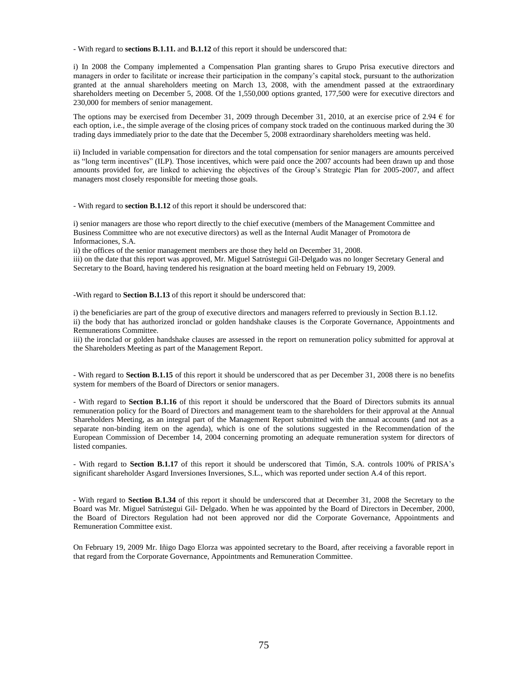- With regard to **sections B.1.11.** and **B.1.12** of this report it should be underscored that:

i) In 2008 the Company implemented a Compensation Plan granting shares to Grupo Prisa executive directors and managers in order to facilitate or increase their participation in the company's capital stock, pursuant to the authorization granted at the annual shareholders meeting on March 13, 2008, with the amendment passed at the extraordinary shareholders meeting on December 5, 2008. Of the 1,550,000 options granted, 177,500 were for executive directors and 230,000 for members of senior management.

The options may be exercised from December 31, 2009 through December 31, 2010, at an exercise price of 2.94  $\epsilon$  for each option, i.e., the simple average of the closing prices of company stock traded on the continuous marked during the 30 trading days immediately prior to the date that the December 5, 2008 extraordinary shareholders meeting was held.

ii) Included in variable compensation for directors and the total compensation for senior managers are amounts perceived as "long term incentives" (ILP). Those incentives, which were paid once the 2007 accounts had been drawn up and those amounts provided for, are linked to achieving the objectives of the Group's Strategic Plan for 2005-2007, and affect managers most closely responsible for meeting those goals.

- With regard to **section B.1.12** of this report it should be underscored that:

i) senior managers are those who report directly to the chief executive (members of the Management Committee and Business Committee who are not executive directors) as well as the Internal Audit Manager of Promotora de Informaciones, S.A.

ii) the offices of the senior management members are those they held on December 31, 2008.

iii) on the date that this report was approved, Mr. Miguel Satrústegui Gil-Delgado was no longer Secretary General and Secretary to the Board, having tendered his resignation at the board meeting held on February 19, 2009.

-With regard to **Section B.1.13** of this report it should be underscored that:

i) the beneficiaries are part of the group of executive directors and managers referred to previously in Section B.1.12. ii) the body that has authorized ironclad or golden handshake clauses is the Corporate Governance, Appointments and Remunerations Committee.

iii) the ironclad or golden handshake clauses are assessed in the report on remuneration policy submitted for approval at the Shareholders Meeting as part of the Management Report.

- With regard to **Section B.1.15** of this report it should be underscored that as per December 31, 2008 there is no benefits system for members of the Board of Directors or senior managers.

- With regard to **Section B.1.16** of this report it should be underscored that the Board of Directors submits its annual remuneration policy for the Board of Directors and management team to the shareholders for their approval at the Annual Shareholders Meeting, as an integral part of the Management Report submitted with the annual accounts (and not as a separate non-binding item on the agenda), which is one of the solutions suggested in the Recommendation of the European Commission of December 14, 2004 concerning promoting an adequate remuneration system for directors of listed companies.

- With regard to **Section B.1.17** of this report it should be underscored that Timón, S.A. controls 100% of PRISA's significant shareholder Asgard Inversiones Inversiones, S.L., which was reported under section A.4 of this report.

- With regard to **Section B.1.34** of this report it should be underscored that at December 31, 2008 the Secretary to the Board was Mr. Miguel Satrústegui Gil- Delgado. When he was appointed by the Board of Directors in December, 2000, the Board of Directors Regulation had not been approved nor did the Corporate Governance, Appointments and Remuneration Committee exist.

On February 19, 2009 Mr. Iñigo Dago Elorza was appointed secretary to the Board, after receiving a favorable report in that regard from the Corporate Governance, Appointments and Remuneration Committee.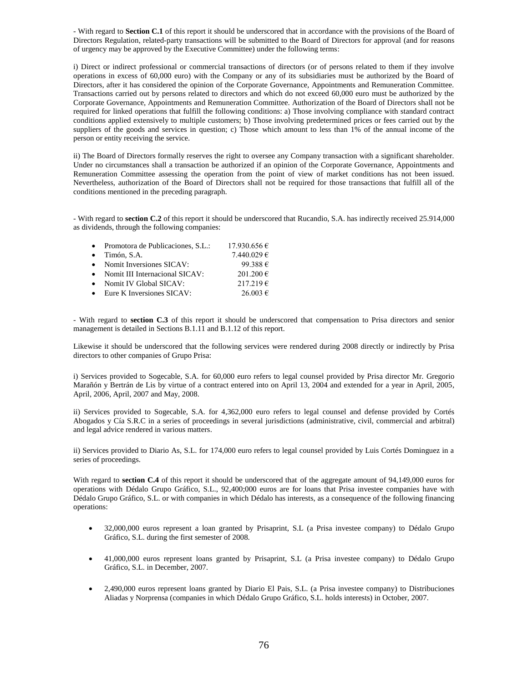- With regard to **Section C.1** of this report it should be underscored that in accordance with the provisions of the Board of Directors Regulation, related-party transactions will be submitted to the Board of Directors for approval (and for reasons of urgency may be approved by the Executive Committee) under the following terms:

i) Direct or indirect professional or commercial transactions of directors (or of persons related to them if they involve operations in excess of 60,000 euro) with the Company or any of its subsidiaries must be authorized by the Board of Directors, after it has considered the opinion of the Corporate Governance, Appointments and Remuneration Committee. Transactions carried out by persons related to directors and which do not exceed 60,000 euro must be authorized by the Corporate Governance, Appointments and Remuneration Committee. Authorization of the Board of Directors shall not be required for linked operations that fulfill the following conditions: a) Those involving compliance with standard contract conditions applied extensively to multiple customers; b) Those involving predetermined prices or fees carried out by the suppliers of the goods and services in question; c) Those which amount to less than 1% of the annual income of the person or entity receiving the service.

ii) The Board of Directors formally reserves the right to oversee any Company transaction with a significant shareholder. Under no circumstances shall a transaction be authorized if an opinion of the Corporate Governance, Appointments and Remuneration Committee assessing the operation from the point of view of market conditions has not been issued. Nevertheless, authorization of the Board of Directors shall not be required for those transactions that fulfill all of the conditions mentioned in the preceding paragraph.

- With regard to **section C.2** of this report it should be underscored that Rucandio, S.A. has indirectly received 25.914,000 as dividends, through the following companies:

| $\bullet$ | Promotora de Publicaciones, S.L.: | 17.930.656 €  |
|-----------|-----------------------------------|---------------|
| $\bullet$ | Timón, S.A.                       | 7.440.029 €   |
| $\bullet$ | Nomit Inversiones SICAV:          | 99.388 €      |
| $\bullet$ | Nomit III Internacional SICAV:    | $201.200 \in$ |
| $\bullet$ | Nomit IV Global SICAV:            | 217.219€      |
| $\bullet$ | Eure K Inversiones SICAV:         | $26.003 \in$  |
|           |                                   |               |

- With regard to **section C.3** of this report it should be underscored that compensation to Prisa directors and senior management is detailed in Sections B.1.11 and B.1.12 of this report.

Likewise it should be underscored that the following services were rendered during 2008 directly or indirectly by Prisa directors to other companies of Grupo Prisa:

i) Services provided to Sogecable, S.A. for 60,000 euro refers to legal counsel provided by Prisa director Mr. Gregorio Marañón y Bertrán de Lis by virtue of a contract entered into on April 13, 2004 and extended for a year in April, 2005, April, 2006, April, 2007 and May, 2008.

ii) Services provided to Sogecable, S.A. for 4,362,000 euro refers to legal counsel and defense provided by Cortés Abogados y Cía S.R.C in a series of proceedings in several jurisdictions (administrative, civil, commercial and arbitral) and legal advice rendered in various matters.

ii) Services provided to Diario As, S.L. for 174,000 euro refers to legal counsel provided by Luis Cortés Dominguez in a series of proceedings.

With regard to **section C.4** of this report it should be underscored that of the aggregate amount of 94,149,000 euros for operations with Dédalo Grupo Gráfico, S.L., 92,400;000 euros are for loans that Prisa investee companies have with Dédalo Grupo Gráfico, S.L. or with companies in which Dédalo has interests, as a consequence of the following financing operations:

- 32,000,000 euros represent a loan granted by Prisaprint, S.L (a Prisa investee company) to Dédalo Grupo Gráfico, S.L. during the first semester of 2008.
- 41,000,000 euros represent loans granted by Prisaprint, S.L (a Prisa investee company) to Dédalo Grupo Gráfico, S.L. in December, 2007.
- 2,490,000 euros represent loans granted by Diario El Pais, S.L. (a Prisa investee company) to Distribuciones Aliadas y Norprensa (companies in which Dédalo Grupo Gráfico, S.L. holds interests) in October, 2007.